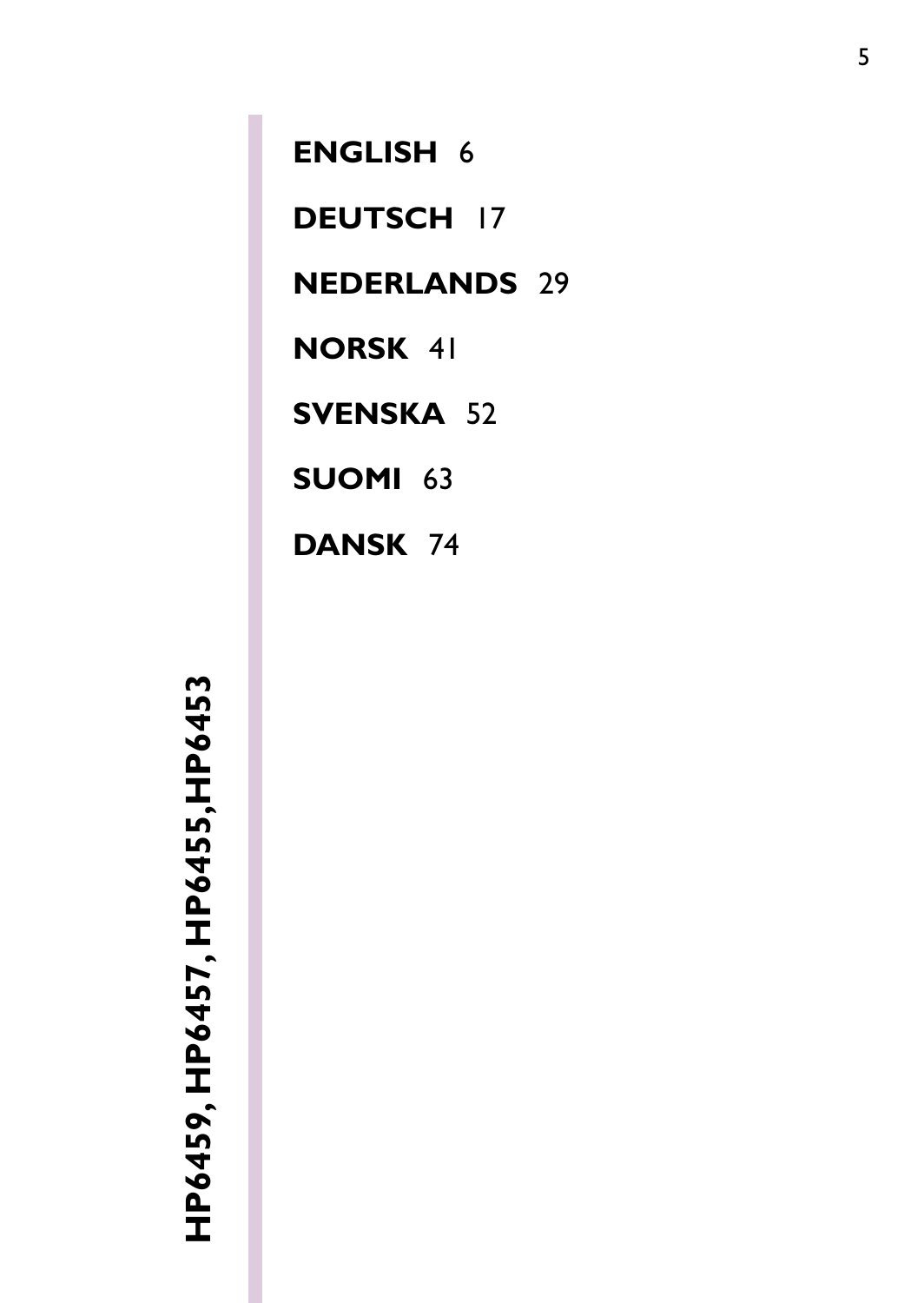**HP6459, HP6457, HP6455,HP6453**  HP6459, HP6457, HP6455, HP6453

**[ENGLISH](#page-1-0)** 6 **[DEUTSCH](#page-12-0)** 17 **[NEDERLANDS](#page-24-0)** 29 **[NORSK](#page-36-0)** 41 **[SVENSKA](#page-47-0)** 52 **[SUOMI](#page-58-0)** 63 **[DANSK](#page-69-0)** 74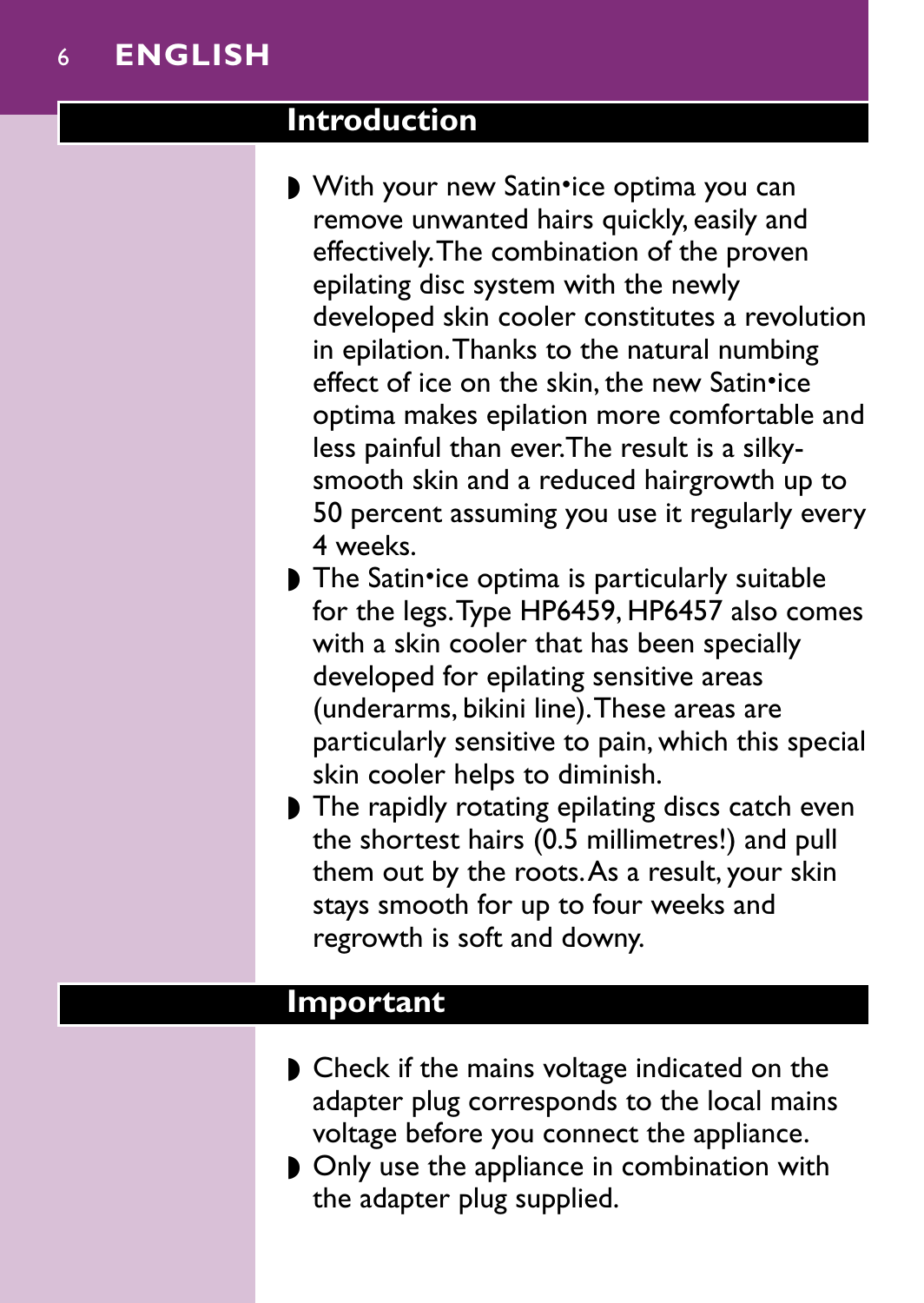### <span id="page-1-0"></span>**Introduction**

- With your new Satin•ice optima you can remove unwanted hairs quickly, easily and effectively.The combination of the proven epilating disc system with the newly developed skin cooler constitutes a revolution in epilation.Thanks to the natural numbing effect of ice on the skin, the new Satin•ice optima makes epilation more comfortable and less painful than ever.The result is a silkysmooth skin and a reduced hairgrowth up to 50 percent assuming you use it regularly every 4 weeks.
- The Satin•ice optima is particularly suitable for the legs.Type HP6459, HP6457 also comes with a skin cooler that has been specially developed for epilating sensitive areas (underarms, bikini line).These areas are particularly sensitive to pain, which this special skin cooler helps to diminish.
- ◗ The rapidly rotating epilating discs catch even the shortest hairs (0.5 millimetres!) and pull them out by the roots.As a result, your skin stays smooth for up to four weeks and regrowth is soft and downy.

### **Important**

- Check if the mains voltage indicated on the adapter plug corresponds to the local mains voltage before you connect the appliance.
- ◗ Only use the appliance in combination with the adapter plug supplied.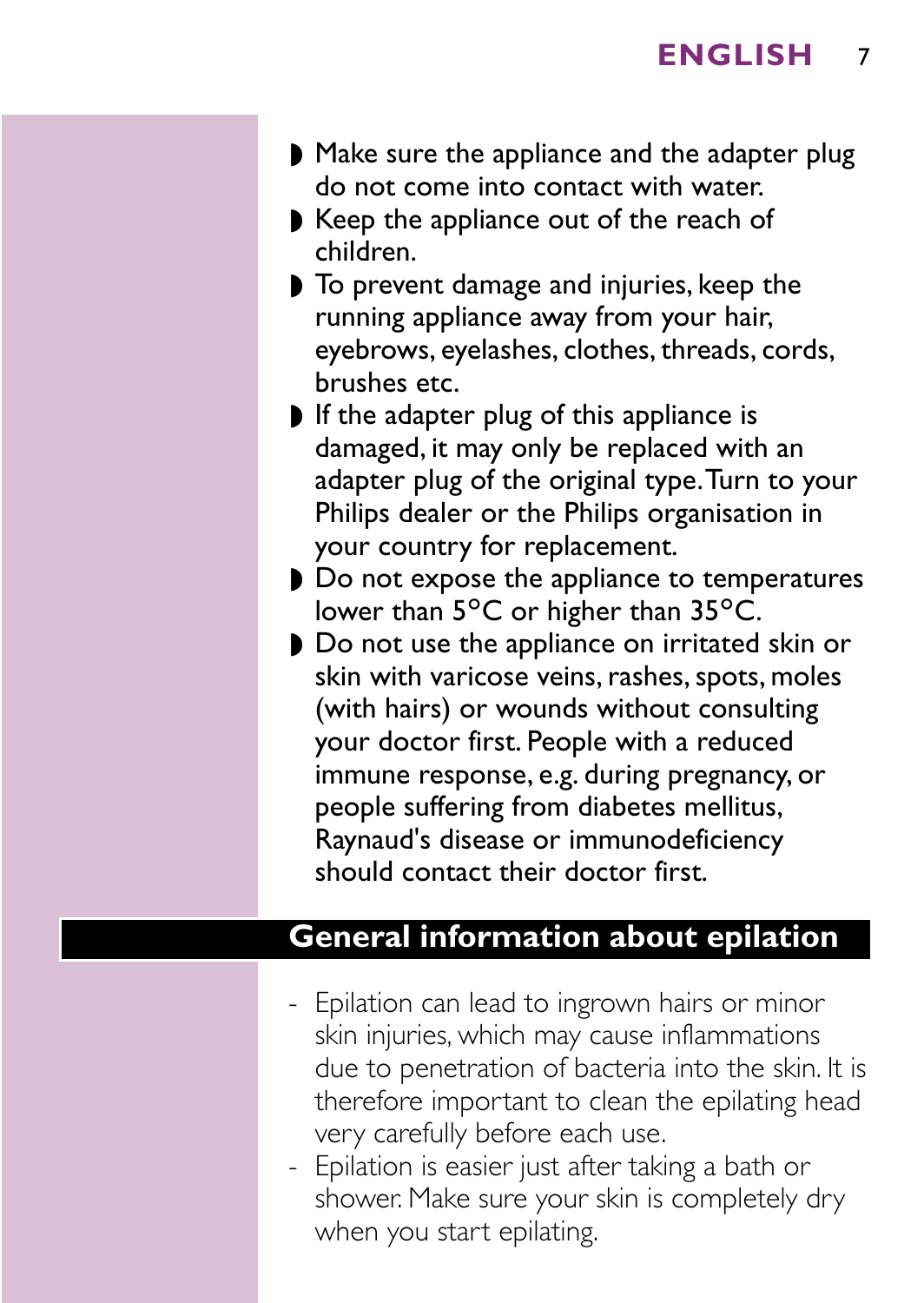- Make sure the appliance and the adapter plug do not come into contact with water.
- Keep the appliance out of the reach of children.
- ◗ To prevent damage and injuries, keep the running appliance away from your hair, eyebrows, eyelashes, clothes, threads, cords, brushes etc.
- ◗ If the adapter plug of this appliance is damaged, it may only be replaced with an adapter plug of the original type.Turn to your Philips dealer or the Philips organisation in your country for replacement.
- ◗ Do not expose the appliance to temperatures lower than  $5^{\circ}$ C or higher than  $35^{\circ}$ C.
- ◗ Do not use the appliance on irritated skin or skin with varicose veins, rashes, spots, moles (with hairs) or wounds without consulting your doctor first. People with a reduced immune response, e.g. during pregnancy, or people suffering from diabetes mellitus, Raynaud's disease or immunodeficiency should contact their doctor first.

#### **General information about epilation**

- Epilation can lead to ingrown hairs or minor skin injuries, which may cause inflammations due to penetration of bacteria into the skin. It is therefore important to clean the epilating head very carefully before each use.
- Epilation is easier just after taking a bath or shower. Make sure your skin is completely dry when you start epilating.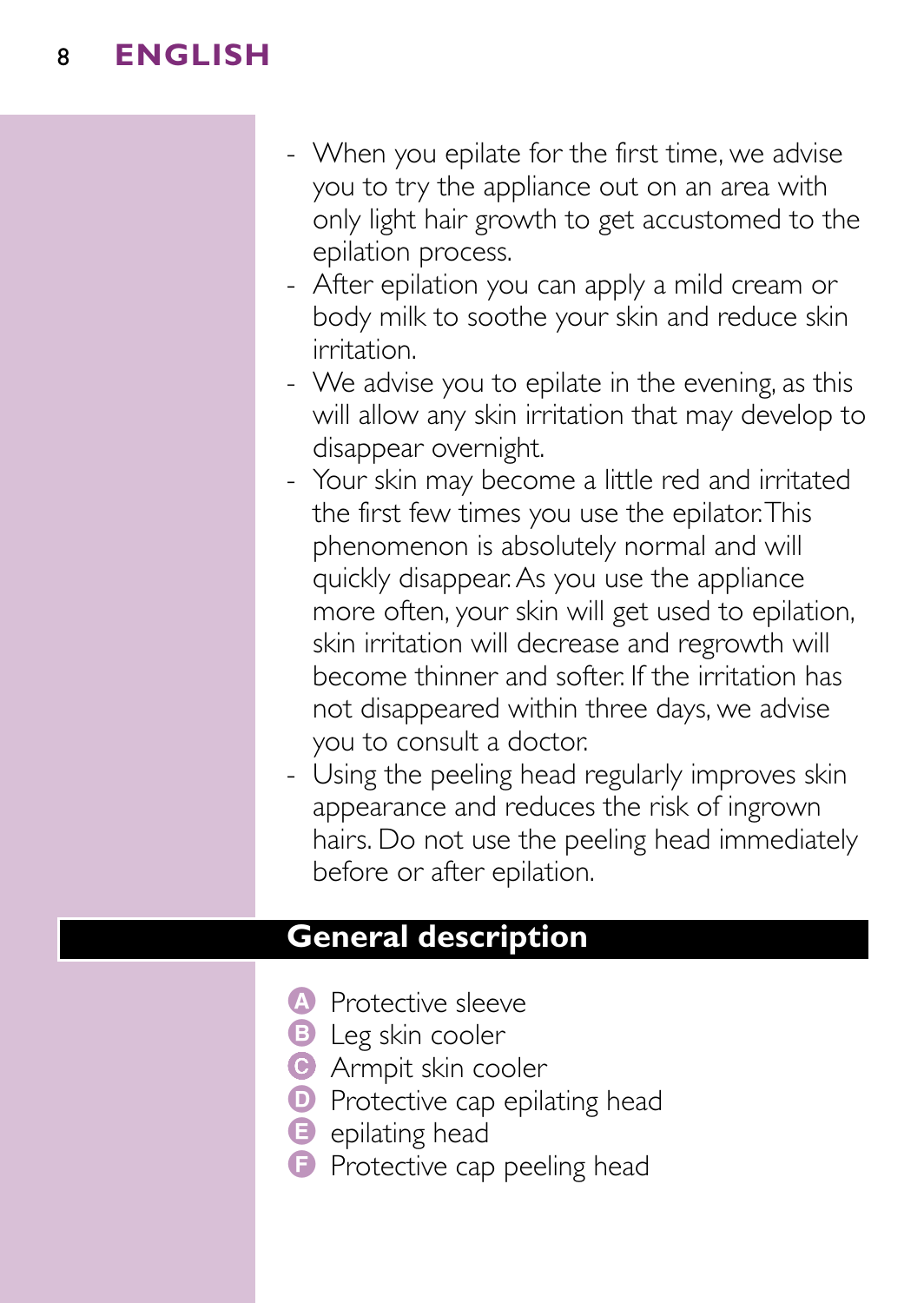- When you epilate for the first time, we advise you to try the appliance out on an area with only light hair growth to get accustomed to the epilation process.
- After epilation you can apply a mild cream or body milk to soothe your skin and reduce skin irritation.
- We advise you to epilate in the evening, as this will allow any skin irritation that may develop to disappear overnight.
- Your skin may become a little red and irritated the first few times you use the epilator.This phenomenon is absolutely normal and will quickly disappear.As you use the appliance more often, your skin will get used to epilation, skin irritation will decrease and regrowth will become thinner and softer. If the irritation has not disappeared within three days, we advise you to consult a doctor.
- Using the peeling head regularly improves skin appearance and reduces the risk of ingrown hairs. Do not use the peeling head immediately before or after epilation.

### **General description**

- A Protective sleeve
- **B** Leg skin cooler
- **C** Armpit skin cooler
- **D** Protective cap epilating head
- **B** epilating head
- **•** Protective cap peeling head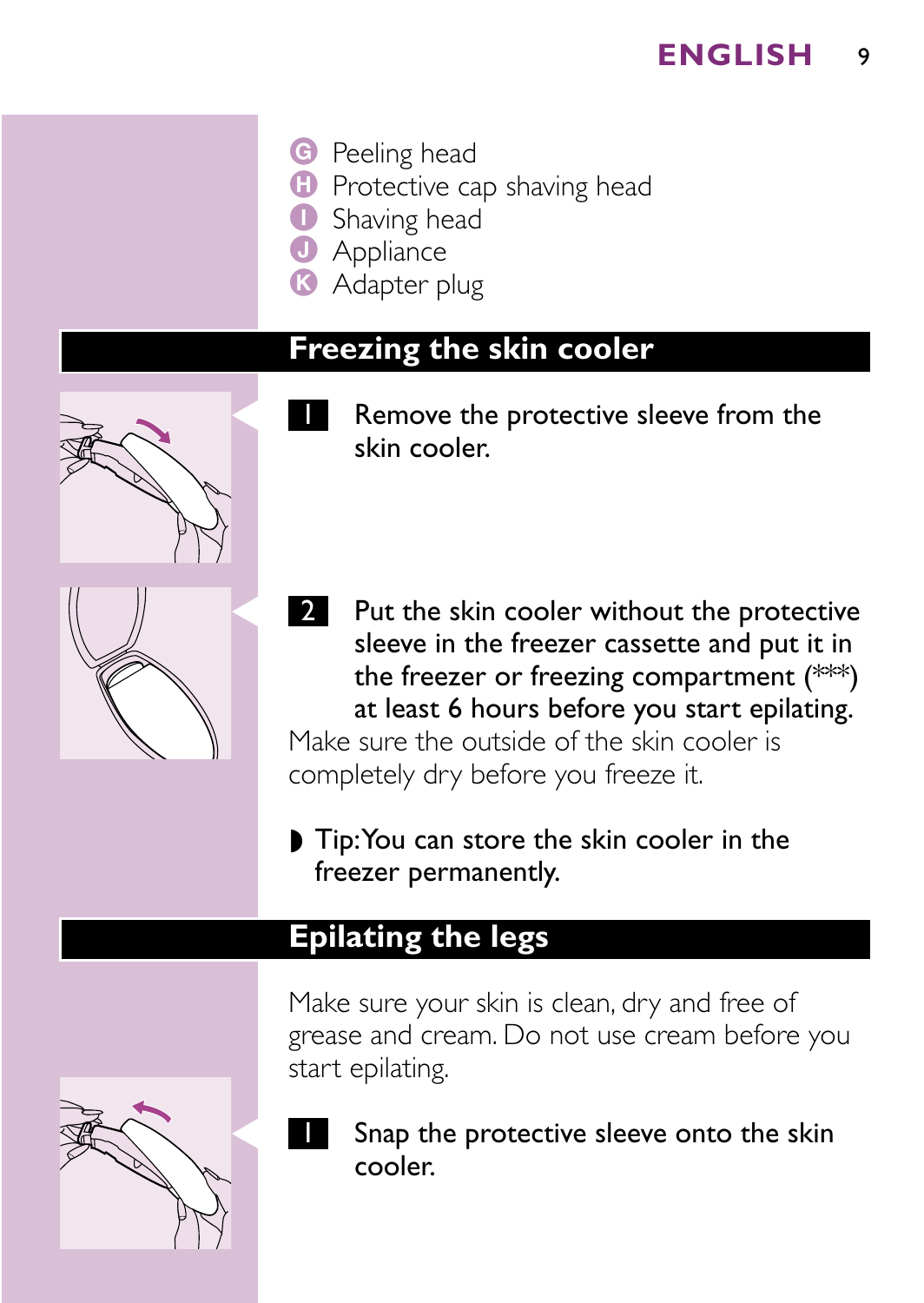**G** Peeling head

**D** Protective cap shaving head

**I** Shaving head

**J** Appliance

**K** Adapter plug

## **Freezing the skin cooler**



- Remove the protective sleeve from the skin cooler.
- **2** Put the skin cooler without the protective sleeve in the freezer cassette and put it in the freezer or freezing compartment (\*\*\*) at least 6 hours before you start epilating. Make sure the outside of the skin cooler is

completely dry before you freeze it.

◗ Tip:You can store the skin cooler in the freezer permanently.

### **Epilating the legs**

Make sure your skin is clean, dry and free of grease and cream. Do not use cream before you start epilating.



Snap the protective sleeve onto the skin cooler.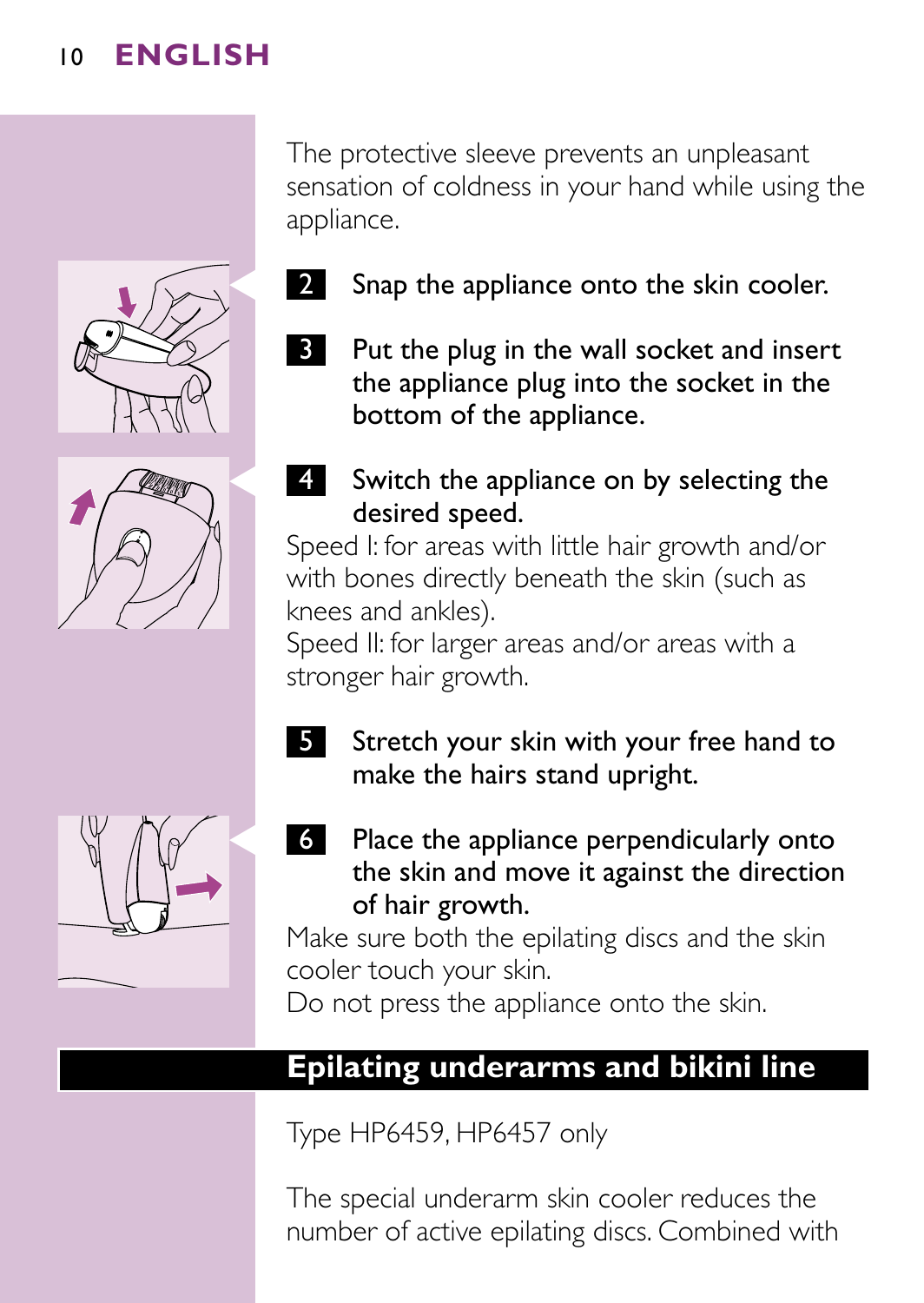The protective sleeve prevents an unpleasant sensation of coldness in your hand while using the appliance.

Snap the appliance onto the skin cooler.



**3** Put the plug in the wall socket and insert the appliance plug into the socket in the bottom of the appliance.



4 Switch the appliance on by selecting the desired speed.

Speed I: for areas with little hair growth and/or with bones directly beneath the skin (such as knees and ankles).

Speed II: for larger areas and/or areas with a stronger hair growth.

5 Stretch your skin with your free hand to make the hairs stand upright.



6 Place the appliance perpendicularly onto the skin and move it against the direction of hair growth.

Make sure both the epilating discs and the skin cooler touch your skin.

Do not press the appliance onto the skin.

## **Epilating underarms and bikini line**

Type HP6459, HP6457 only

The special underarm skin cooler reduces the number of active epilating discs. Combined with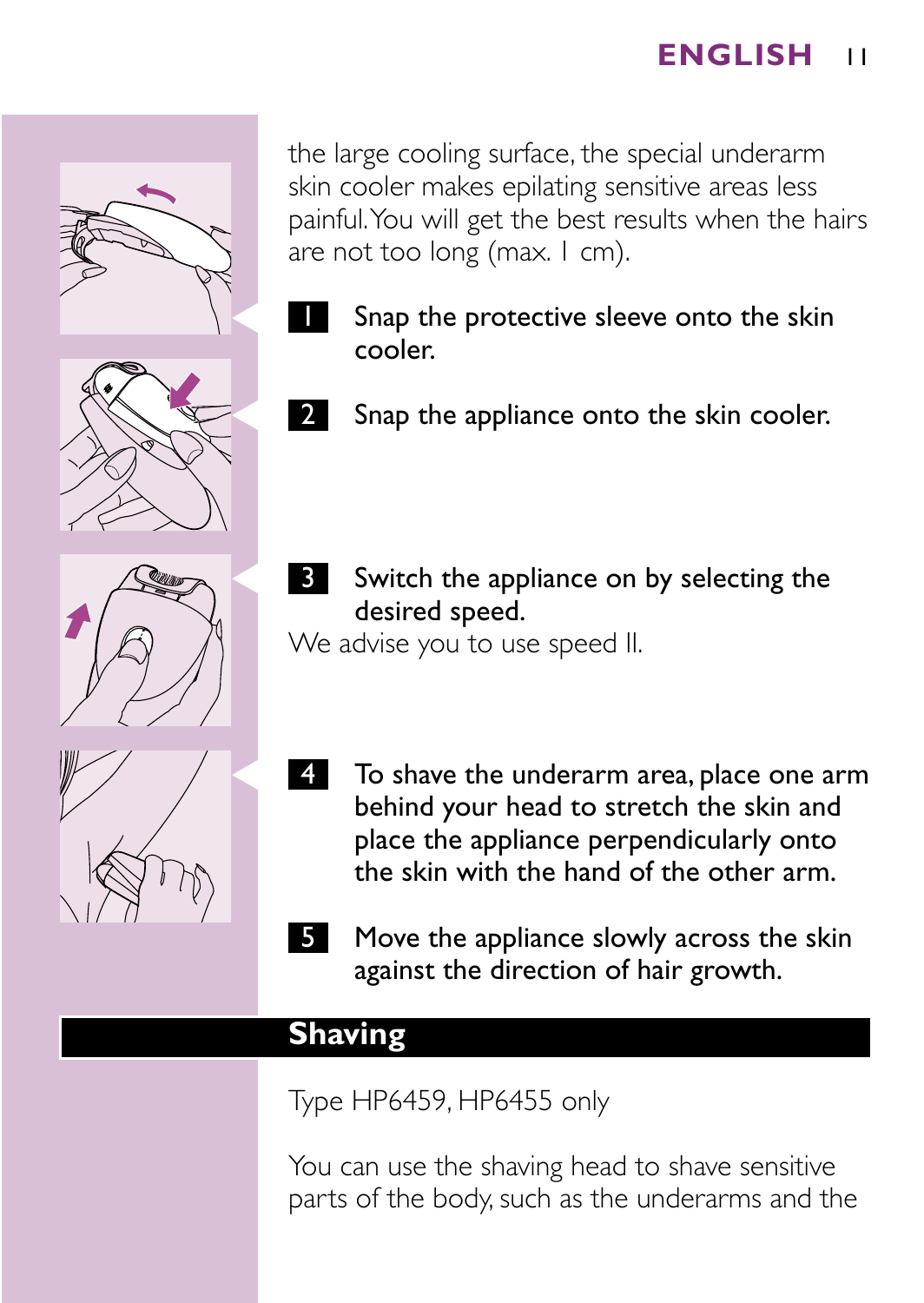the large cooling surface, the special underarm skin cooler makes epilating sensitive areas less painful.You will get the best results when the hairs are not too long (max. I cm).

- Snap the protective sleeve onto the skin cooler.
- Snap the appliance onto the skin cooler.



S Switch the appliance on by selecting the desired speed.

We advise you to use speed II.

- 4 To shave the underarm area, place one arm behind your head to stretch the skin and place the appliance perpendicularly onto the skin with the hand of the other arm.
- Move the appliance slowly across the skin against the direction of hair growth.

## **Shaving**

Type HP6459, HP6455 only

You can use the shaving head to shave sensitive parts of the body, such as the underarms and the



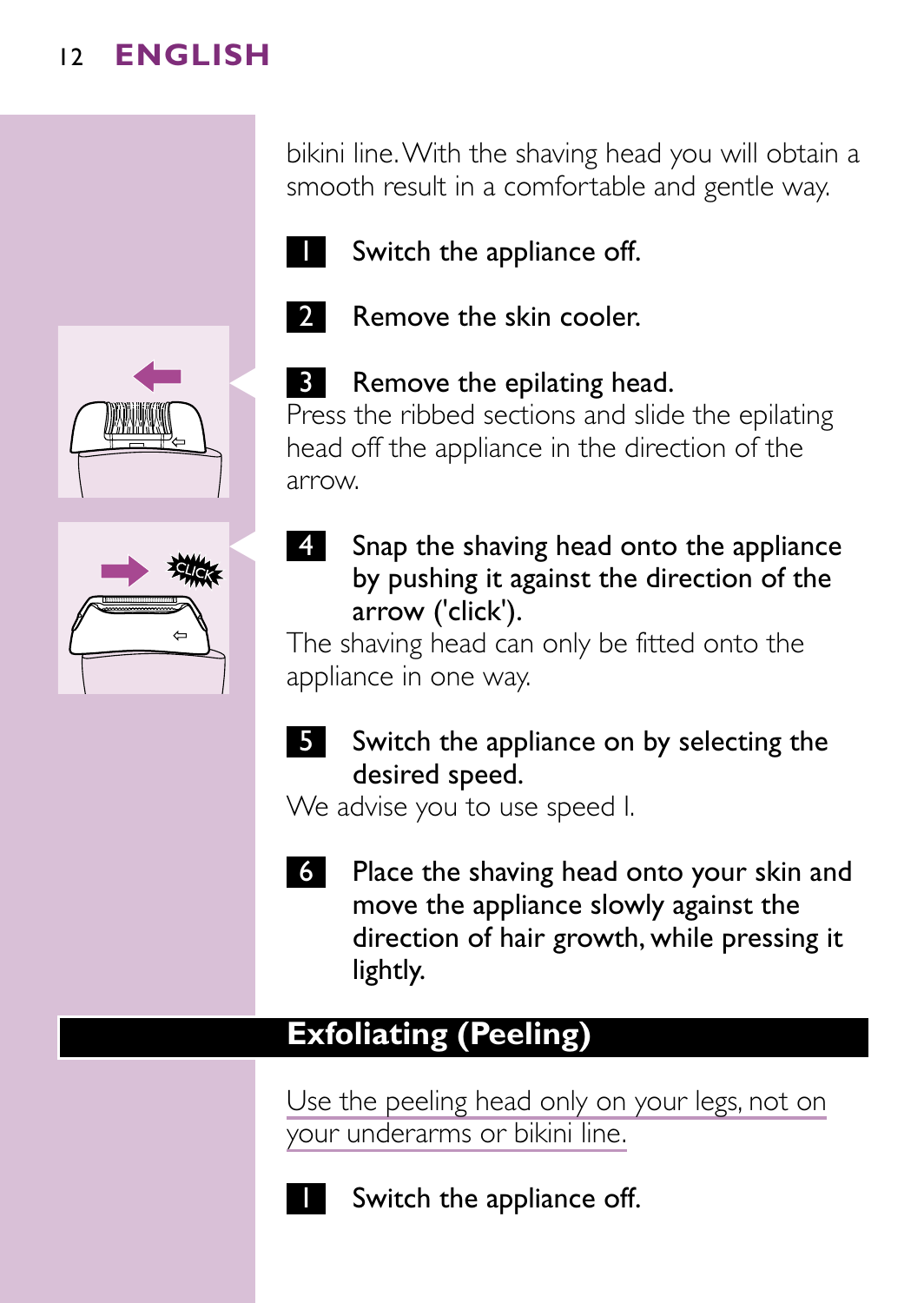bikini line.With the shaving head you will obtain a smooth result in a comfortable and gentle way.



**Switch the appliance off.** 







**B** Remove the epilating head.



Press the ribbed sections and slide the epilating head off the appliance in the direction of the

by pushing it against the direction of the arrow ('click').

The shaving head can only be fitted onto the appliance in one way.

5 Switch the appliance on by selecting the desired speed.

We advise you to use speed I.

6 Place the shaving head onto your skin and move the appliance slowly against the direction of hair growth, while pressing it lightly.

# **Exfoliating (Peeling)**

Use the peeling head only on your legs, not on your underarms or bikini line.



Switch the appliance off.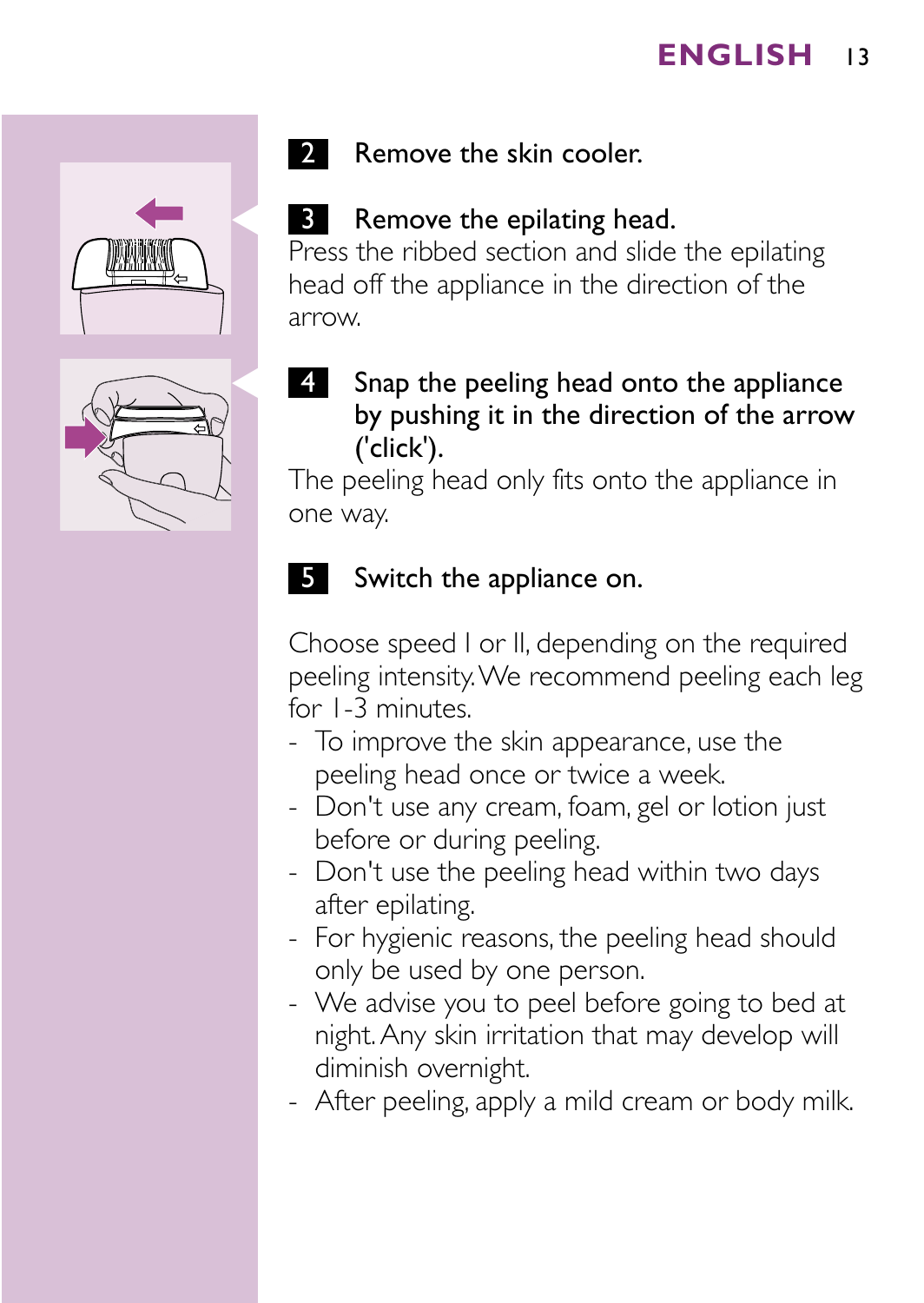



## 2 Remove the skin cooler.

## **3** Remove the epilating head.

Press the ribbed section and slide the epilating head off the appliance in the direction of the arrow.

Snap the peeling head onto the appliance by pushing it in the direction of the arrow ('click').

The peeling head only fits onto the appliance in one way.

### **5** Switch the appliance on.

Choose speed I or II, depending on the required peeling intensity.We recommend peeling each leg for 1-3 minutes.

- To improve the skin appearance, use the peeling head once or twice a week.
- Don't use any cream, foam, gel or lotion just before or during peeling.
- Don't use the peeling head within two days after epilating.
- For hygienic reasons, the peeling head should only be used by one person.
- We advise you to peel before going to bed at night.Any skin irritation that may develop will diminish overnight.
- After peeling, apply a mild cream or body milk.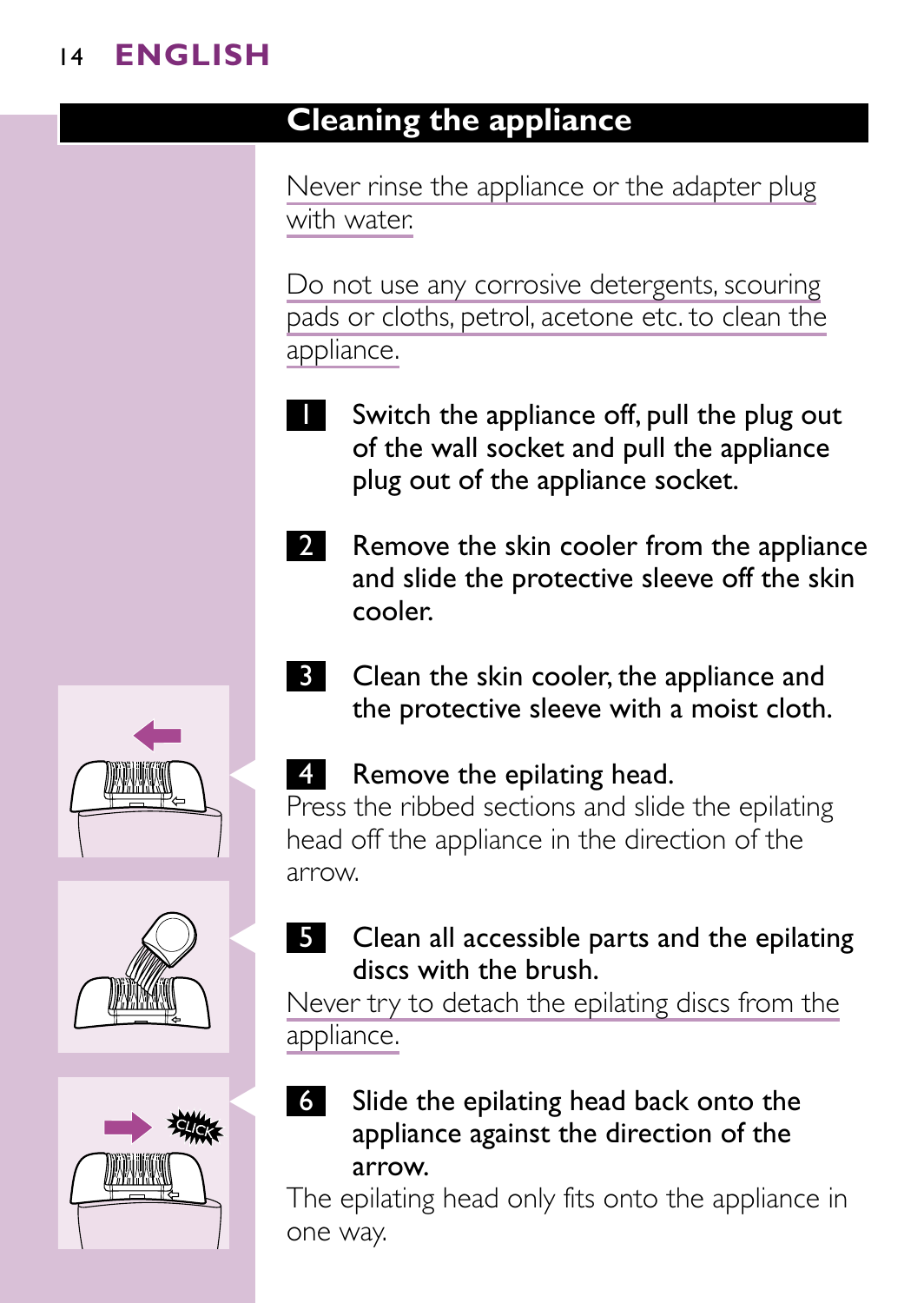# **Cleaning the appliance**

Never rinse the appliance or the adapter plug with water.

Do not use any corrosive detergents, scouring pads or cloths, petrol, acetone etc. to clean the appliance.

- Switch the appliance off, pull the plug out of the wall socket and pull the appliance plug out of the appliance socket.
- 2 Remove the skin cooler from the appliance and slide the protective sleeve off the skin cooler.
- **3** Clean the skin cooler, the appliance and the protective sleeve with a moist cloth.

# 4 Remove the epilating head.

Press the ribbed sections and slide the epilating head off the appliance in the direction of the arrow.



Never try to detach the epilating discs from the appliance.

6 Slide the epilating head back onto the appliance against the direction of the arrow.

The epilating head only fits onto the appliance in one way.





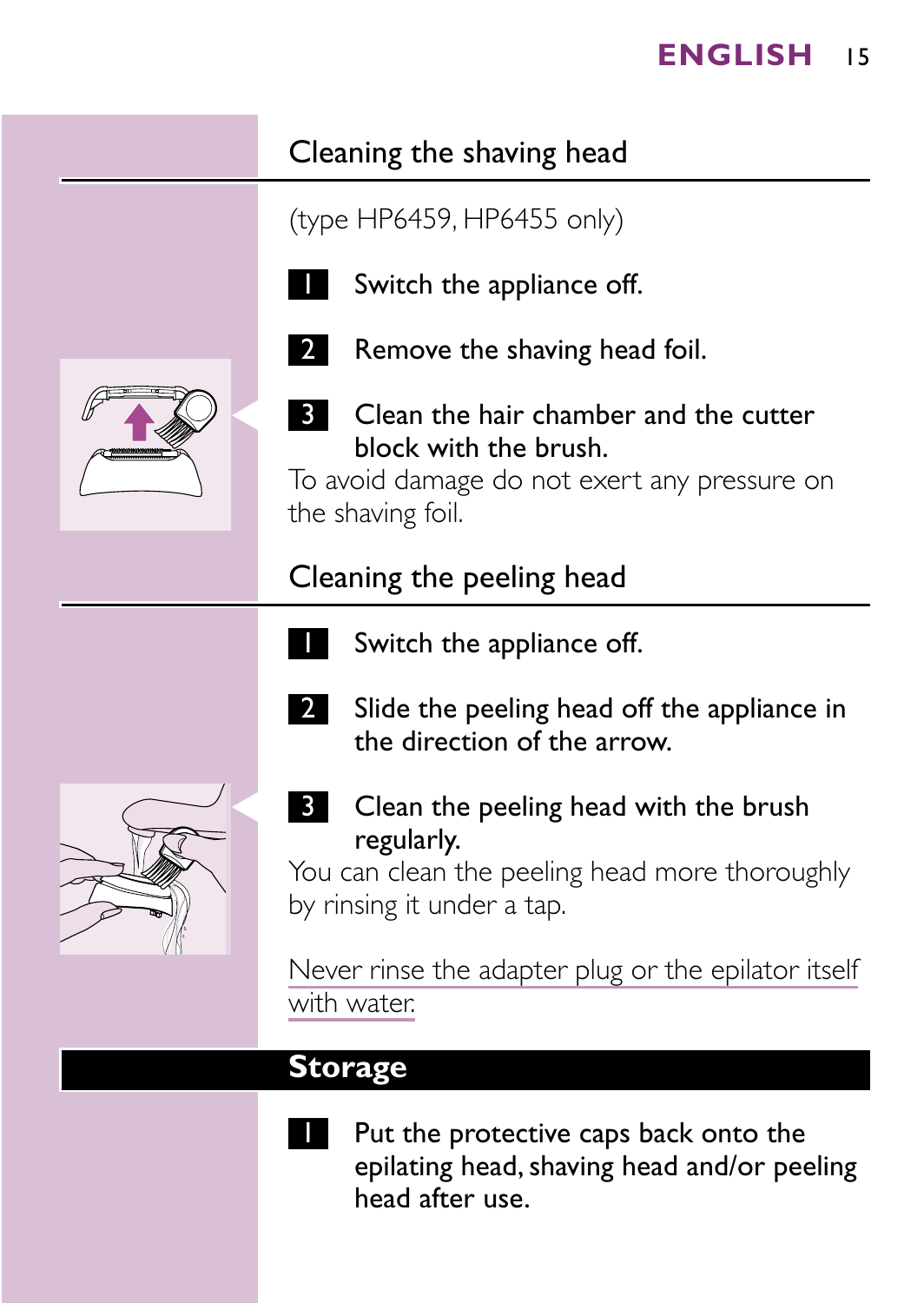# Cleaning the shaving head

(type HP6459, HP6455 only)



Switch the appliance off.



2 Remove the shaving head foil.



**3** Clean the hair chamber and the cutter block with the brush.

To avoid damage do not exert any pressure on the shaving foil.

# Cleaning the peeling head

- Switch the appliance off.
- 2 Slide the peeling head off the appliance in the direction of the arrow.



**3** Clean the peeling head with the brush regularly.

You can clean the peeling head more thoroughly by rinsing it under a tap.

Never rinse the adapter plug or the epilator itself with water.

## **Storage**

- 
- Put the protective caps back onto the epilating head, shaving head and/or peeling head after use.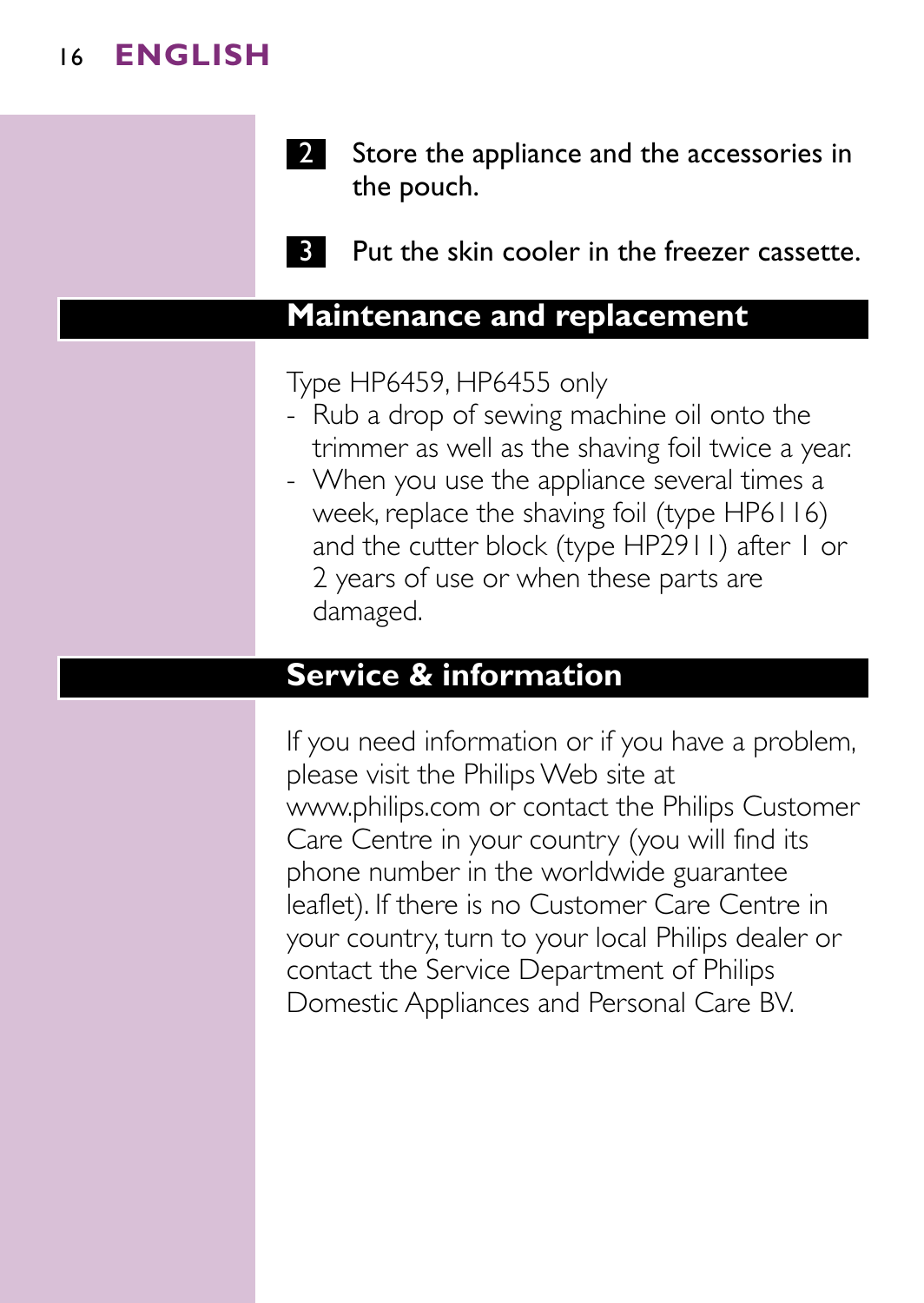

**3** Put the skin cooler in the freezer cassette.

### **Maintenance and replacement**

Type HP6459, HP6455 only

- Rub a drop of sewing machine oil onto the trimmer as well as the shaving foil twice a year.
- When you use the appliance several times a week, replace the shaving foil (type HP6116) and the cutter block (type HP2911) after 1 or 2 years of use or when these parts are damaged.

### **Service & information**

If you need information or if you have a problem, please visit the Philips Web site at www.philips.com or contact the Philips Customer Care Centre in your country (you will find its phone number in the worldwide guarantee leaflet). If there is no Customer Care Centre in your country, turn to your local Philips dealer or contact the Service Department of Philips Domestic Appliances and Personal Care BV.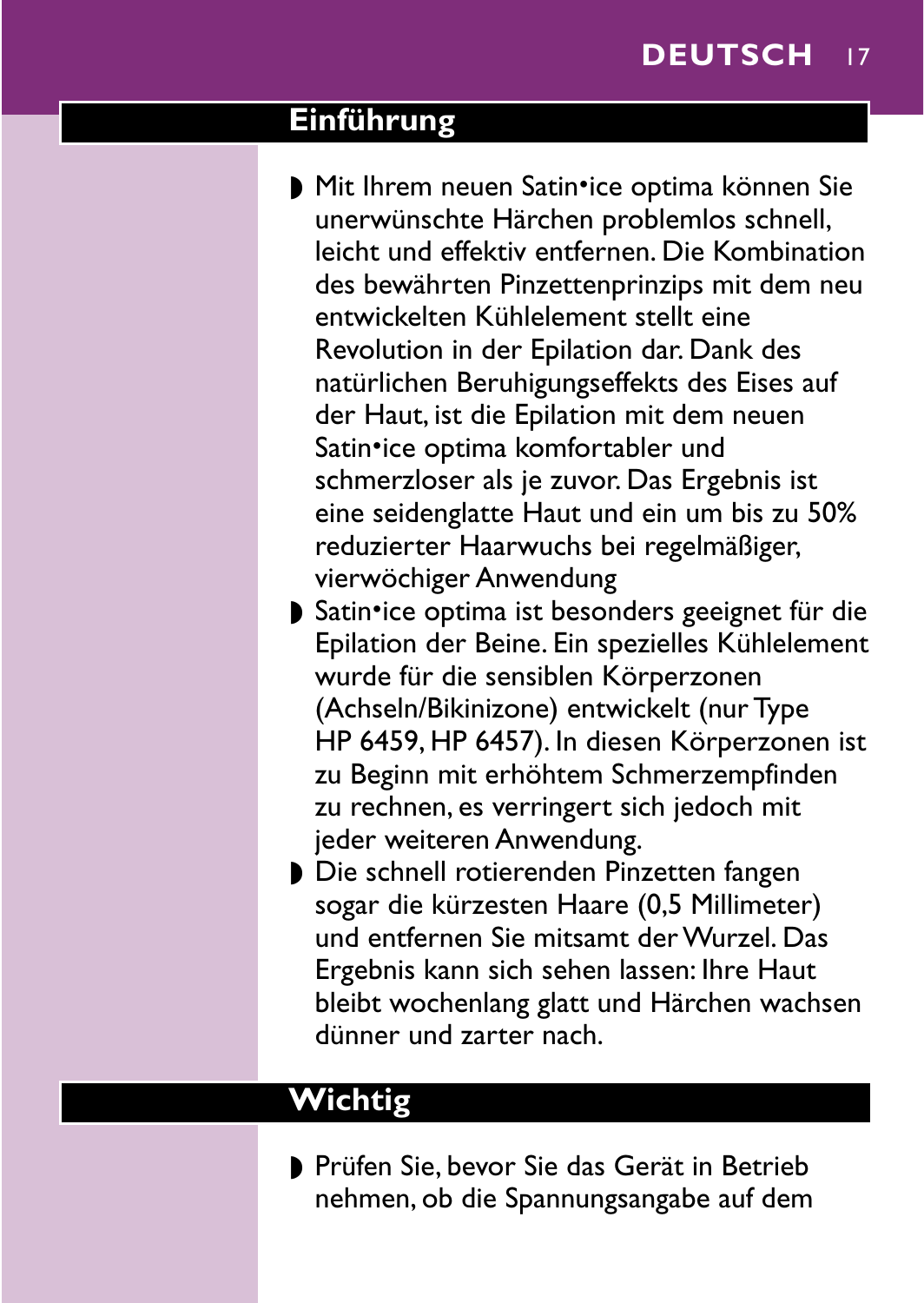### <span id="page-12-0"></span>**Einführung**

- ▶ Mit Ihrem neuen Satin•ice optima können Sie unerwünschte Härchen problemlos schnell, leicht und effektiv entfernen. Die Kombination des bewährten Pinzettenprinzips mit dem neu entwickelten Kühlelement stellt eine Revolution in der Epilation dar. Dank des natürlichen Beruhigungseffekts des Eises auf der Haut, ist die Epilation mit dem neuen Satin•ice optima komfortabler und schmerzloser als je zuvor. Das Ergebnis ist eine seidenglatte Haut und ein um bis zu 50% reduzierter Haarwuchs bei regelmäßiger, vierwöchiger Anwendung
- ▶ Satin•ice optima ist besonders geeignet für die Epilation der Beine. Ein spezielles Kühlelement wurde für die sensiblen Körperzonen (Achseln/Bikinizone) entwickelt (nur Type HP 6459, HP 6457). In diesen Körperzonen ist zu Beginn mit erhöhtem Schmerzempfinden zu rechnen, es verringert sich jedoch mit jeder weiteren Anwendung.
- ◗ Die schnell rotierenden Pinzetten fangen sogar die kürzesten Haare (0,5 Millimeter) und entfernen Sie mitsamt der Wurzel. Das Ergebnis kann sich sehen lassen: Ihre Haut bleibt wochenlang glatt und Härchen wachsen dünner und zarter nach.

# **Wichtig**

◗ Prüfen Sie, bevor Sie das Gerät in Betrieb nehmen, ob die Spannungsangabe auf dem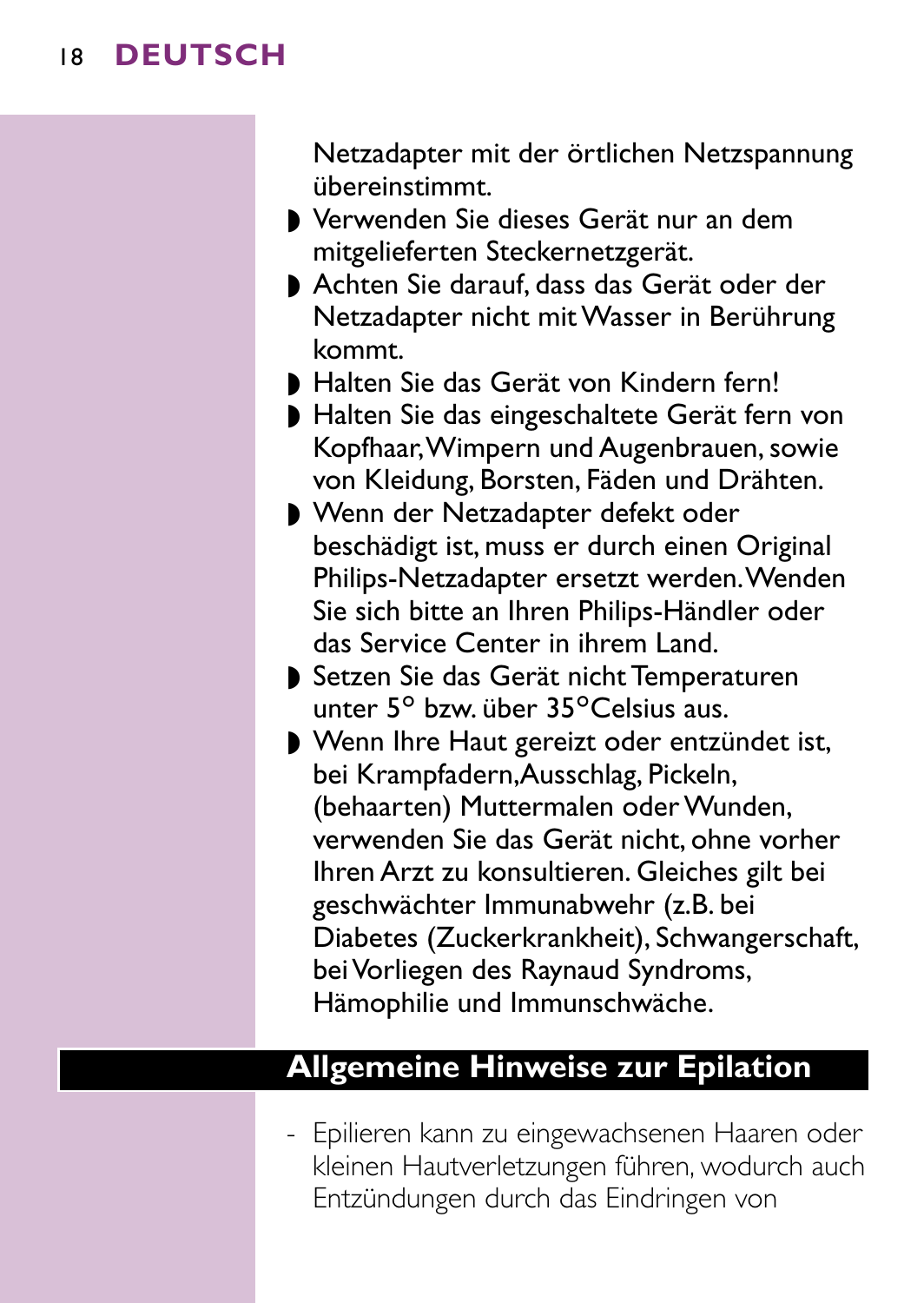Netzadapter mit der örtlichen Netzspannung übereinstimmt.

- ◗ Verwenden Sie dieses Gerät nur an dem mitgelieferten Steckernetzgerät.
- ◗ Achten Sie darauf, dass das Gerät oder der Netzadapter nicht mit Wasser in Berührung kommt.
- ◗ Halten Sie das Gerät von Kindern fern!
- ◗ Halten Sie das eingeschaltete Gerät fern von Kopfhaar,Wimpern und Augenbrauen, sowie von Kleidung, Borsten, Fäden und Drähten.
- ◗ Wenn der Netzadapter defekt oder beschädigt ist, muss er durch einen Original Philips-Netzadapter ersetzt werden.Wenden Sie sich bitte an Ihren Philips-Händler oder das Service Center in ihrem Land.
- ◗ Setzen Sie das Gerät nicht Temperaturen unter  $5^\circ$  bzw. über  $35^\circ$ Celsius aus.
- ◗ Wenn Ihre Haut gereizt oder entzündet ist, bei Krampfadern,Ausschlag, Pickeln, (behaarten) Muttermalen oder Wunden, verwenden Sie das Gerät nicht, ohne vorher Ihren Arzt zu konsultieren. Gleiches gilt bei geschwächter Immunabwehr (z.B. bei Diabetes (Zuckerkrankheit), Schwangerschaft, bei Vorliegen des Raynaud Syndroms, Hämophilie und Immunschwäche.

# **Allgemeine Hinweise zur Epilation**

- Epilieren kann zu eingewachsenen Haaren oder kleinen Hautverletzungen führen, wodurch auch Entzündungen durch das Eindringen von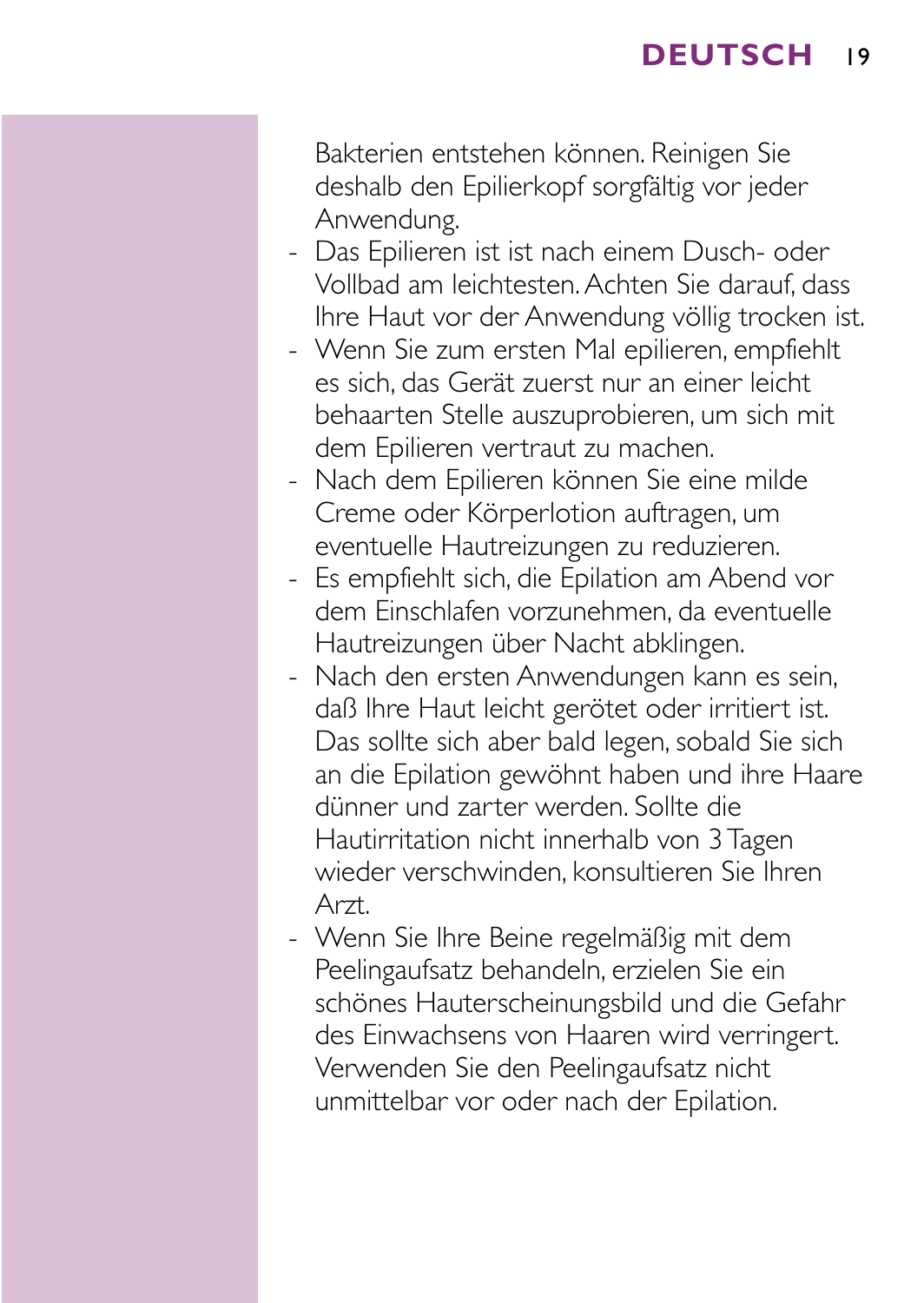Bakterien entstehen können. Reinigen Sie deshalb den Epilierkopf sorgfältig vor jeder Anwendung.

- Das Epilieren ist ist nach einem Dusch- oder Vollbad am leichtesten.Achten Sie darauf, dass Ihre Haut vor der Anwendung völlig trocken ist.
- Wenn Sie zum ersten Mal epilieren, empfiehlt es sich, das Gerät zuerst nur an einer leicht behaarten Stelle auszuprobieren, um sich mit dem Epilieren vertraut zu machen.
- Nach dem Epilieren können Sie eine milde Creme oder Körperlotion auftragen, um eventuelle Hautreizungen zu reduzieren.
- Es empfiehlt sich, die Epilation am Abend vor dem Einschlafen vorzunehmen, da eventuelle Hautreizungen über Nacht abklingen.
- Nach den ersten Anwendungen kann es sein, daß Ihre Haut leicht gerötet oder irritiert ist. Das sollte sich aber bald legen, sobald Sie sich an die Epilation gewöhnt haben und ihre Haare dünner und zarter werden. Sollte die Hautirritation nicht innerhalb von 3 Tagen wieder verschwinden, konsultieren Sie Ihren Arzt.
- Wenn Sie Ihre Beine regelmäßig mit dem Peelingaufsatz behandeln, erzielen Sie ein schönes Hauterscheinungsbild und die Gefahr des Einwachsens von Haaren wird verringert. Verwenden Sie den Peelingaufsatz nicht unmittelbar vor oder nach der Epilation.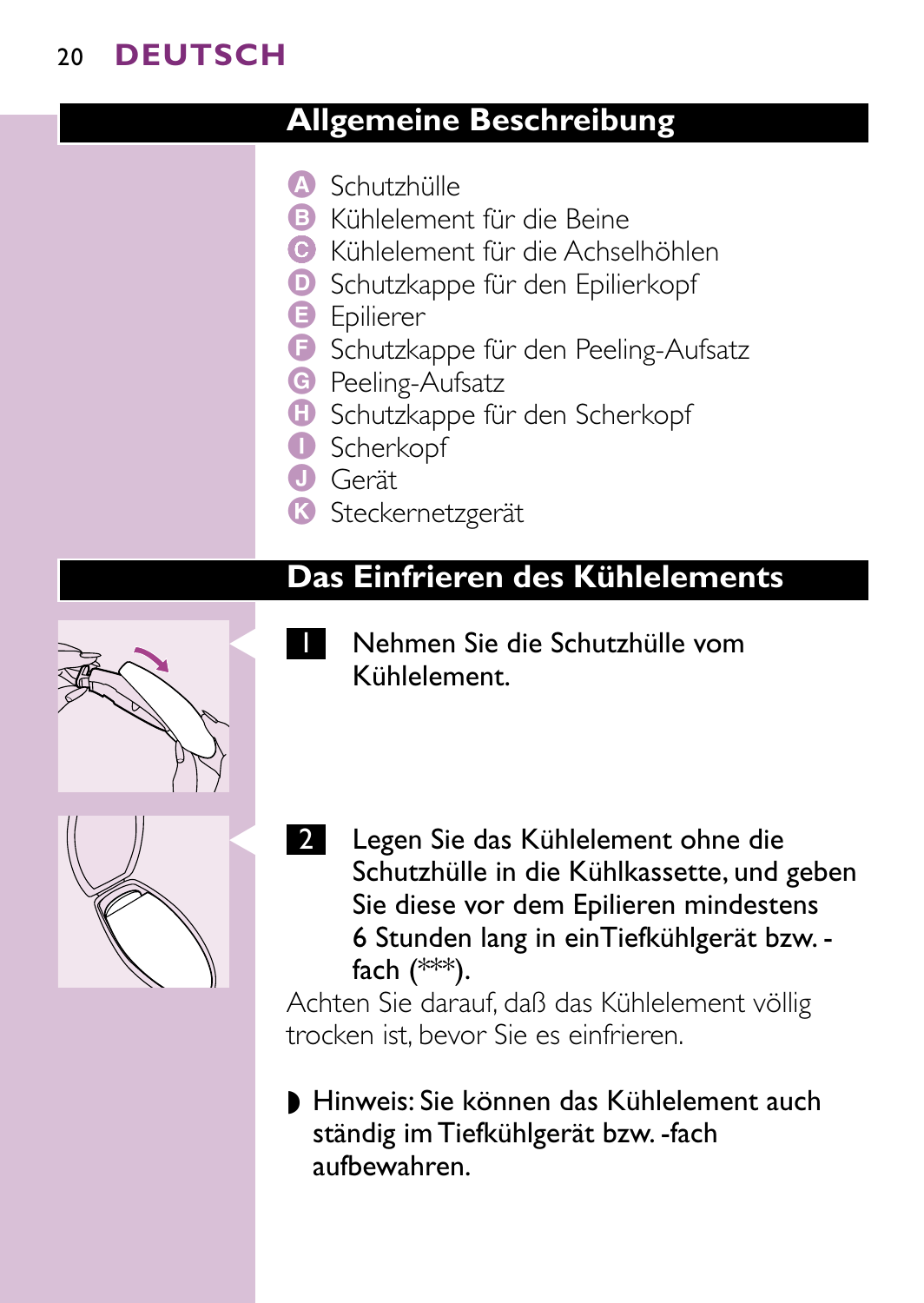# **Allgemeine Beschreibung**

- A Schutzhülle
- B Kühlelement für die Beine
- C Kühlelement für die Achselhöhlen
- D Schutzkappe für den Epilierkopf
- **B** Epilierer
- **F** Schutzkappe für den Peeling-Aufsatz
- **G** Peeling-Aufsatz
- $\bullet$  Schutzkappe für den Scherkopf
- **O** Scherkopf
- **O** Gerät
- K Steckernetzgerät

### **Das Einfrieren des Kühlelements**



- C <sup>1</sup> Nehmen Sie die Schutzhülle vom Kühlelement.
- 2 Legen Sie das Kühlelement ohne die Schutzhülle in die Kühlkassette, und geben Sie diese vor dem Epilieren mindestens 6 Stunden lang in einTiefkühlgerät bzw. fach (\*\*\*).

Achten Sie darauf, daß das Kühlelement völlig trocken ist, bevor Sie es einfrieren.

◗ Hinweis: Sie können das Kühlelement auch ständig im Tiefkühlgerät bzw. -fach aufbewahren.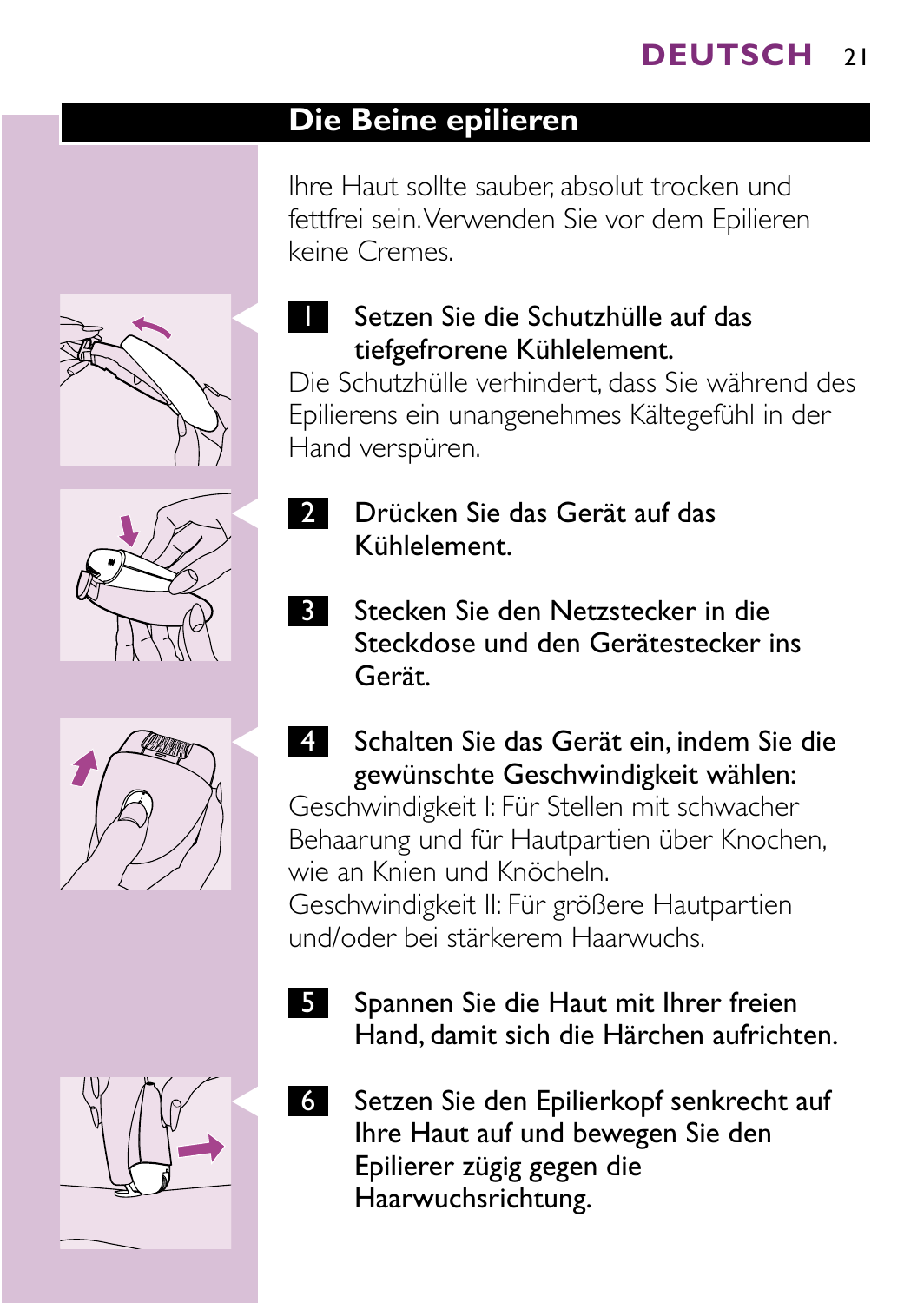# **Die Beine epilieren**

Ihre Haut sollte sauber, absolut trocken und fettfrei sein.Verwenden Sie vor dem Epilieren keine Cremes.









# Setzen Sie die Schutzhülle auf das tiefgefrorene Kühlelement.

Die Schutzhülle verhindert, dass Sie während des Epilierens ein unangenehmes Kältegefühl in der Hand verspüren.

- 2 Drücken Sie das Gerät auf das Kühlelement.
- **3 Stecken Sie den Netzstecker in die** Steckdose und den Gerätestecker ins Gerät.
- C <sup>4</sup> Schalten Sie das Gerät ein, indem Sie die gewünschte Geschwindigkeit wählen: Geschwindigkeit I: Für Stellen mit schwacher Behaarung und für Hautpartien über Knochen, wie an Knien und Knöcheln. Geschwindigkeit II: Für größere Hautpartien

und/oder bei stärkerem Haarwuchs.

- 5 Spannen Sie die Haut mit Ihrer freien Hand, damit sich die Härchen aufrichten.
- 6 Setzen Sie den Epilierkopf senkrecht auf Ihre Haut auf und bewegen Sie den Epilierer zügig gegen die Haarwuchsrichtung.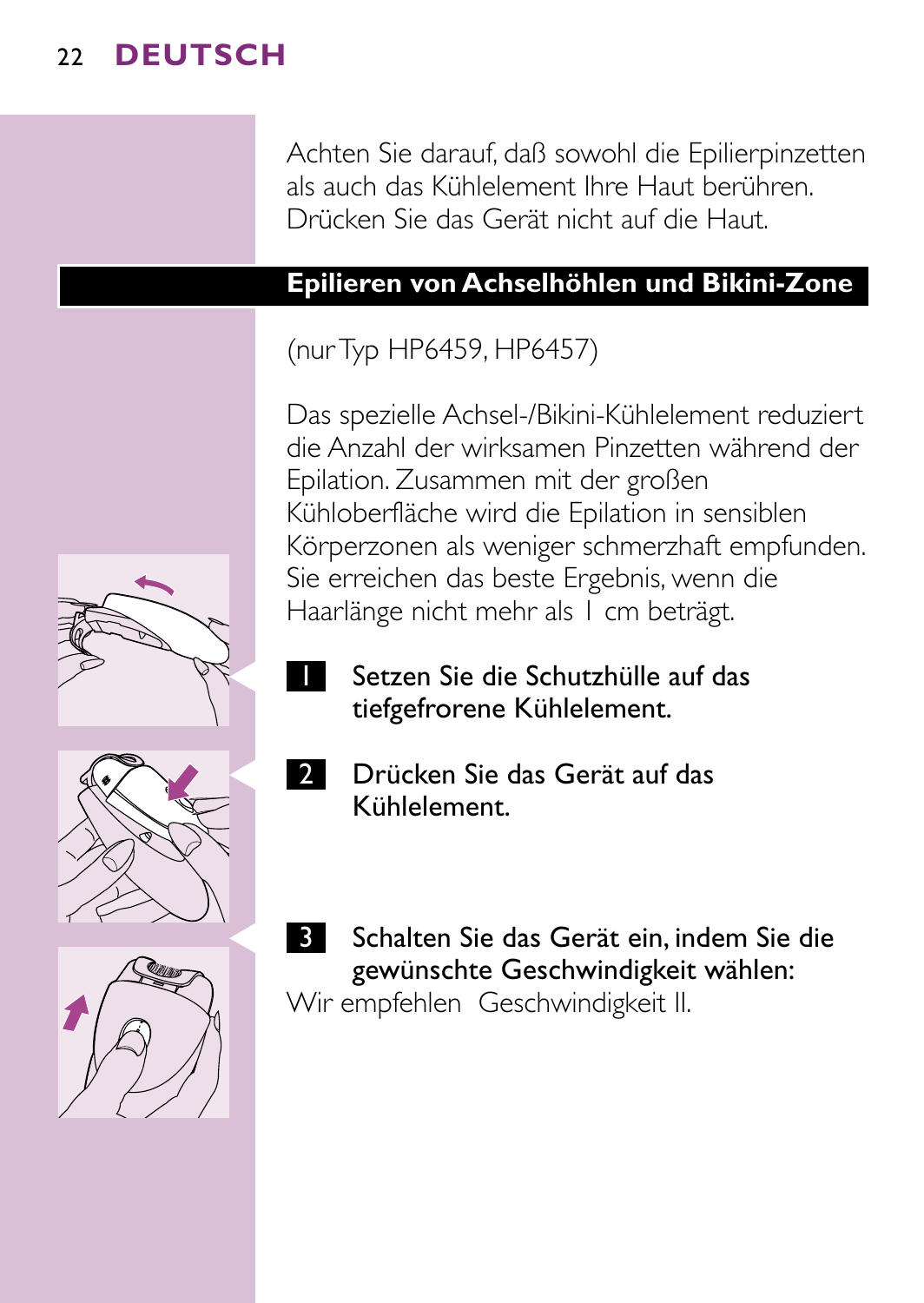Achten Sie darauf, daß sowohl die Epilierpinzetten als auch das Kühlelement Ihre Haut berühren. Drücken Sie das Gerät nicht auf die Haut.

#### **Epilieren von Achselhöhlen und Bikini-Zone**

## (nur Typ HP6459, HP6457)

Das spezielle Achsel-/Bikini-Kühlelement reduziert die Anzahl der wirksamen Pinzetten während der Epilation. Zusammen mit der großen Kühloberfläche wird die Epilation in sensiblen Körperzonen als weniger schmerzhaft empfunden. Sie erreichen das beste Ergebnis, wenn die Haarlänge nicht mehr als 1 cm beträgt.

- -
	-

C <sup>2</sup> Drücken Sie das Gerät auf das Kühlelement.

Setzen Sie die Schutzhülle auf das tiefgefrorene Kühlelement.

Schalten Sie das Gerät ein, indem Sie die gewünschte Geschwindigkeit wählen: Wir empfehlen Geschwindigkeit II.

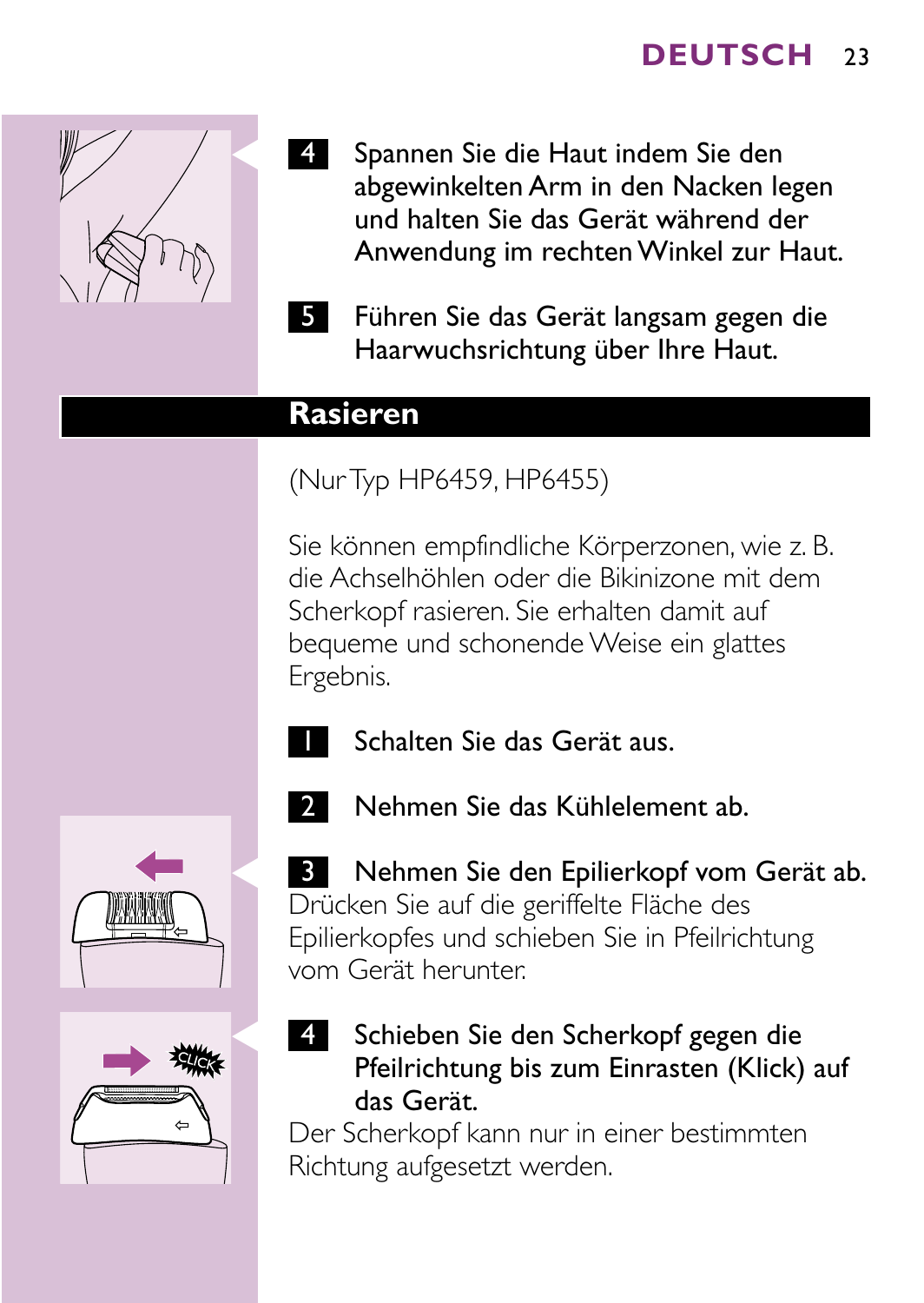

- Spannen Sie die Haut indem Sie den abgewinkelten Arm in den Nacken legen und halten Sie das Gerät während der Anwendung im rechten Winkel zur Haut.
- 5 Führen Sie das Gerät langsam gegen die Haarwuchsrichtung über Ihre Haut.

### **Rasieren**

(Nur Typ HP6459, HP6455)

Sie können empfindliche Körperzonen, wie z. B. die Achselhöhlen oder die Bikinizone mit dem Scherkopf rasieren. Sie erhalten damit auf bequeme und schonende Weise ein glattes Ergebnis.



Schalten Sie das Gerät aus.





**B** Nehmen Sie den Epilierkopf vom Gerät ab. Drücken Sie auf die geriffelte Fläche des Epilierkopfes und schieben Sie in Pfeilrichtung vom Gerät herunter.

2 Nehmen Sie das Kühlelement ab.

4 Schieben Sie den Scherkopf gegen die Pfeilrichtung bis zum Einrasten (Klick) auf das Gerät.

Der Scherkopf kann nur in einer bestimmten Richtung aufgesetzt werden.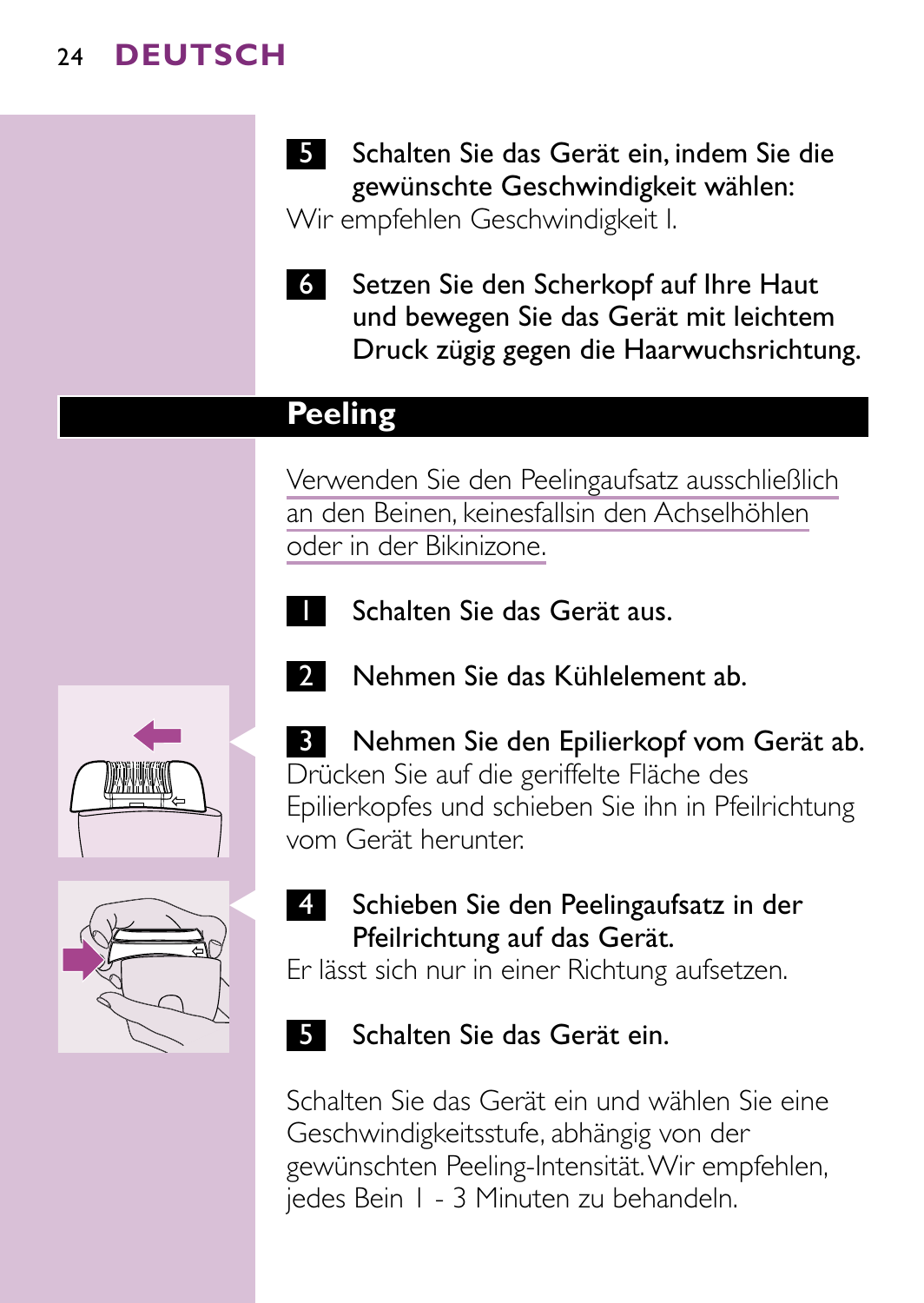- **5 Schalten Sie das Gerät ein, indem Sie die** gewünschte Geschwindigkeit wählen: Wir empfehlen Geschwindigkeit I.
- 6 Setzen Sie den Scherkopf auf Ihre Haut und bewegen Sie das Gerät mit leichtem Druck zügig gegen die Haarwuchsrichtung.

### **Peeling**

Verwenden Sie den Peelingaufsatz ausschließlich an den Beinen, keinesfallsin den Achselhöhlen oder in der Bikinizone.

2 Nehmen Sie das Kühlelement ab.



1 Schalten Sie das Gerät aus.





**B** Nehmen Sie den Epilierkopf vom Gerät ab. Drücken Sie auf die geriffelte Fläche des Epilierkopfes und schieben Sie ihn in Pfeilrichtung vom Gerät herunter.

4 Schieben Sie den Peelingaufsatz in der Pfeilrichtung auf das Gerät.

Er lässt sich nur in einer Richtung aufsetzen.

5 Schalten Sie das Gerät ein.

Schalten Sie das Gerät ein und wählen Sie eine Geschwindigkeitsstufe, abhängig von der gewünschten Peeling-Intensität.Wir empfehlen, jedes Bein 1 - 3 Minuten zu behandeln.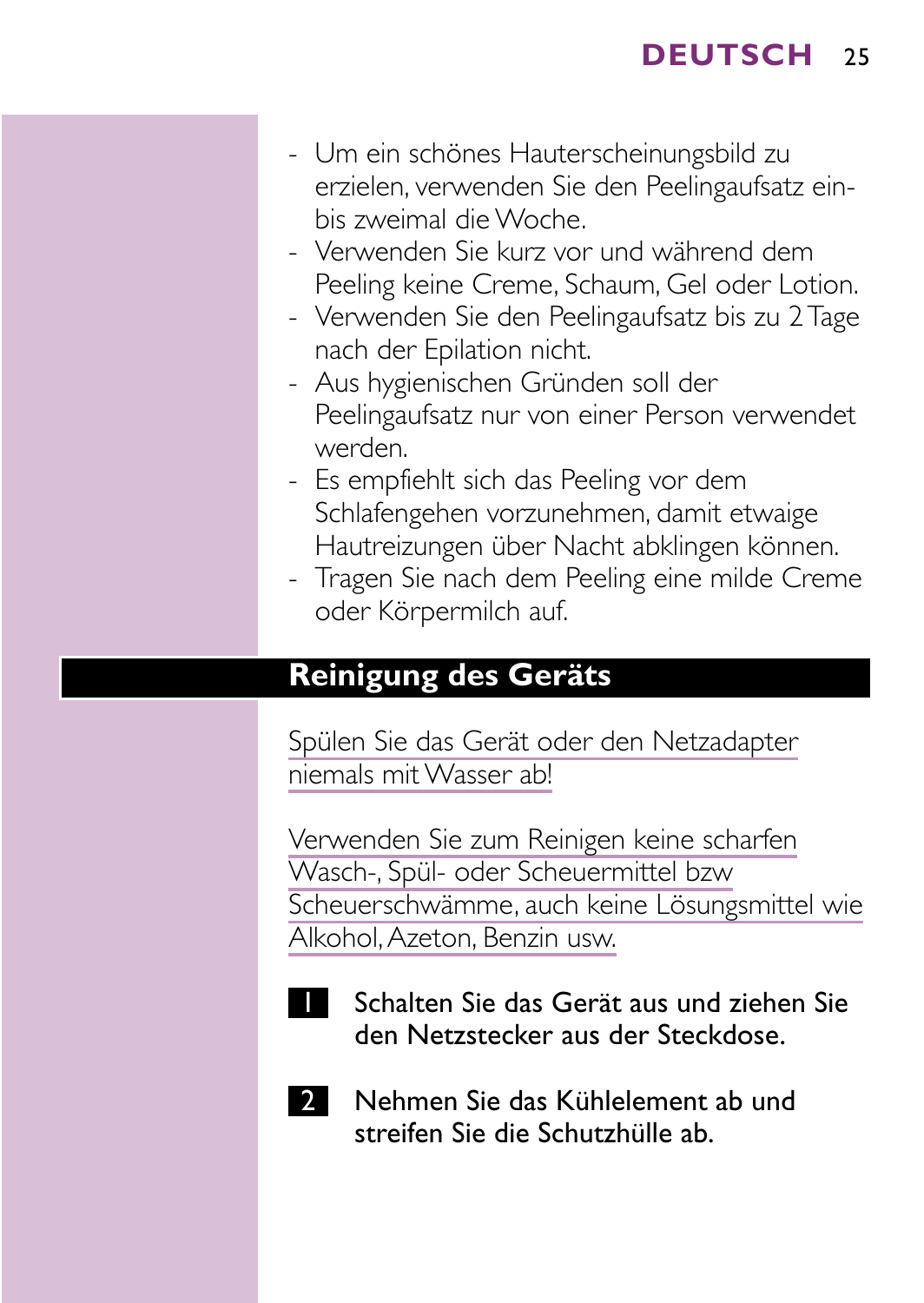- Um ein schönes Hauterscheinungsbild zu erzielen, verwenden Sie den Peelingaufsatz einbis zweimal die Woche.
- Verwenden Sie kurz vor und während dem Peeling keine Creme, Schaum, Gel oder Lotion.
- Verwenden Sie den Peelingaufsatz bis zu 2 Tage nach der Epilation nicht.
- Aus hygienischen Gründen soll der Peelingaufsatz nur von einer Person verwendet werden.
- Es empfiehlt sich das Peeling vor dem Schlafengehen vorzunehmen, damit etwaige Hautreizungen über Nacht abklingen können.
- Tragen Sie nach dem Peeling eine milde Creme oder Körpermilch auf.

### **Reinigung des Geräts**

Spülen Sie das Gerät oder den Netzadapter niemals mit Wasser ab!

Verwenden Sie zum Reinigen keine scharfen Wasch-, Spül- oder Scheuermittel bzw Scheuerschwämme, auch keine Lösungsmittel wie Alkohol,Azeton, Benzin usw.



1 Schalten Sie das Gerät aus und ziehen Sie den Netzstecker aus der Steckdose.



2 Nehmen Sie das Kühlelement ab und streifen Sie die Schutzhülle ab.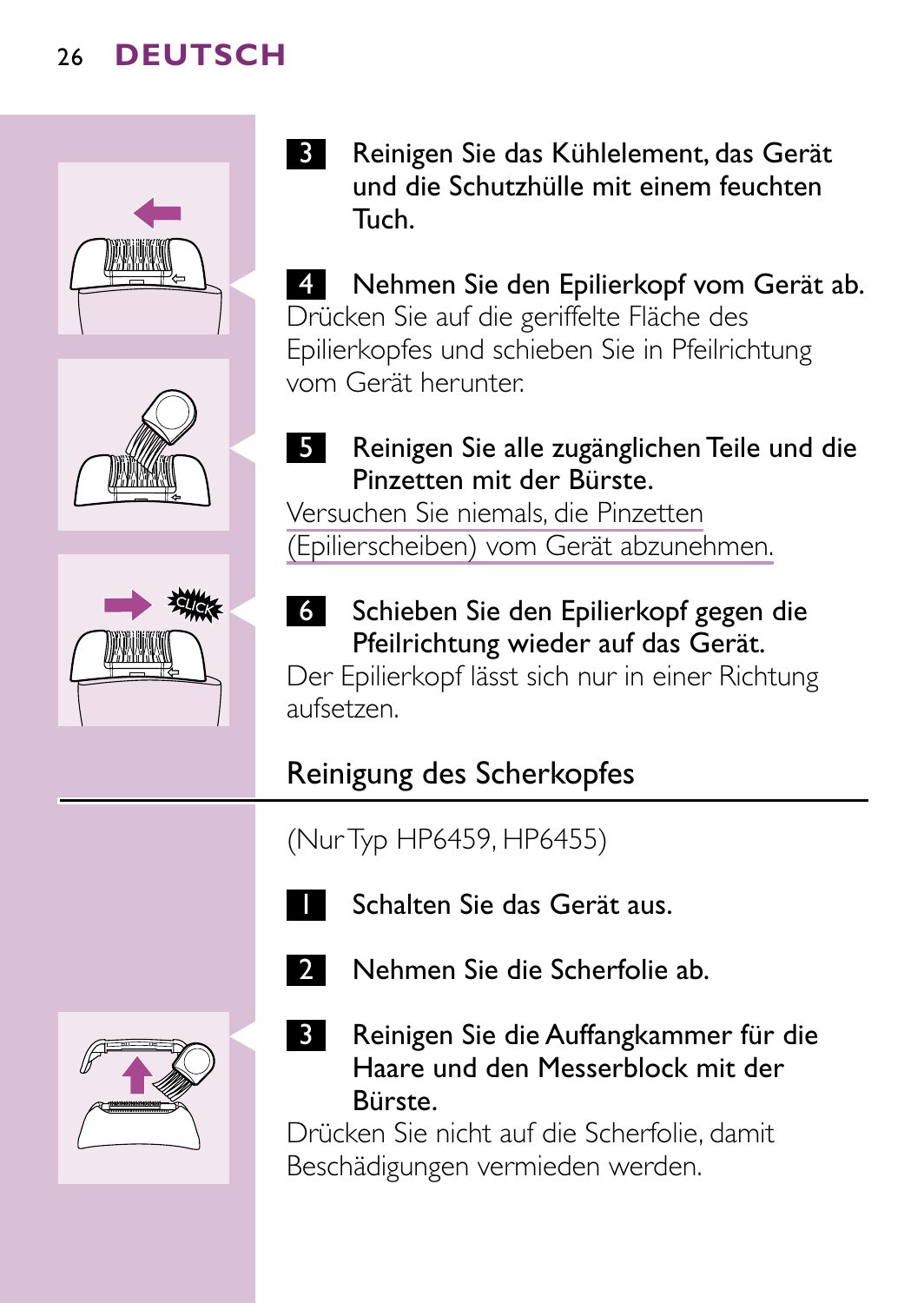





3 Reinigen Sie das Kühlelement, das Gerät und die Schutzhülle mit einem feuchten Tuch.

Nehmen Sie den Epilierkopf vom Gerät ab. Drücken Sie auf die geriffelte Fläche des Epilierkopfes und schieben Sie in Pfeilrichtung vom Gerät herunter.

5 Reinigen Sie alle zugänglichen Teile und die Pinzetten mit der Bürste.

Versuchen Sie niemals, die Pinzetten (Epilierscheiben) vom Gerät abzunehmen.



6 Schieben Sie den Epilierkopf gegen die Pfeilrichtung wieder auf das Gerät.

Der Epilierkopf lässt sich nur in einer Richtung aufsetzen.

# Reinigung des Scherkopfes

(Nur Typ HP6459, HP6455)



Schalten Sie das Gerät aus.



2 Nehmen Sie die Scherfolie ab.



**3** Reinigen Sie die Auffangkammer für die Haare und den Messerblock mit der Bürste.

Drücken Sie nicht auf die Scherfolie, damit Beschädigungen vermieden werden.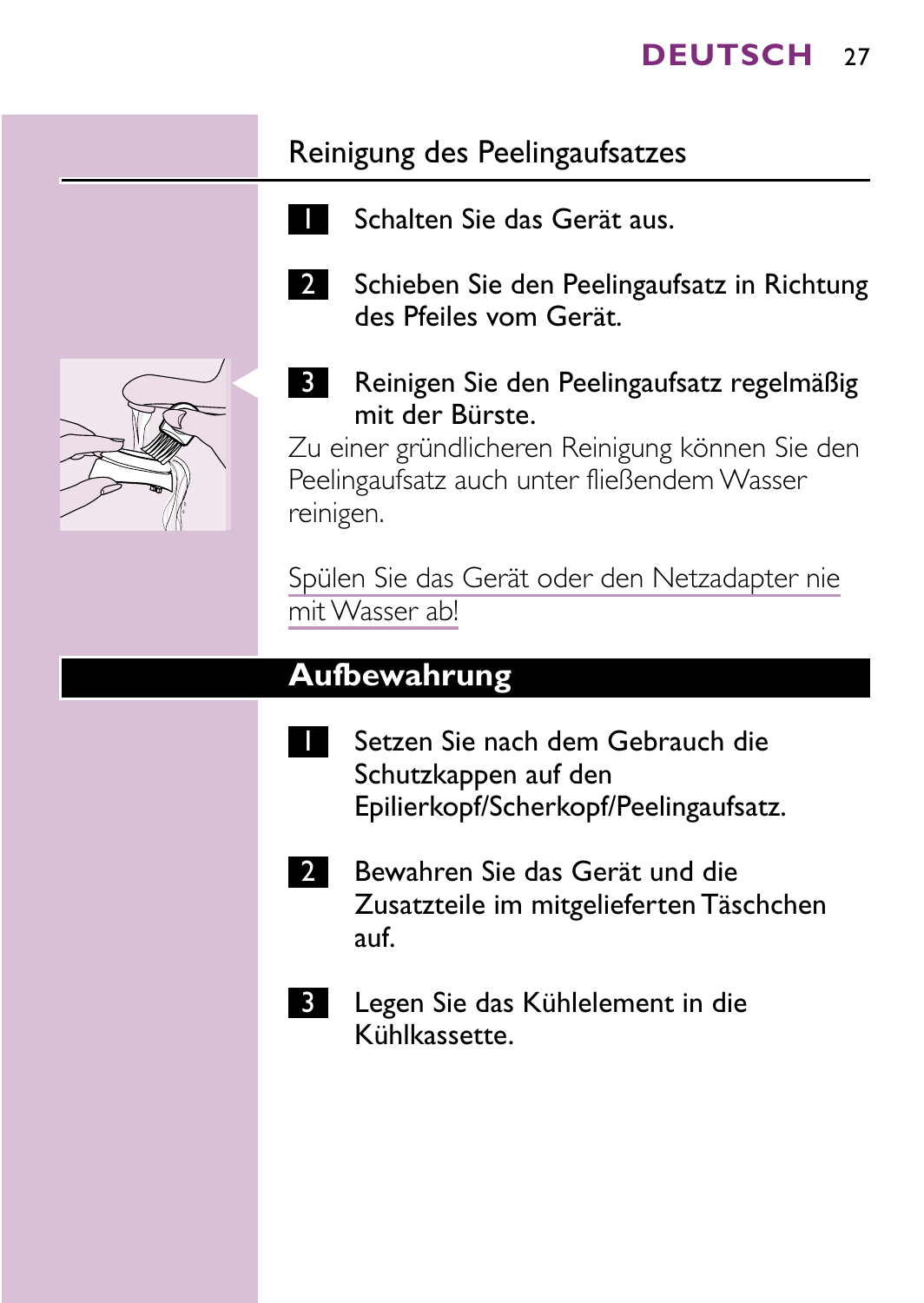## Reinigung des Peelingaufsatzes

- 1 Schalten Sie das Gerät aus.
- 2 Schieben Sie den Peelingaufsatz in Richtung des Pfeiles vom Gerät.



**3** Reinigen Sie den Peelingaufsatz regelmäßig mit der Bürste.

Zu einer gründlicheren Reinigung können Sie den Peelingaufsatz auch unter fließendem Wasser reinigen.

Spülen Sie das Gerät oder den Netzadapter nie mit Wasser ab!

### **Aufbewahrung**

- Setzen Sie nach dem Gebrauch die Schutzkappen auf den Epilierkopf/Scherkopf/Peelingaufsatz.
- 2 Bewahren Sie das Gerät und die Zusatzteile im mitgelieferten Täschchen auf.
- **3** Legen Sie das Kühlelement in die Kühlkassette.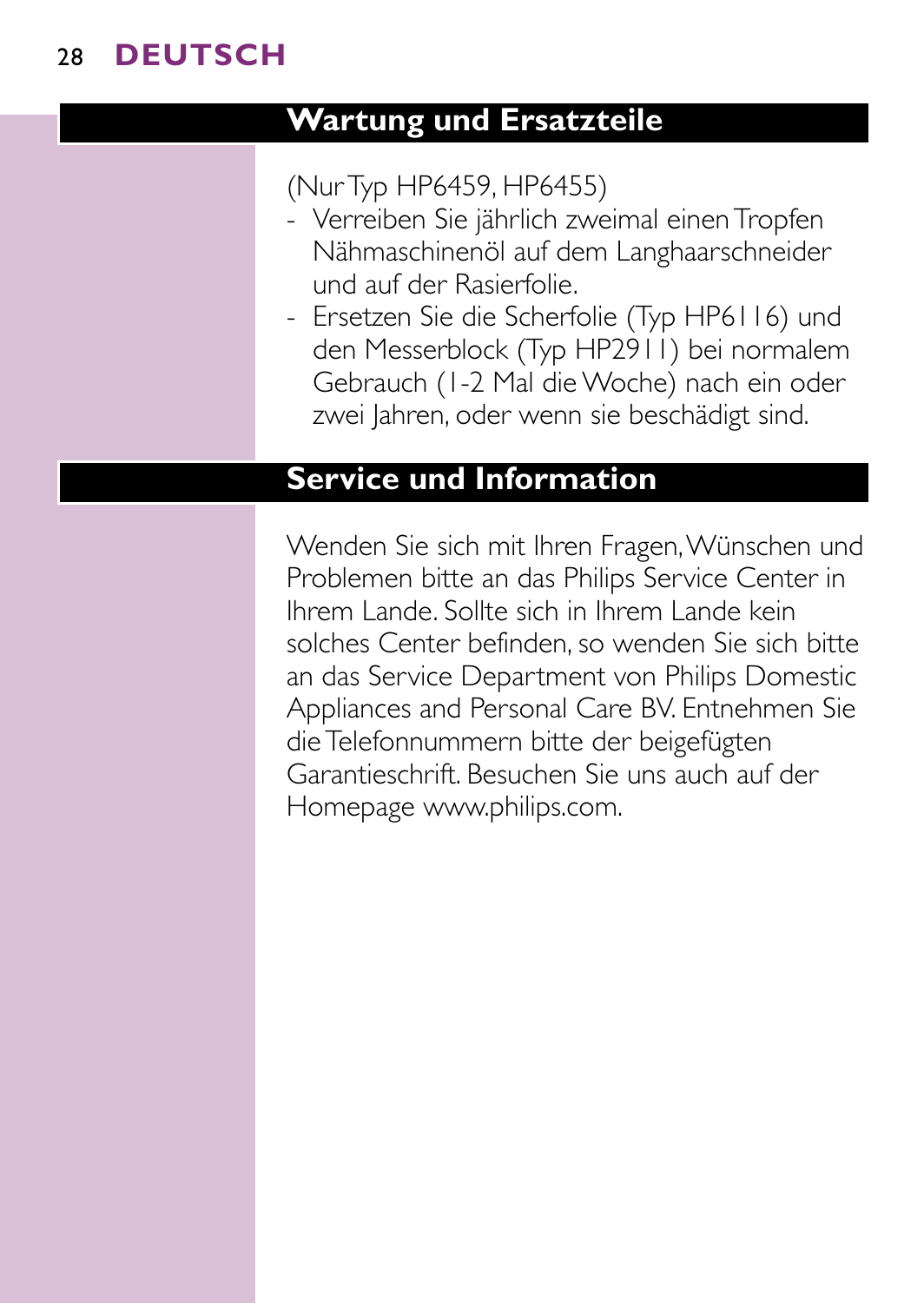# **Wartung und Ersatzteile**

### (Nur Typ HP6459, HP6455)

- Verreiben Sie jährlich zweimal einen Tropfen Nähmaschinenöl auf dem Langhaarschneider und auf der Rasierfolie.
- Ersetzen Sie die Scherfolie (Typ HP6116) und den Messerblock (Typ HP2911) bei normalem Gebrauch (1-2 Mal die Woche) nach ein oder zwei Jahren, oder wenn sie beschädigt sind.

## **Service und Information**

Wenden Sie sich mit Ihren Fragen,Wünschen und Problemen bitte an das Philips Service Center in Ihrem Lande. Sollte sich in Ihrem Lande kein solches Center befinden, so wenden Sie sich bitte an das Service Department von Philips Domestic Appliances and Personal Care BV. Entnehmen Sie die Telefonnummern bitte der beigefügten Garantieschrift. Besuchen Sie uns auch auf der Homepage www.philips.com.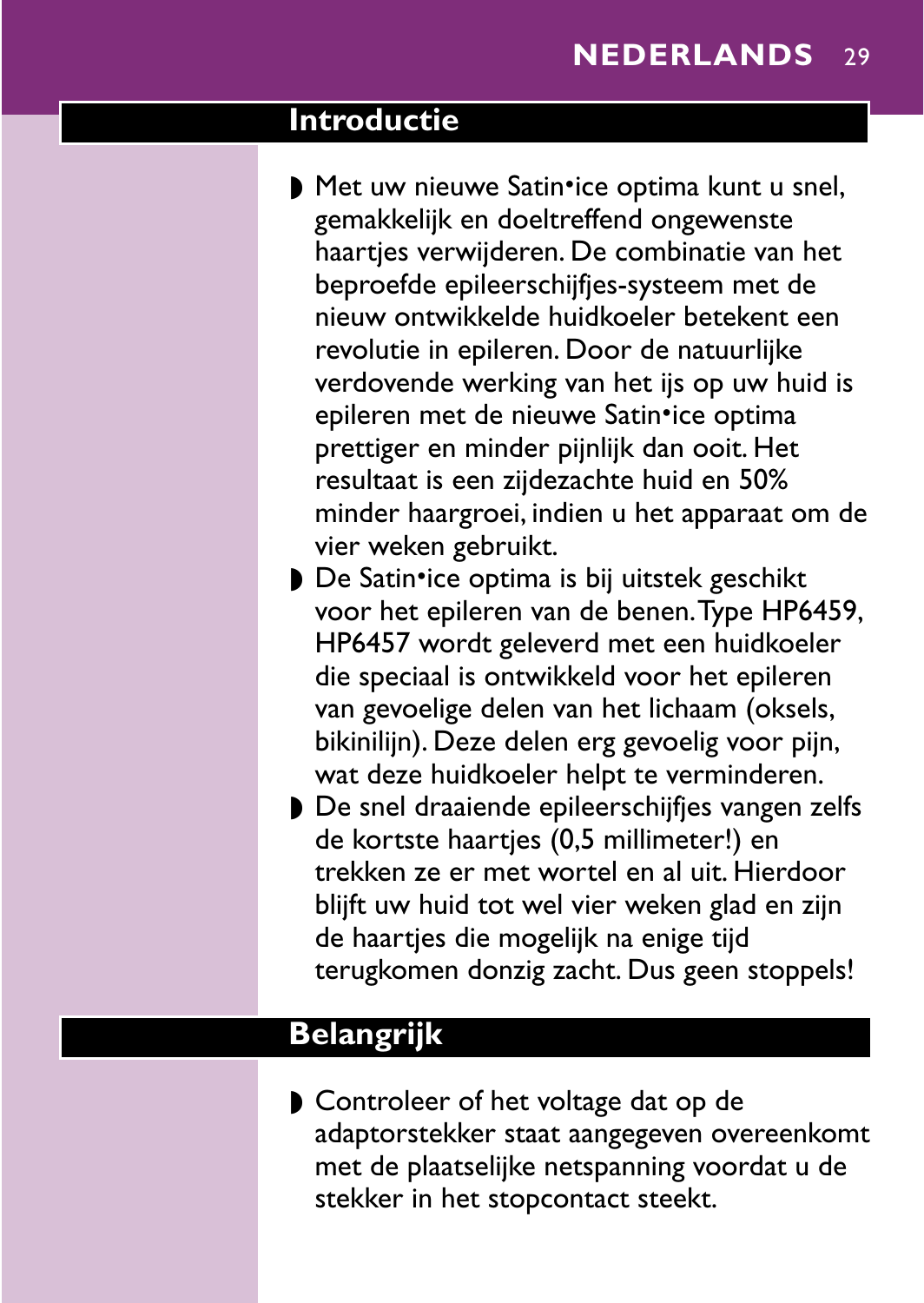## <span id="page-24-0"></span>**Introductie**

- ▶ Met uw nieuwe Satin•ice optima kunt u snel, gemakkelijk en doeltreffend ongewenste haartjes verwijderen. De combinatie van het beproefde epileerschijfjes-systeem met de nieuw ontwikkelde huidkoeler betekent een revolutie in epileren. Door de natuurlijke verdovende werking van het ijs op uw huid is epileren met de nieuwe Satin•ice optima prettiger en minder pijnlijk dan ooit. Het resultaat is een zijdezachte huid en 50% minder haargroei, indien u het apparaat om de vier weken gebruikt.
- ▶ De Satin•ice optima is bij uitstek geschikt voor het epileren van de benen.Type HP6459, HP6457 wordt geleverd met een huidkoeler die speciaal is ontwikkeld voor het epileren van gevoelige delen van het lichaam (oksels, bikinilijn). Deze delen erg gevoelig voor pijn, wat deze huidkoeler helpt te verminderen.
- ◗ De snel draaiende epileerschijfjes vangen zelfs de kortste haartjes (0,5 millimeter!) en trekken ze er met wortel en al uit. Hierdoor blijft uw huid tot wel vier weken glad en zijn de haartjes die mogelijk na enige tijd terugkomen donzig zacht. Dus geen stoppels!

### **Belangrijk**

◗ Controleer of het voltage dat op de adaptorstekker staat aangegeven overeenkomt met de plaatselijke netspanning voordat u de stekker in het stopcontact steekt.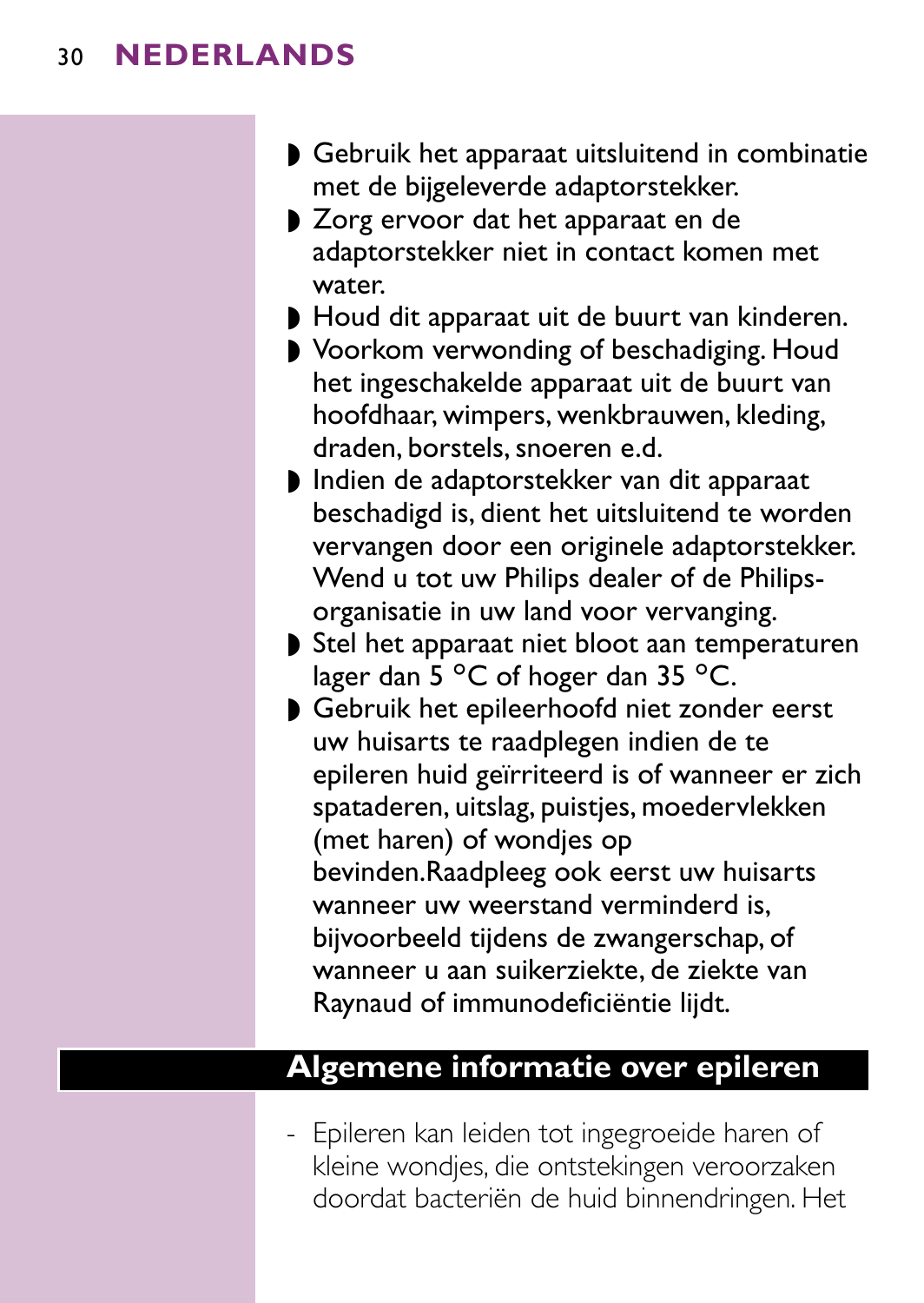- ◗ Gebruik het apparaat uitsluitend in combinatie met de bijgeleverde adaptorstekker.
- ◗ Zorg ervoor dat het apparaat en de adaptorstekker niet in contact komen met water.
- ◗ Houd dit apparaat uit de buurt van kinderen.
- ◗ Voorkom verwonding of beschadiging. Houd het ingeschakelde apparaat uit de buurt van hoofdhaar, wimpers, wenkbrauwen, kleding, draden, borstels, snoeren e.d.
- ◗ Indien de adaptorstekker van dit apparaat beschadigd is, dient het uitsluitend te worden vervangen door een originele adaptorstekker. Wend u tot uw Philips dealer of de Philipsorganisatie in uw land voor vervanging.
- ◗ Stel het apparaat niet bloot aan temperaturen lager dan 5  $^{\circ}$ C of hoger dan 35  $^{\circ}$ C.
- ◗ Gebruik het epileerhoofd niet zonder eerst uw huisarts te raadplegen indien de te epileren huid geïrriteerd is of wanneer er zich spataderen, uitslag, puistjes, moedervlekken (met haren) of wondjes op bevinden.Raadpleeg ook eerst uw huisarts wanneer uw weerstand verminderd is, bijvoorbeeld tijdens de zwangerschap, of wanneer u aan suikerziekte, de ziekte van Raynaud of immunodeficiëntie lijdt.

### **Algemene informatie over epileren**

- Epileren kan leiden tot ingegroeide haren of kleine wondjes, die ontstekingen veroorzaken doordat bacteriën de huid binnendringen. Het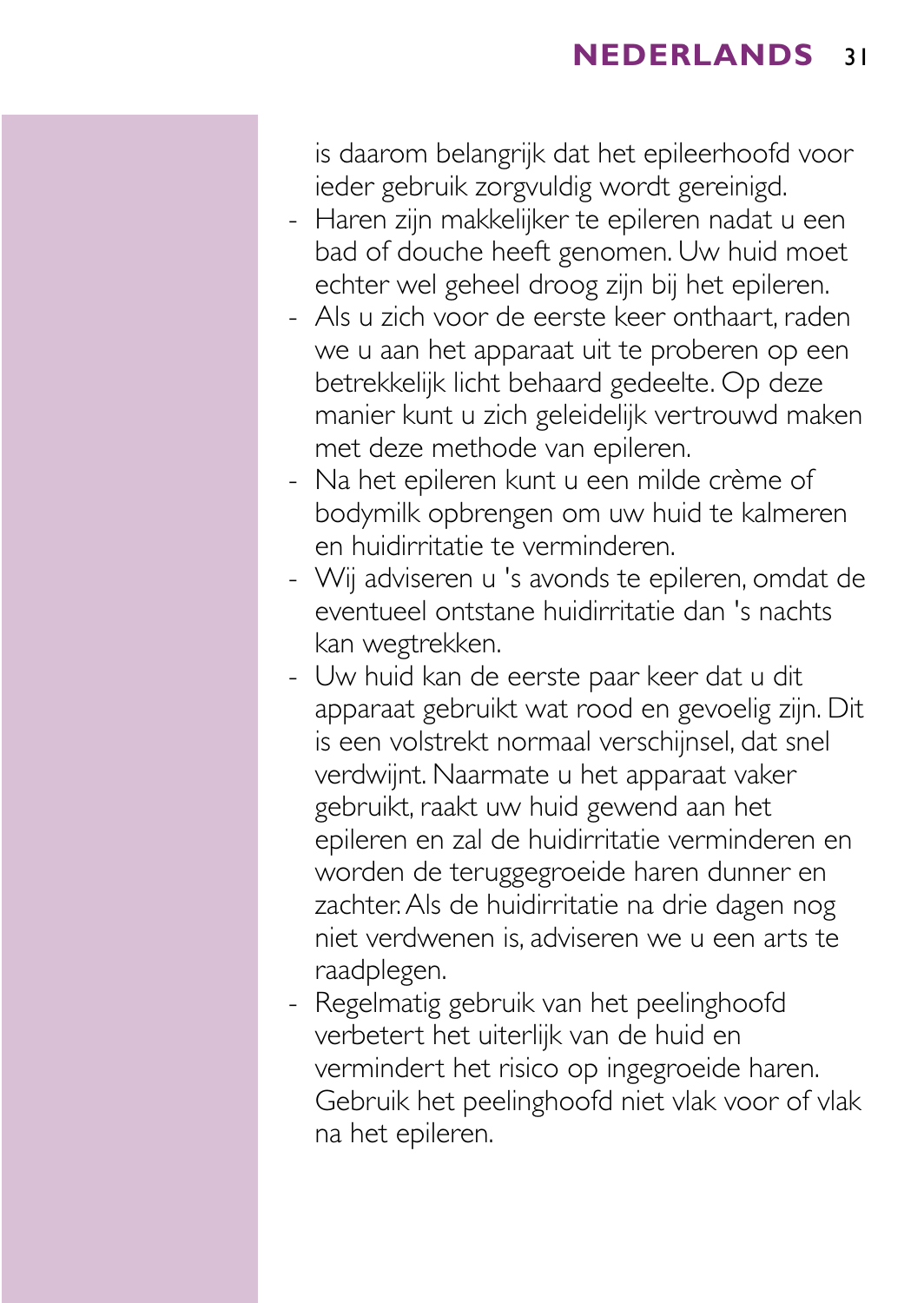is daarom belangrijk dat het epileerhoofd voor ieder gebruik zorgvuldig wordt gereinigd.

- Haren zijn makkelijker te epileren nadat u een bad of douche heeft genomen. Uw huid moet echter wel geheel droog zijn bij het epileren.
- Als u zich voor de eerste keer onthaart, raden we u aan het apparaat uit te proberen op een betrekkelijk licht behaard gedeelte. Op deze manier kunt u zich geleidelijk vertrouwd maken met deze methode van epileren.
- Na het epileren kunt u een milde crème of bodymilk opbrengen om uw huid te kalmeren en huidirritatie te verminderen.
- Wij adviseren u 's avonds te epileren, omdat de eventueel ontstane huidirritatie dan 's nachts kan wegtrekken.
- Uw huid kan de eerste paar keer dat u dit apparaat gebruikt wat rood en gevoelig zijn. Dit is een volstrekt normaal verschijnsel, dat snel verdwijnt. Naarmate u het apparaat vaker gebruikt, raakt uw huid gewend aan het epileren en zal de huidirritatie verminderen en worden de teruggegroeide haren dunner en zachter.Als de huidirritatie na drie dagen nog niet verdwenen is, adviseren we u een arts te raadplegen.
- Regelmatig gebruik van het peelinghoofd verbetert het uiterlijk van de huid en vermindert het risico op ingegroeide haren. Gebruik het peelinghoofd niet vlak voor of vlak na het epileren.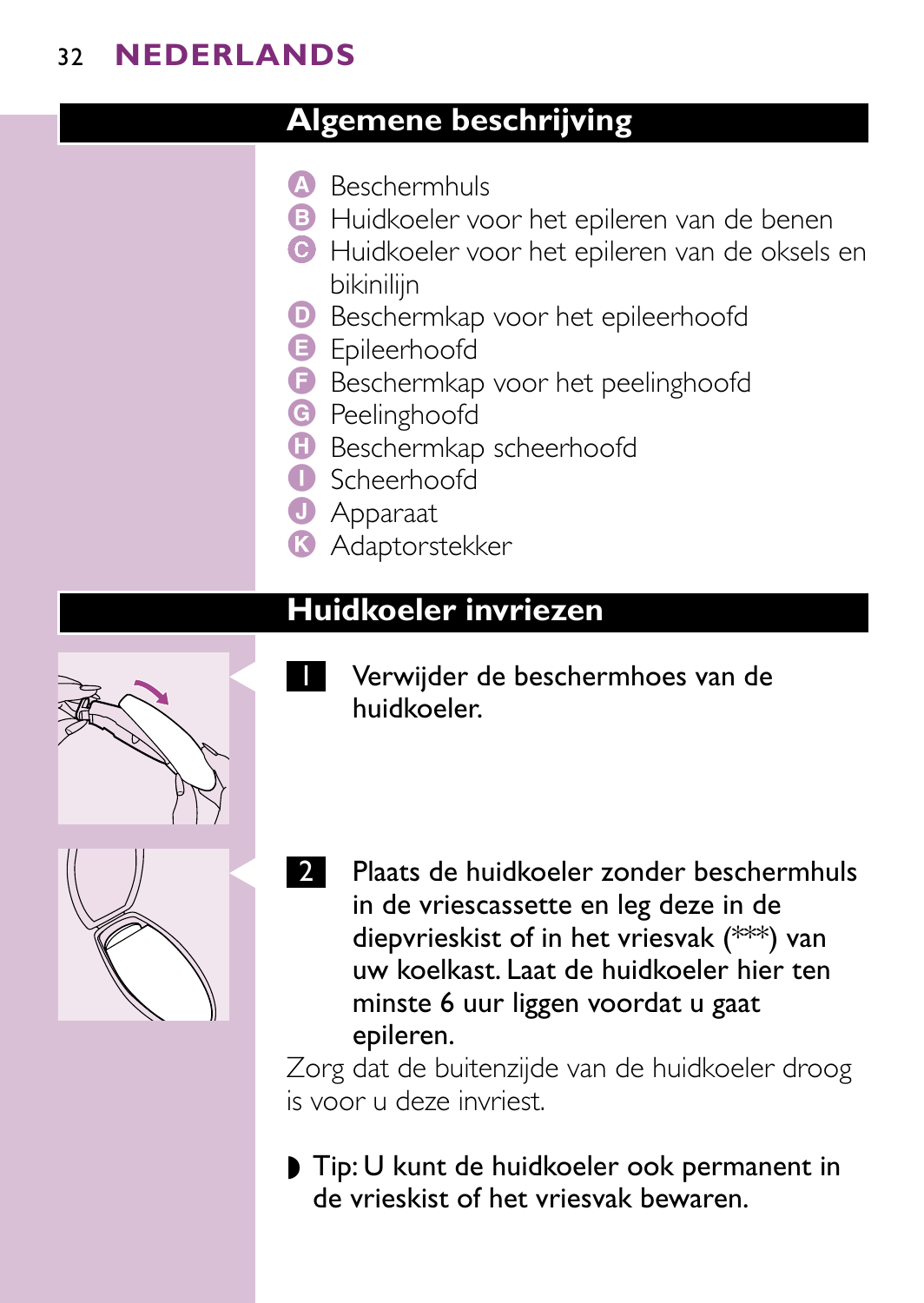## **Algemene beschrijving**

- A Beschermhuls
- **B** Huidkoeler voor het epileren van de benen
- C Huidkoeler voor het epileren van de oksels en bikiniliin
- D Beschermkap voor het epileerhoofd
- **B** Epileerhoofd
- F Beschermkap voor het peelinghoofd
- **G** Peelinghoofd
- **G** Beschermkap scheerhoofd
- I Scheerhoofd
- **J** Apparaat
- **K** Adaptorstekker

# **Huidkoeler invriezen**



Verwijder de beschermhoes van de huidkoeler.



2 Plaats de huidkoeler zonder beschermhuls in de vriescassette en leg deze in de diepvrieskist of in het vriesvak (\*\*\*) van uw koelkast. Laat de huidkoeler hier ten minste 6 uur liggen voordat u gaat epileren.

Zorg dat de buitenzijde van de huidkoeler droog is voor u deze invriest.

◗ Tip: U kunt de huidkoeler ook permanent in de vrieskist of het vriesvak bewaren.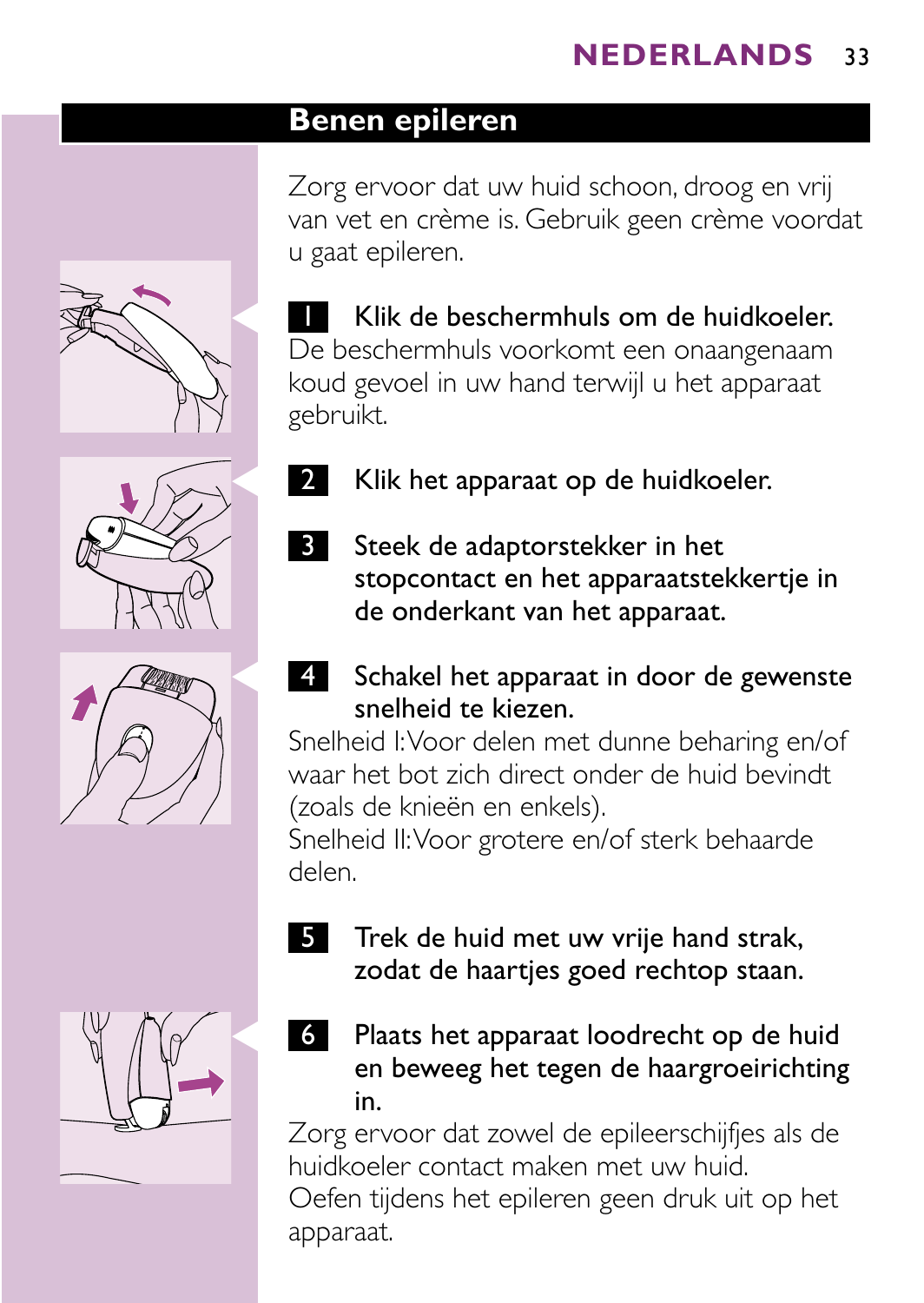### **Benen epileren**

Zorg ervoor dat uw huid schoon, droog en vrij van vet en crème is. Gebruik geen crème voordat u gaat epileren.



**T** Klik de beschermhuls om de huidkoeler. De beschermhuls voorkomt een onaangenaam koud gevoel in uw hand terwijl u het apparaat gebruikt.

Klik het apparaat op de huidkoeler.

**3** Steek de adaptorstekker in het

de onderkant van het apparaat.









stopcontact en het apparaatstekkertje in

Snelheid I:Voor delen met dunne beharing en/of waar het bot zich direct onder de huid bevindt (zoals de knieën en enkels).

Snelheid II:Voor grotere en/of sterk behaarde delen.

- 5 Trek de huid met uw vrije hand strak, zodat de haartjes goed rechtop staan.
- 6 Plaats het apparaat loodrecht op de huid en beweeg het tegen de haargroeirichting in.

Zorg ervoor dat zowel de epileerschijfjes als de huidkoeler contact maken met uw huid. Oefen tijdens het epileren geen druk uit op het apparaat.

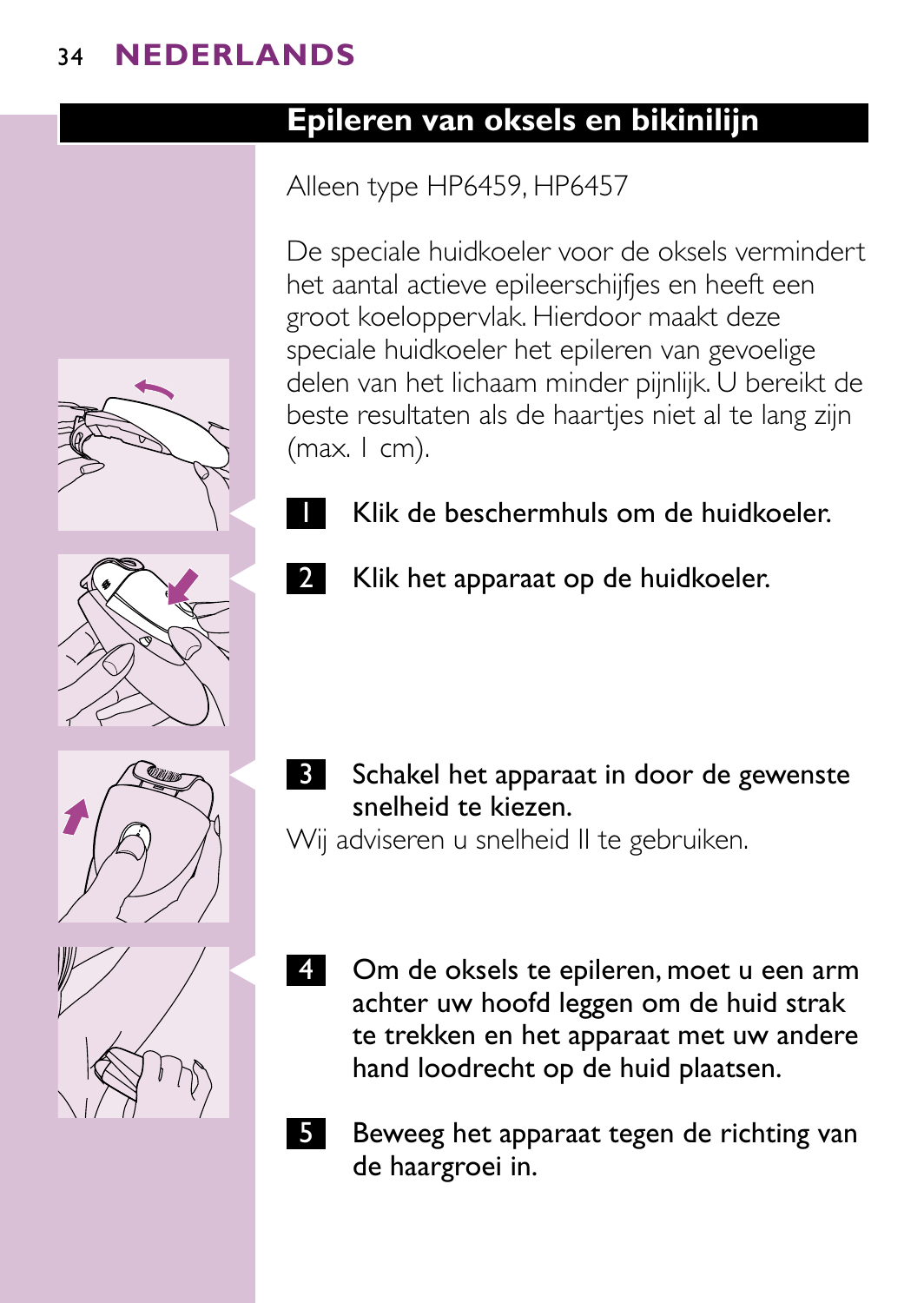## **Epileren van oksels en bikinilijn**

# Alleen type HP6459, HP6457

De speciale huidkoeler voor de oksels vermindert het aantal actieve epileerschijfjes en heeft een groot koeloppervlak. Hierdoor maakt deze speciale huidkoeler het epileren van gevoelige delen van het lichaam minder pijnlijk. U bereikt de beste resultaten als de haartjes niet al te lang zijn  $(max. I cm).$ 



**2** Klik het apparaat op de huidkoeler.

Schakel het apparaat in door de gewenste snelheid te kiezen.

Wij adviseren u snelheid II te gebruiken.

- Om de oksels te epileren, moet u een arm achter uw hoofd leggen om de huid strak te trekken en het apparaat met uw andere hand loodrecht op de huid plaatsen.
- 5 Beweeg het apparaat tegen de richting van de haargroei in.







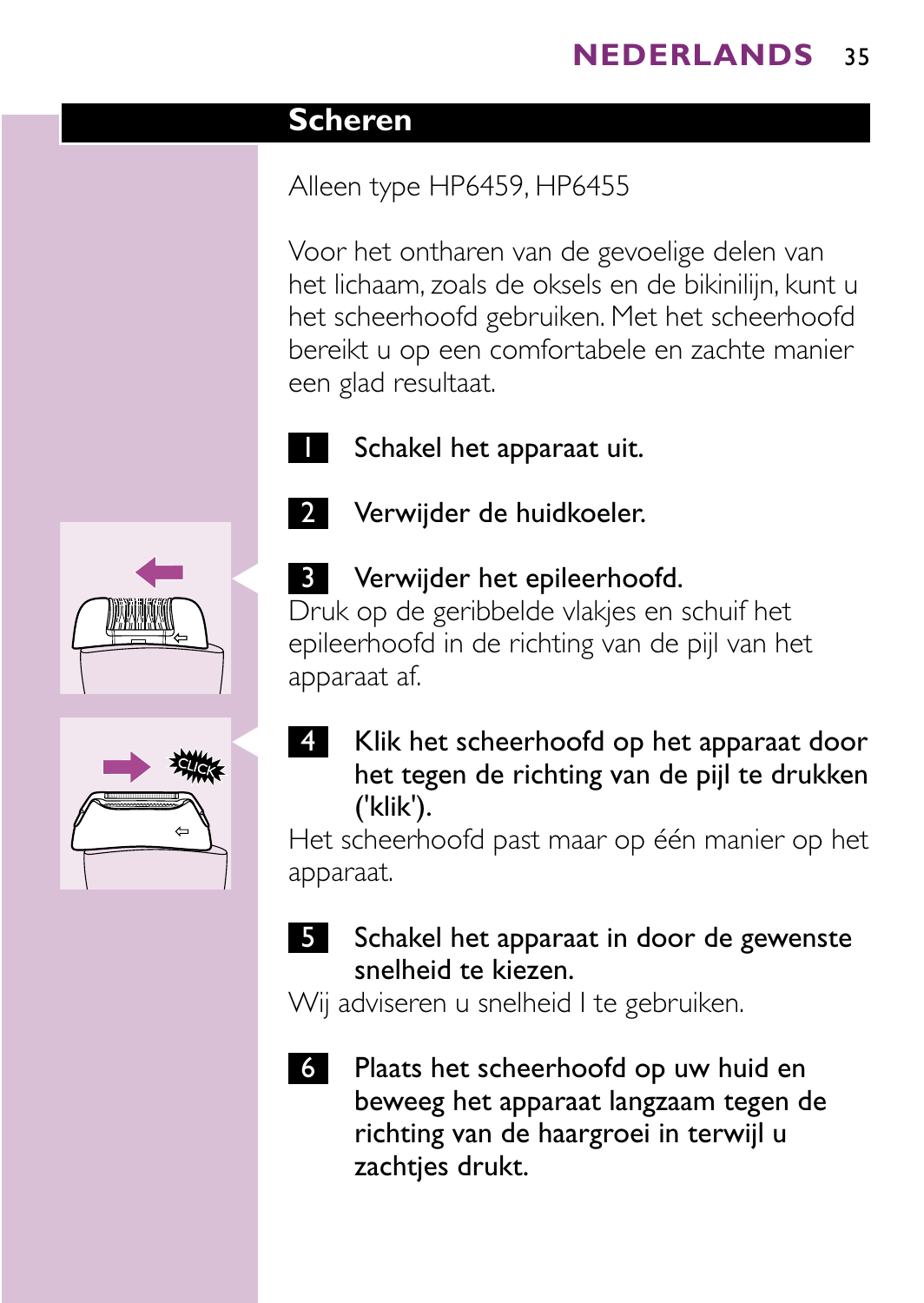### **Scheren**

# Alleen type HP6459, HP6455

Voor het ontharen van de gevoelige delen van het lichaam, zoals de oksels en de bikinilijn, kunt u het scheerhoofd gebruiken. Met het scheerhoofd bereikt u op een comfortabele en zachte manier een glad resultaat.

Schakel het apparaat uit.





# **3** Verwijder het epileerhoofd.

2 Verwijder de huidkoeler.

Druk op de geribbelde vlakjes en schuif het epileerhoofd in de richting van de pijl van het apparaat af.

4 Klik het scheerhoofd op het apparaat door het tegen de richting van de pijl te drukken ('klik').

Het scheerhoofd past maar op één manier op het apparaat.

### 5 Schakel het apparaat in door de gewenste snelheid te kiezen.

Wij adviseren u snelheid I te gebruiken.

6 Plaats het scheerhoofd op uw huid en beweeg het apparaat langzaam tegen de richting van de haargroei in terwijl u zachtjes drukt.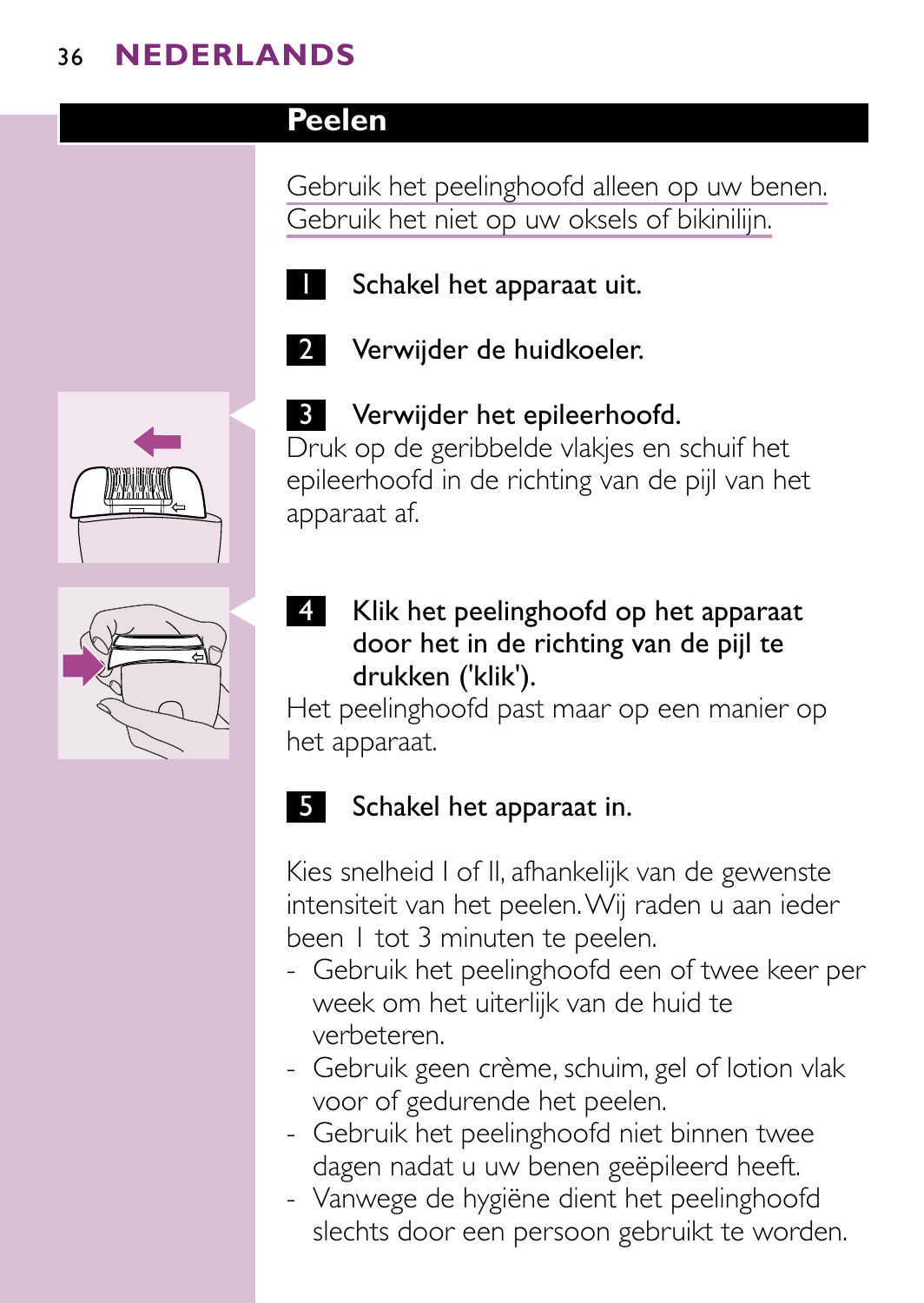# **Peelen**

Gebruik het peelinghoofd alleen op uw benen. Gebruik het niet op uw oksels of bikinilijn.



**1** Schakel het apparaat uit.







### **3** Verwijder het epileerhoofd.

Druk op de geribbelde vlakjes en schuif het epileerhoofd in de richting van de pijl van het apparaat af.

4 Klik het peelinghoofd op het apparaat door het in de richting van de pijl te drukken ('klik').

Het peelinghoofd past maar op een manier op het apparaat.

## 5 Schakel het apparaat in.

Kies snelheid I of II, afhankelijk van de gewenste intensiteit van het peelen.Wij raden u aan ieder been 1 tot 3 minuten te peelen.

- Gebruik het peelinghoofd een of twee keer per week om het uiterlijk van de huid te verbeteren.
- Gebruik geen crème, schuim, gel of lotion vlak voor of gedurende het peelen.
- Gebruik het peelinghoofd niet binnen twee dagen nadat u uw benen geëpileerd heeft.
- Vanwege de hygiëne dient het peelinghoofd slechts door een persoon gebruikt te worden.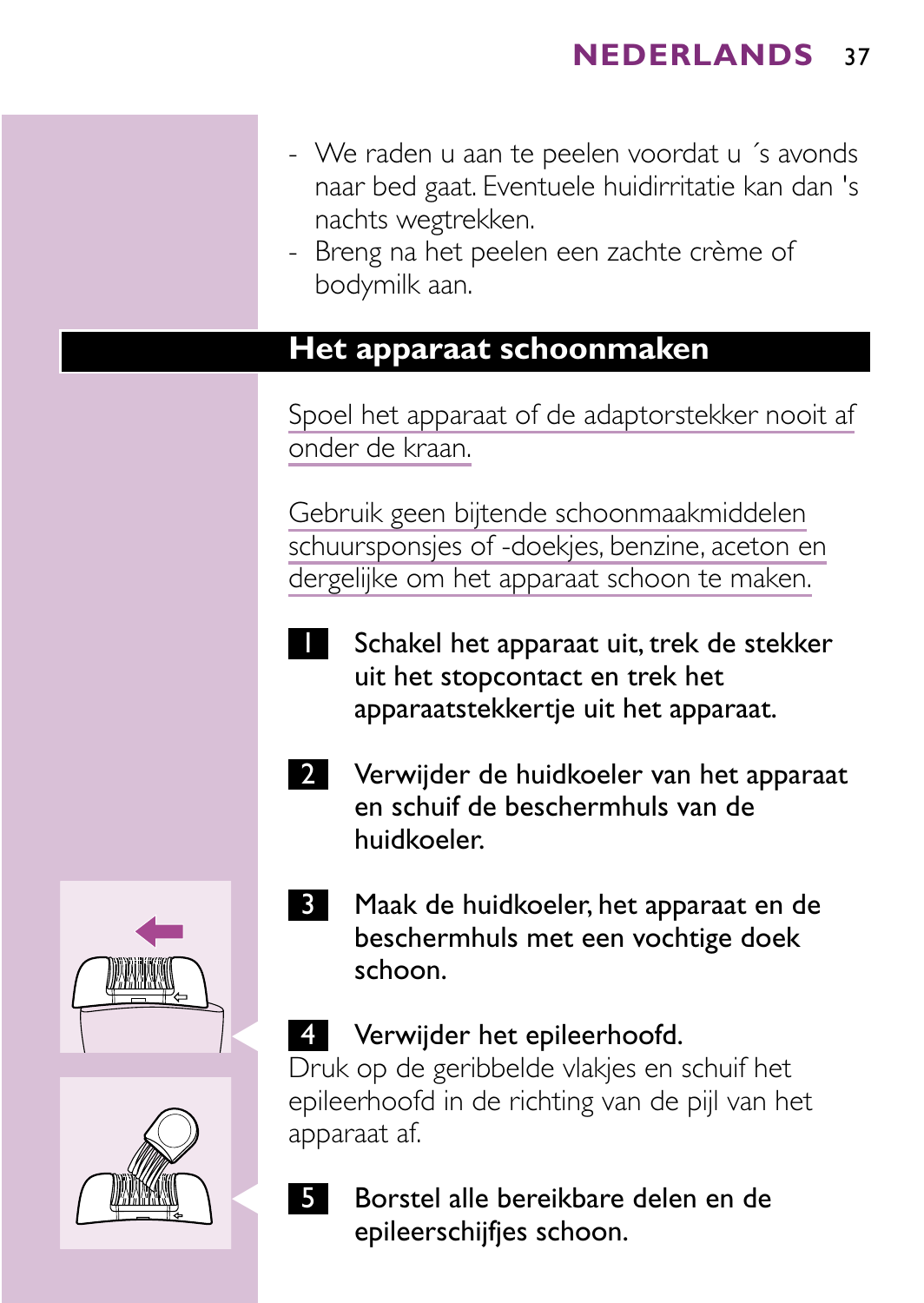- We raden u aan te peelen voordat u ´s avonds naar bed gaat. Eventuele huidirritatie kan dan 's nachts wegtrekken.
- Breng na het peelen een zachte crème of bodymilk aan.

### **Het apparaat schoonmaken**

Spoel het apparaat of de adaptorstekker nooit af onder de kraan.

Gebruik geen bijtende schoonmaakmiddelen schuursponsjes of -doekjes, benzine, aceton en dergelijke om het apparaat schoon te maken.

- Schakel het apparaat uit, trek de stekker uit het stopcontact en trek het apparaatstekkertje uit het apparaat.
- 2 Verwijder de huidkoeler van het apparaat en schuif de beschermhuls van de huidkoeler.
- 3 Maak de huidkoeler, het apparaat en de beschermhuls met een vochtige doek schoon.

### 4 Verwijder het epileerhoofd.

Druk op de geribbelde vlakjes en schuif het epileerhoofd in de richting van de pijl van het apparaat af.

Borstel alle bereikbare delen en de epileerschijfjes schoon.



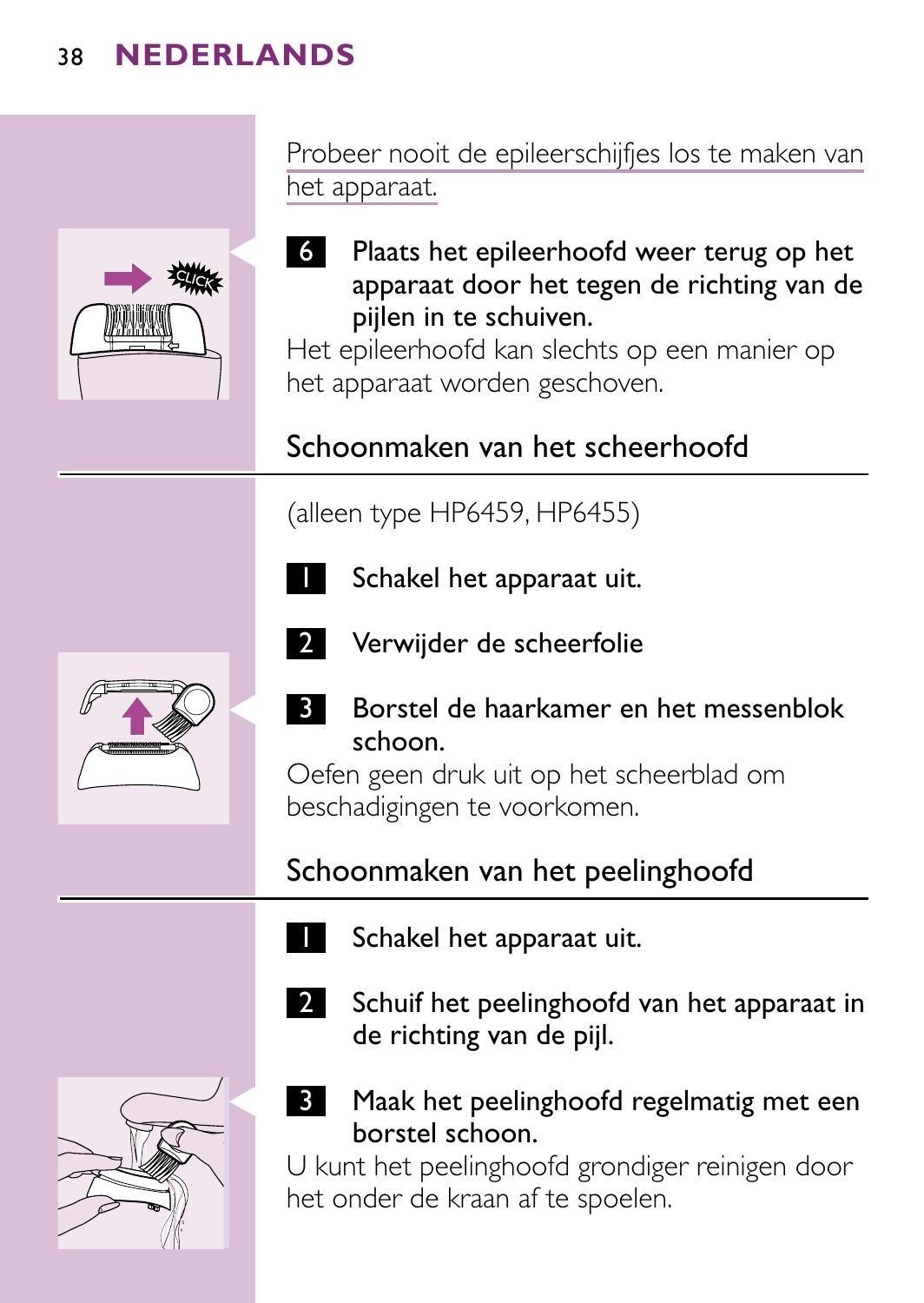

Probeer nooit de epileerschijfjes los te maken van het apparaat.

C <sup>6</sup> Plaats het epileerhoofd weer terug op het apparaat door het tegen de richting van de pijlen in te schuiven.

Het epileerhoofd kan slechts op een manier op het apparaat worden geschoven.

# Schoonmaken van het scheerhoofd

### (alleen type HP6459, HP6455)



Schakel het apparaat uit.

- 
- 2 Verwijder de scheerfolie



Borstel de haarkamer en het messenblok schoon.

Oefen geen druk uit op het scheerblad om beschadigingen te voorkomen.

# Schoonmaken van het peelinghoofd

- Schakel het apparaat uit.
	-
- 2 Schuif het peelinghoofd van het apparaat in de richting van de pijl.



**3** Maak het peelinghoofd regelmatig met een borstel schoon.

U kunt het peelinghoofd grondiger reinigen door het onder de kraan af te spoelen.

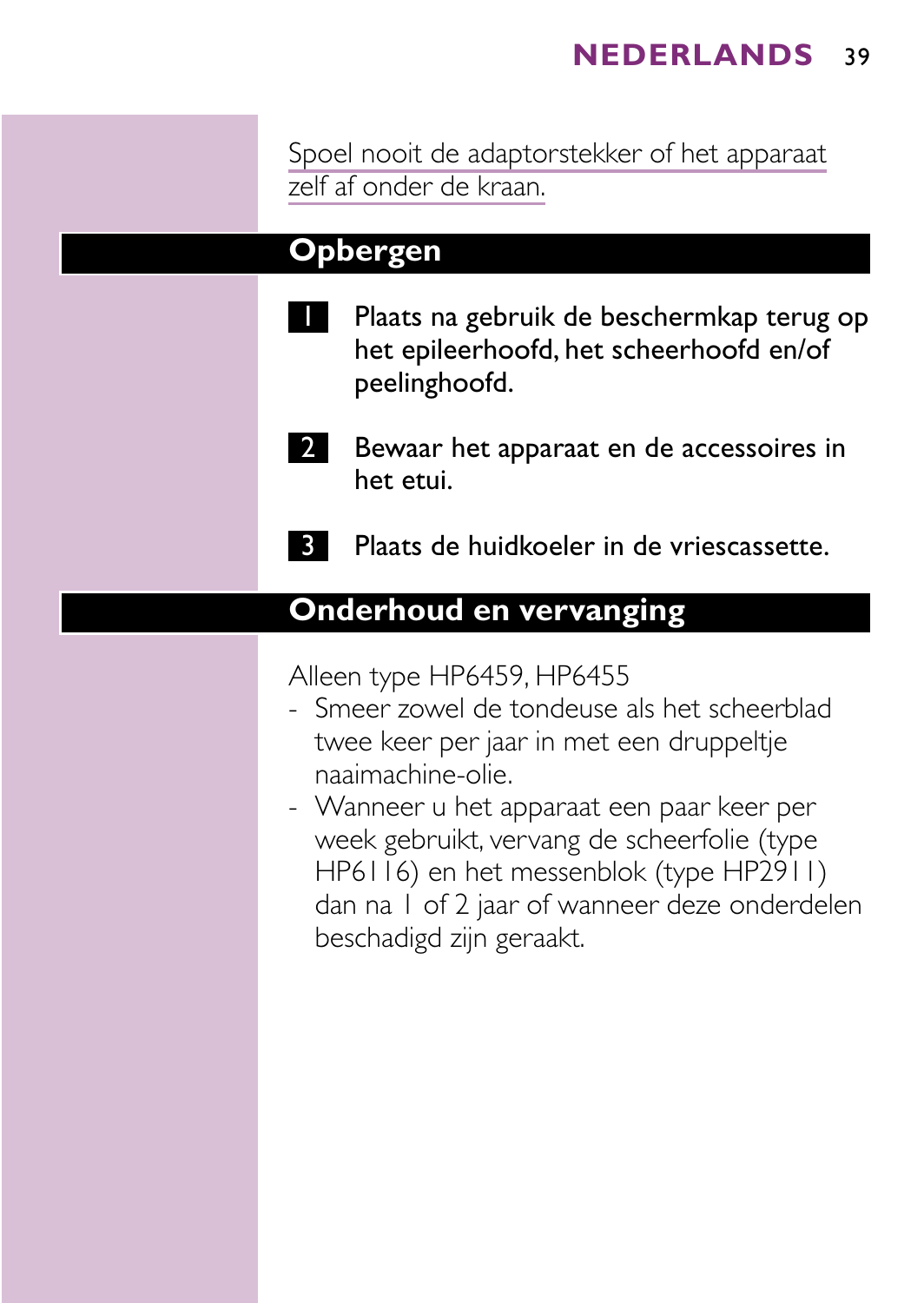Spoel nooit de adaptorstekker of het apparaat zelf af onder de kraan.

### **Opbergen**

- Plaats na gebruik de beschermkap terug op het epileerhoofd, het scheerhoofd en/of peelinghoofd.
- **2** Bewaar het apparaat en de accessoires in het etui.
	- 3 Plaats de huidkoeler in de vriescassette.

## **Onderhoud en vervanging**

Alleen type HP6459, HP6455

- Smeer zowel de tondeuse als het scheerblad twee keer per jaar in met een druppeltje naaimachine-olie.
- Wanneer u het apparaat een paar keer per week gebruikt, vervang de scheerfolie (type HP6116) en het messenblok (type HP2911) dan na 1 of 2 jaar of wanneer deze onderdelen beschadigd zijn geraakt.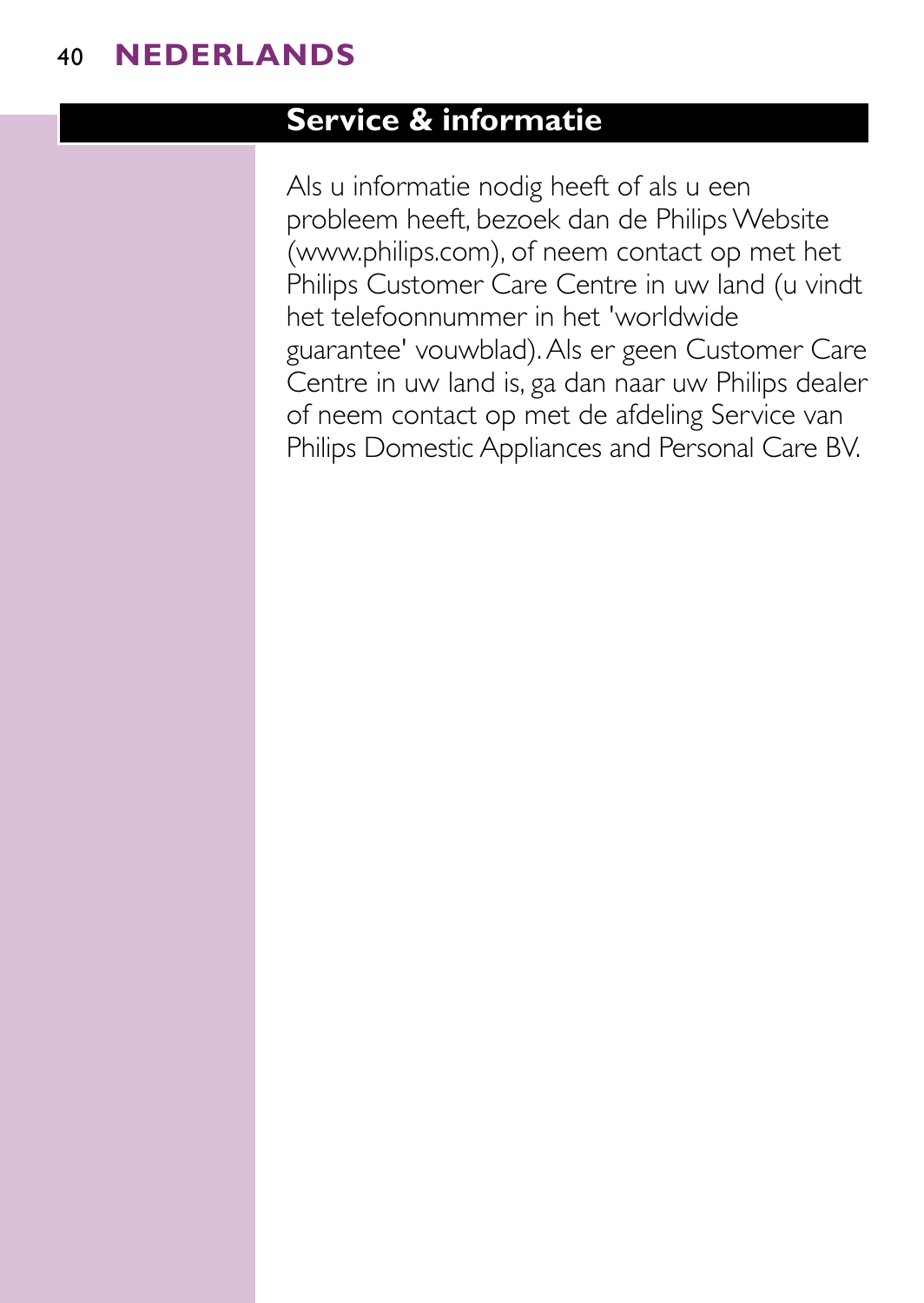### **Service & informatie**

Als u informatie nodig heeft of als u een probleem heeft, bezoek dan de Philips Website (www.philips.com), of neem contact op met het Philips Customer Care Centre in uw land (u vindt het telefoonnummer in het 'worldwide guarantee' vouwblad).Als er geen Customer Care Centre in uw land is, ga dan naar uw Philips dealer of neem contact op met de afdeling Service van Philips Domestic Appliances and Personal Care BV.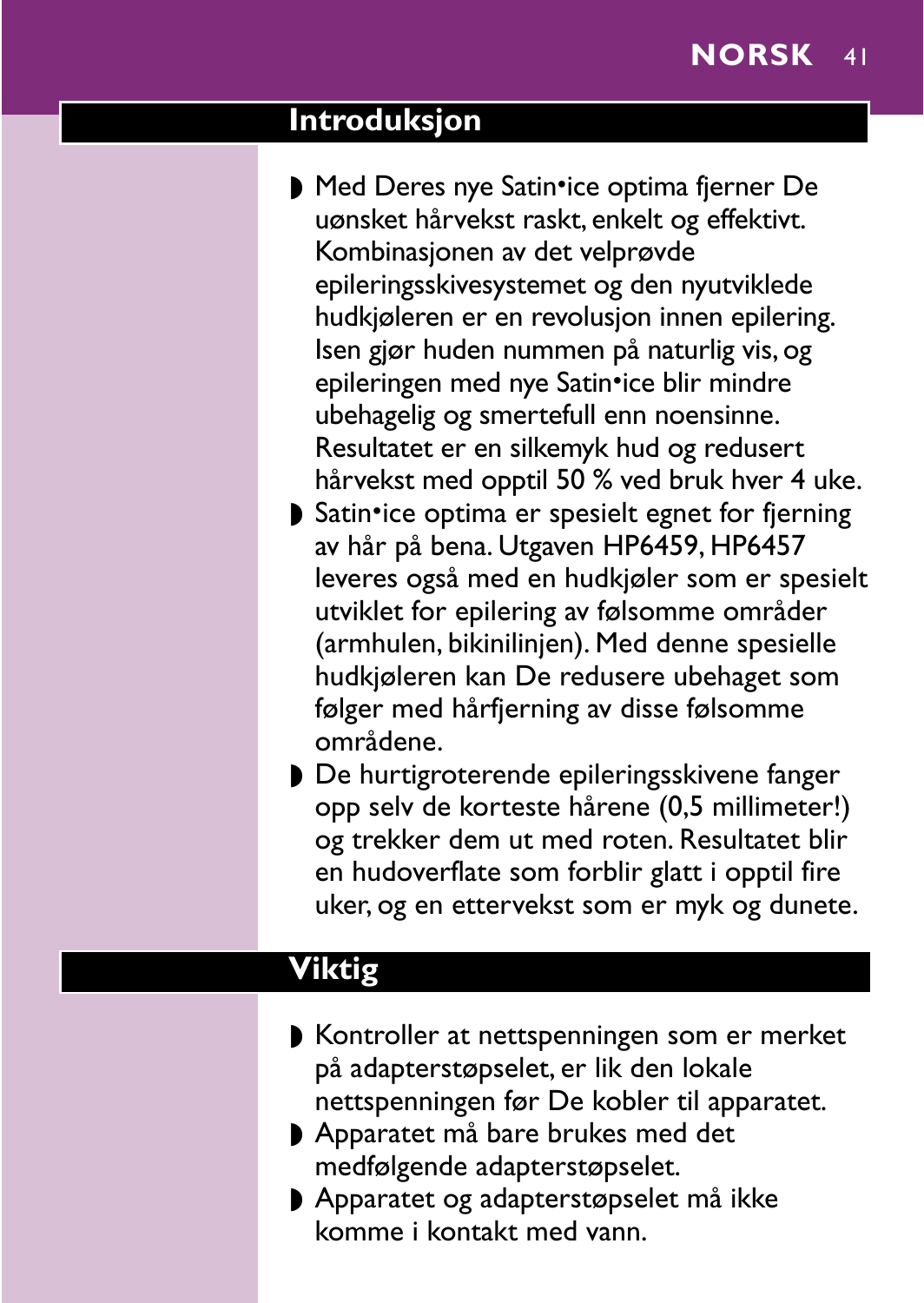#### **Introduksjon**

- Med Deres nye Satin•ice optima fjerner De uønsket hårvekst raskt, enkelt og effektivt. Kombinasjonen av det velprøvde epileringsskivesystemet og den nyutviklede hudkjøleren er en revolusjon innen epilering. Isen gjør huden nummen på naturlig vis, og epileringen med nye Satin•ice blir mindre ubehagelig og smertefull enn noensinne. Resultatet er en silkemyk hud og redusert hårvekst med opptil 50 % ved bruk hver 4 uke.
- ▶ Satin•ice optima er spesielt egnet for fjerning av hår på bena. Utgaven HP6459, HP6457 leveres også med en hudkjøler som er spesielt utviklet for epilering av følsomme områder (armhulen, bikinilinjen). Med denne spesielle hudkjøleren kan De redusere ubehaget som følger med hårfjerning av disse følsomme områdene.
- ◗ De hurtigroterende epileringsskivene fanger opp selv de korteste hårene (0,5 millimeter!) og trekker dem ut med roten. Resultatet blir en hudoverflate som forblir glatt i opptil fire uker, og en ettervekst som er myk og dunete.

# **Viktig**

- ◗ Kontroller at nettspenningen som er merket på adapterstøpselet, er lik den lokale nettspenningen før De kobler til apparatet.
- ◗ Apparatet må bare brukes med det medfølgende adapterstøpselet.
- ◗ Apparatet og adapterstøpselet må ikke komme i kontakt med vann.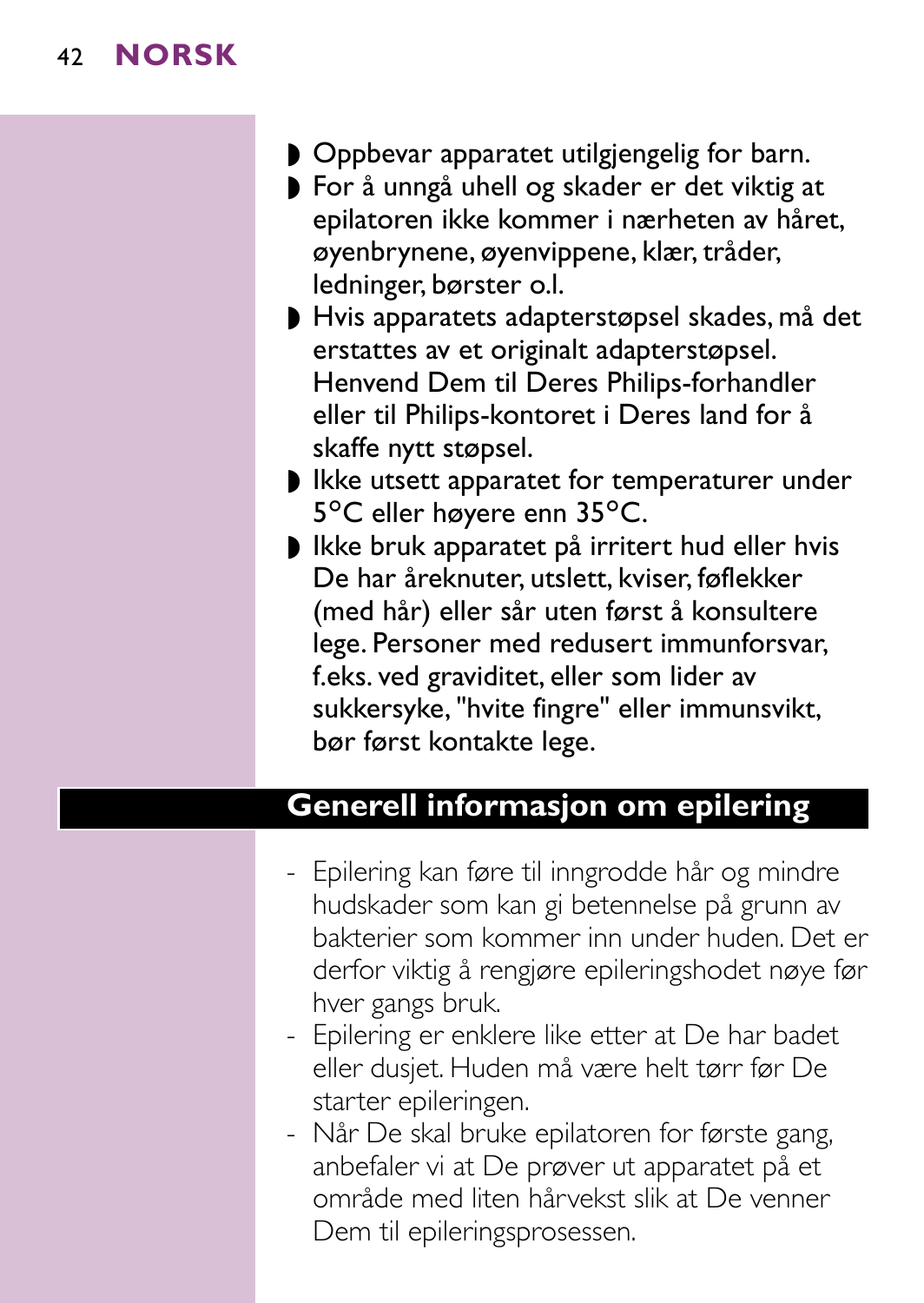- ◗ Oppbevar apparatet utilgjengelig for barn.
- ◗ For å unngå uhell og skader er det viktig at epilatoren ikke kommer i nærheten av håret, øyenbrynene, øyenvippene, klær, tråder, ledninger, børster o.l.
- ◗ Hvis apparatets adapterstøpsel skades, må det erstattes av et originalt adapterstøpsel. Henvend Dem til Deres Philips-forhandler eller til Philips-kontoret i Deres land for å skaffe nytt støpsel.
- ◗ Ikke utsett apparatet for temperaturer under 5°C eller høyere enn 35°C.
- ◗ Ikke bruk apparatet på irritert hud eller hvis De har åreknuter, utslett, kviser, føflekker (med hår) eller sår uten først å konsultere lege. Personer med redusert immunforsvar, f.eks. ved graviditet, eller som lider av sukkersyke, "hvite fingre" eller immunsvikt, bør først kontakte lege.

#### **Generell informasjon om epilering**

- Epilering kan føre til inngrodde hår og mindre hudskader som kan gi betennelse på grunn av bakterier som kommer inn under huden. Det er derfor viktig å rengjøre epileringshodet nøye før hver gangs bruk.
- Epilering er enklere like etter at De har badet eller dusjet. Huden må være helt tørr før De starter epileringen.
- Når De skal bruke epilatoren for første gang, anbefaler vi at De prøver ut apparatet på et område med liten hårvekst slik at De venner Dem til epileringsprosessen.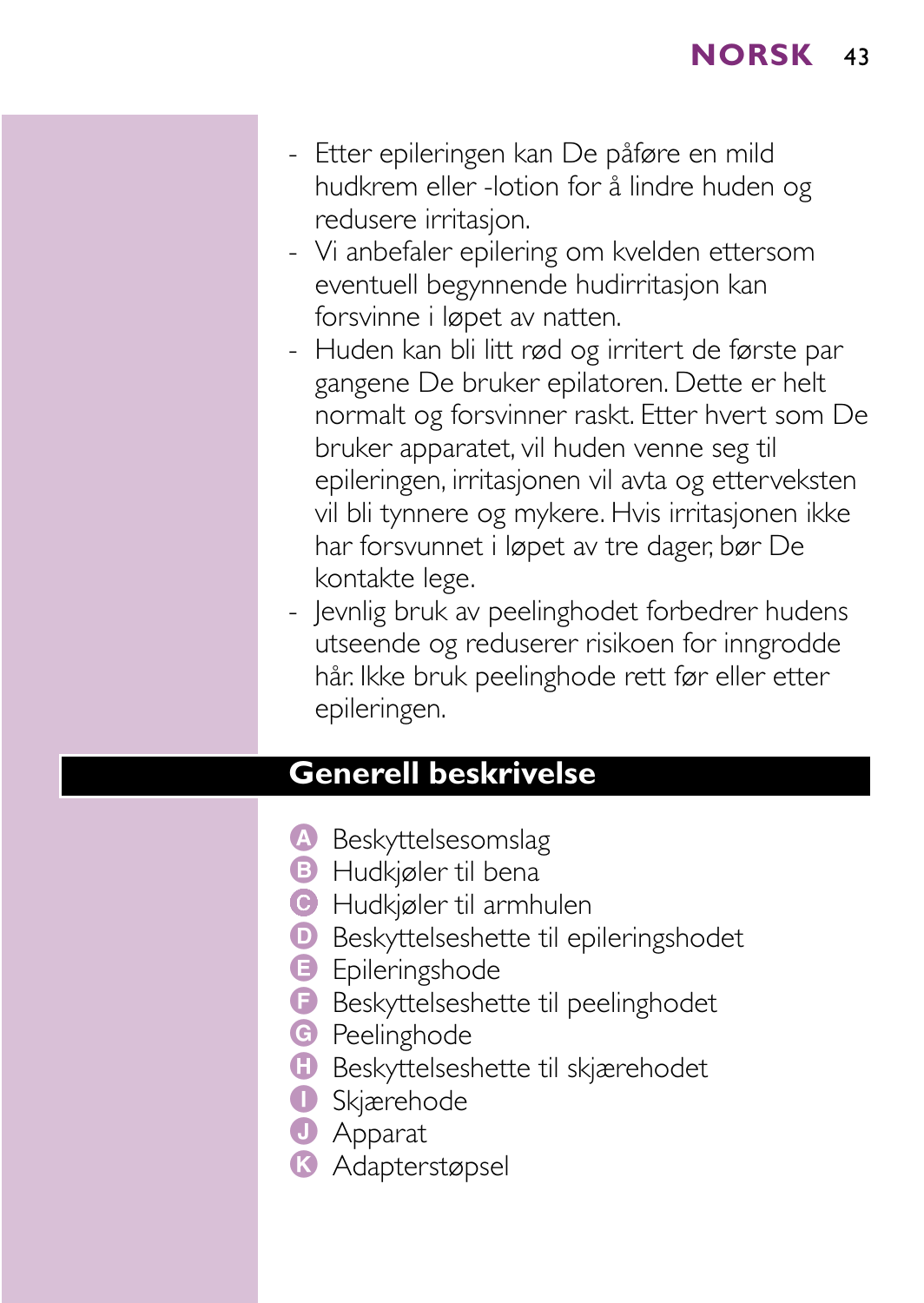- Etter epileringen kan De påføre en mild hudkrem eller -lotion for å lindre huden og redusere irritasjon.
- Vi anbefaler epilering om kvelden ettersom eventuell begynnende hudirritasjon kan forsvinne i løpet av natten.
- Huden kan bli litt rød og irritert de første par gangene De bruker epilatoren. Dette er helt normalt og forsvinner raskt. Etter hvert som De bruker apparatet, vil huden venne seg til epileringen, irritasjonen vil avta og etterveksten vil bli tynnere og mykere. Hvis irritasjonen ikke har forsvunnet i løpet av tre dager, bør De kontakte lege.
- Jevnlig bruk av peelinghodet forbedrer hudens utseende og reduserer risikoen for inngrodde hår. Ikke bruk peelinghode rett før eller etter epileringen.

#### **Generell beskrivelse**

- A Beskyttelsesomslag
- **B** Hudkjøler til bena
- C Hudkjøler til armhulen
- D Beskyttelseshette til epileringshodet
- **B** Epileringshode
- F Beskyttelseshette til peelinghodet
- **G** Peelinghode
- **H** Beskyttelseshette til skjærehodet
- **O** Skjærehode
- **J** Apparat
- **K** Adapterstøpsel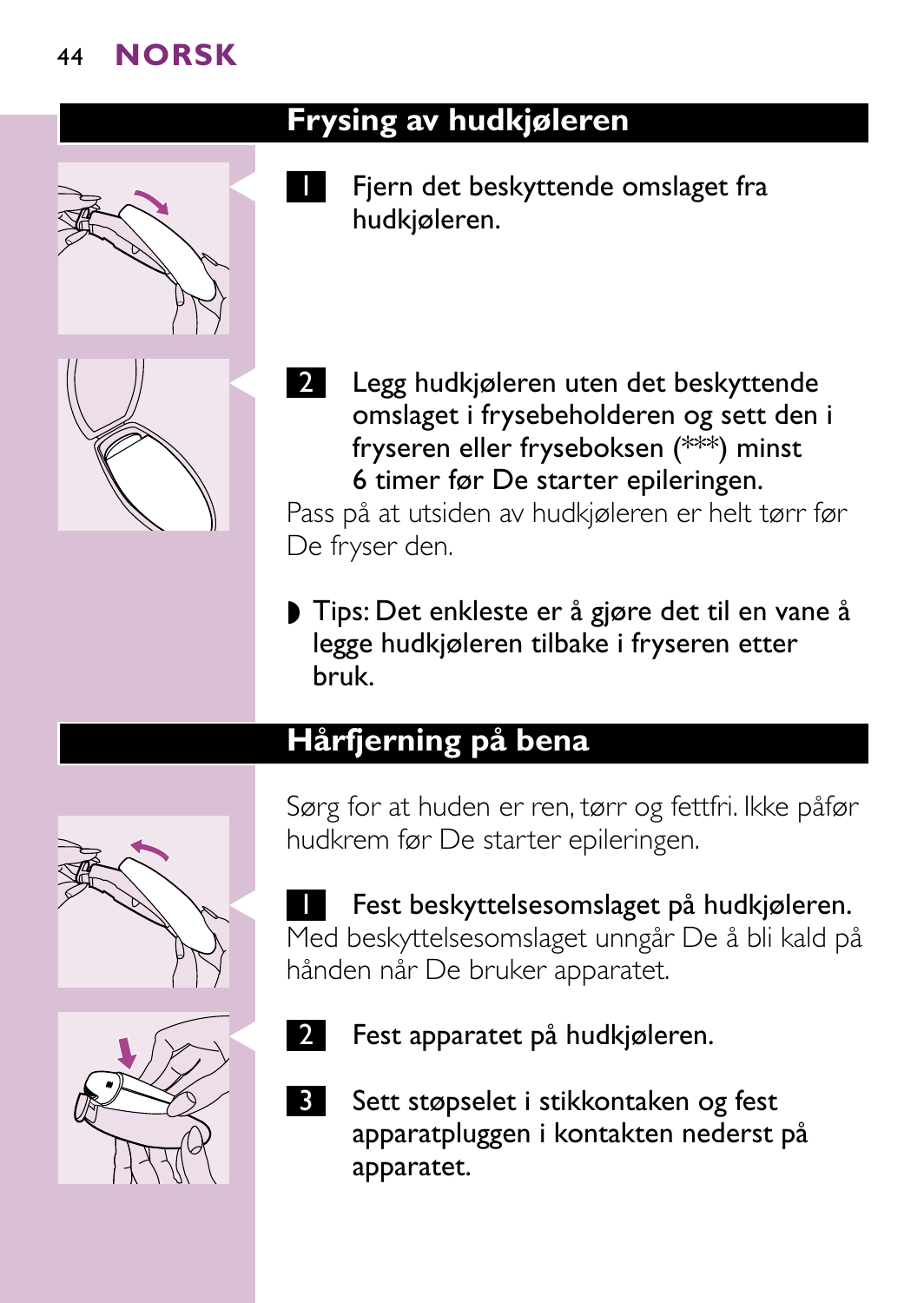

# **Frysing av hudkjøleren**

Fjern det beskyttende omslaget fra hudkjøleren.



Legg hudkjøleren uten det beskyttende omslaget i frysebeholderen og sett den i fryseren eller fryseboksen (\*\*\*) minst 6 timer før De starter epileringen.

Pass på at utsiden av hudkjøleren er helt tørr før De fryser den.

◗ Tips: Det enkleste er å gjøre det til en vane å legge hudkjøleren tilbake i fryseren etter bruk.

# **Hårfjerning på bena**



Sørg for at huden er ren, tørr og fettfri. Ikke påfør hudkrem før De starter epileringen.

**T** Fest beskyttelsesomslaget på hudkjøleren. Med beskyttelsesomslaget unngår De å bli kald på hånden når De bruker apparatet.



- Fest apparatet på hudkjøleren.
- 3 Sett støpselet i stikkontaken og fest apparatpluggen i kontakten nederst på apparatet.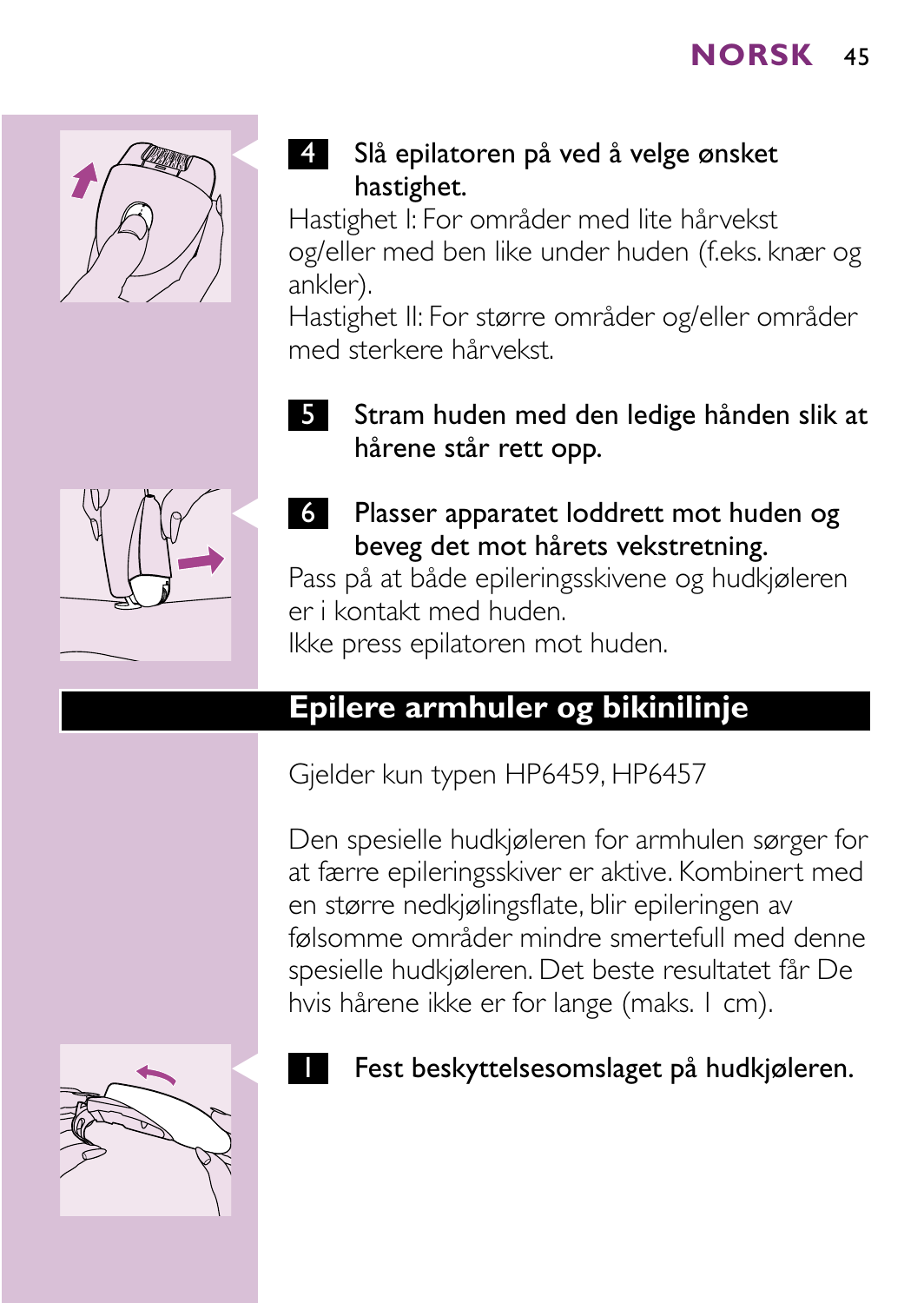

# 4 Slå epilatoren på ved å velge ønsket hastighet.

Hastighet I: For områder med lite hårvekst og/eller med ben like under huden (f.eks. knær og ankler).

Hastighet II: For større områder og/eller områder med sterkere hårvekst.

5 Stram huden med den ledige hånden slik at hårene står rett opp.



6 Plasser apparatet loddrett mot huden og beveg det mot hårets vekstretning. Pass på at både epileringsskivene og hudkjøleren

er i kontakt med huden.

Ikke press epilatoren mot huden.

# **Epilere armhuler og bikinilinje**

Gjelder kun typen HP6459, HP6457

Den spesielle hudkjøleren for armhulen sørger for at færre epileringsskiver er aktive. Kombinert med en større nedkjølingsflate, blir epileringen av følsomme områder mindre smertefull med denne spesielle hudkjøleren. Det beste resultatet får De hvis hårene ikke er for lange (maks. 1 cm).



#### Fest beskyttelsesomslaget på hudkjøleren.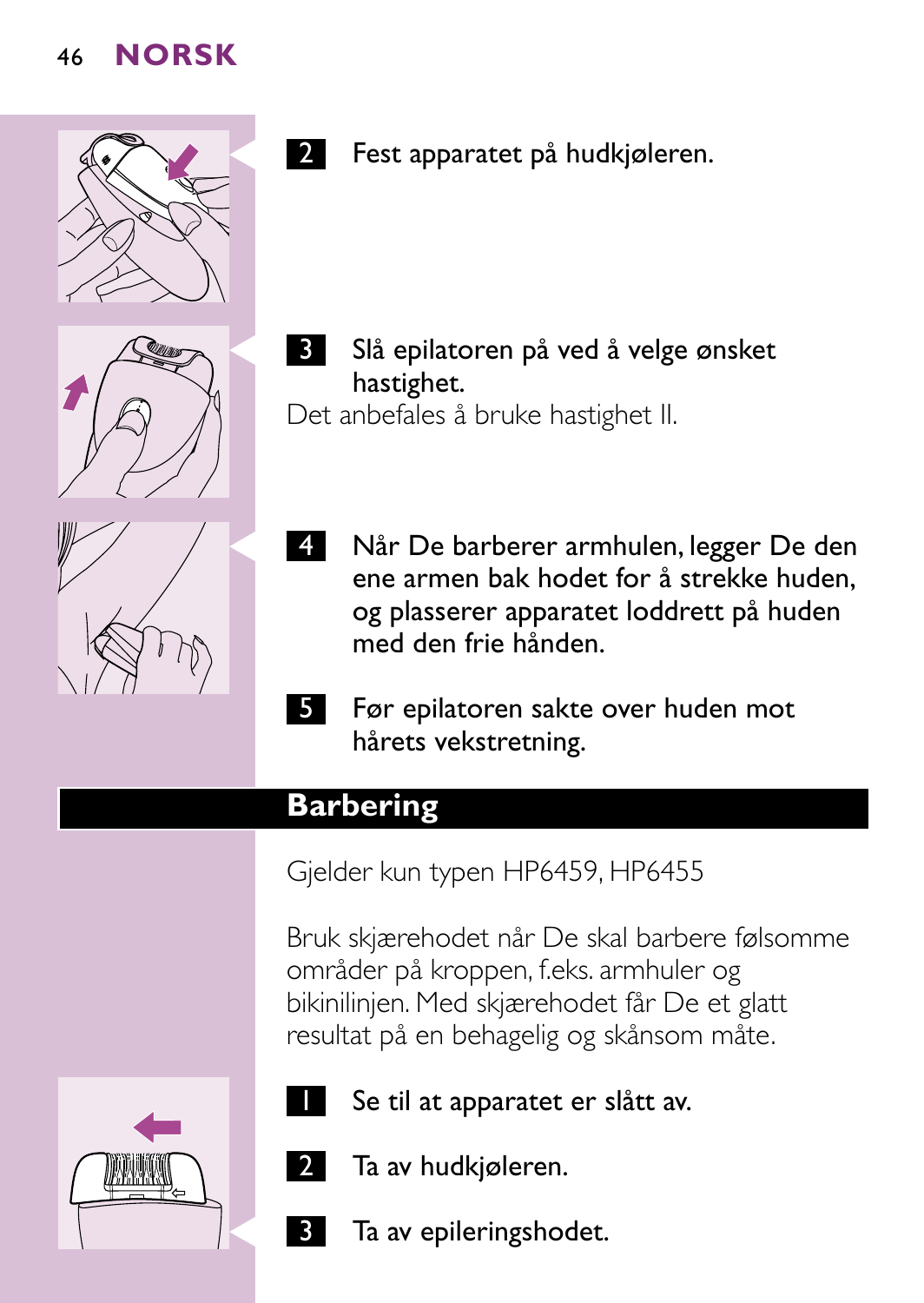

2 Fest apparatet på hudkjøleren.





**3** Slå epilatoren på ved å velge ønsket hastighet.

Det anbefales å bruke hastighet II.

- **2. Når De barberer armhulen, legger De den** ene armen bak hodet for å strekke huden, og plasserer apparatet loddrett på huden med den frie hånden.
- 5 Før epilatoren sakte over huden mot hårets vekstretning.

# **Barbering**

Gjelder kun typen HP6459, HP6455

Bruk skjærehodet når De skal barbere følsomme områder på kroppen, f.eks. armhuler og bikinilinjen. Med skjærehodet får De et glatt resultat på en behagelig og skånsom måte.



- Se til at apparatet er slått av.
- Ta av hudkjøleren.
- Ta av epileringshodet.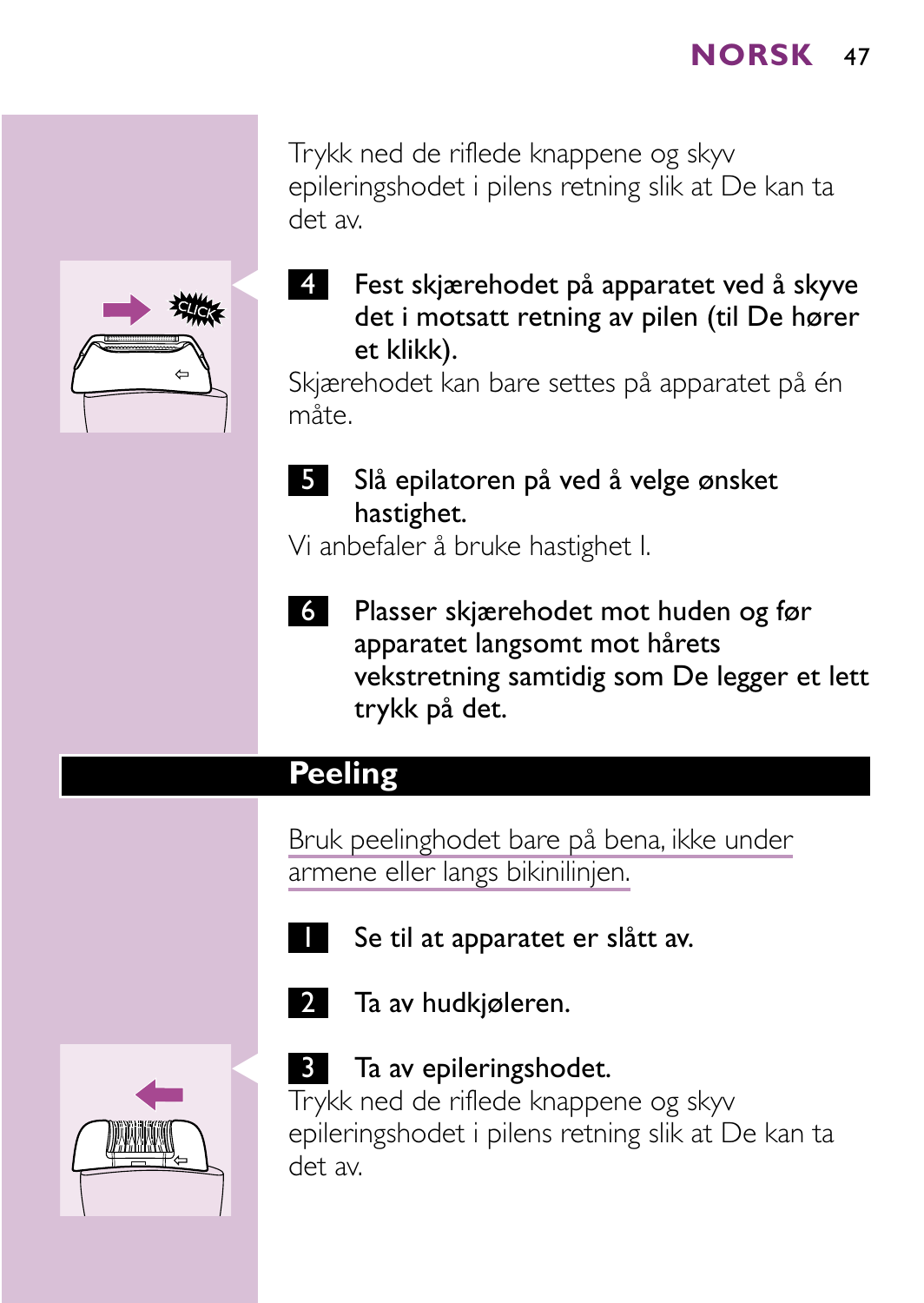Trykk ned de riflede knappene og skyv epileringshodet i pilens retning slik at De kan ta det av.



4 Fest skjærehodet på apparatet ved å skyve det i motsatt retning av pilen (til De hører et klikk).

Skjærehodet kan bare settes på apparatet på én måte.

5 Slå epilatoren på ved å velge ønsket hastighet.

Vi anbefaler å bruke hastighet I.

6 Plasser skjærehodet mot huden og før apparatet langsomt mot hårets vekstretning samtidig som De legger et lett trykk på det.

# **Peeling**

Bruk peelinghodet bare på bena, ikke under armene eller langs bikinilinjen.



- Se til at apparatet er slått av.
- 2 Ta av hudkjøleren.



#### **3** Ta av epileringshodet.

Trykk ned de riflede knappene og skyv epileringshodet i pilens retning slik at De kan ta det av.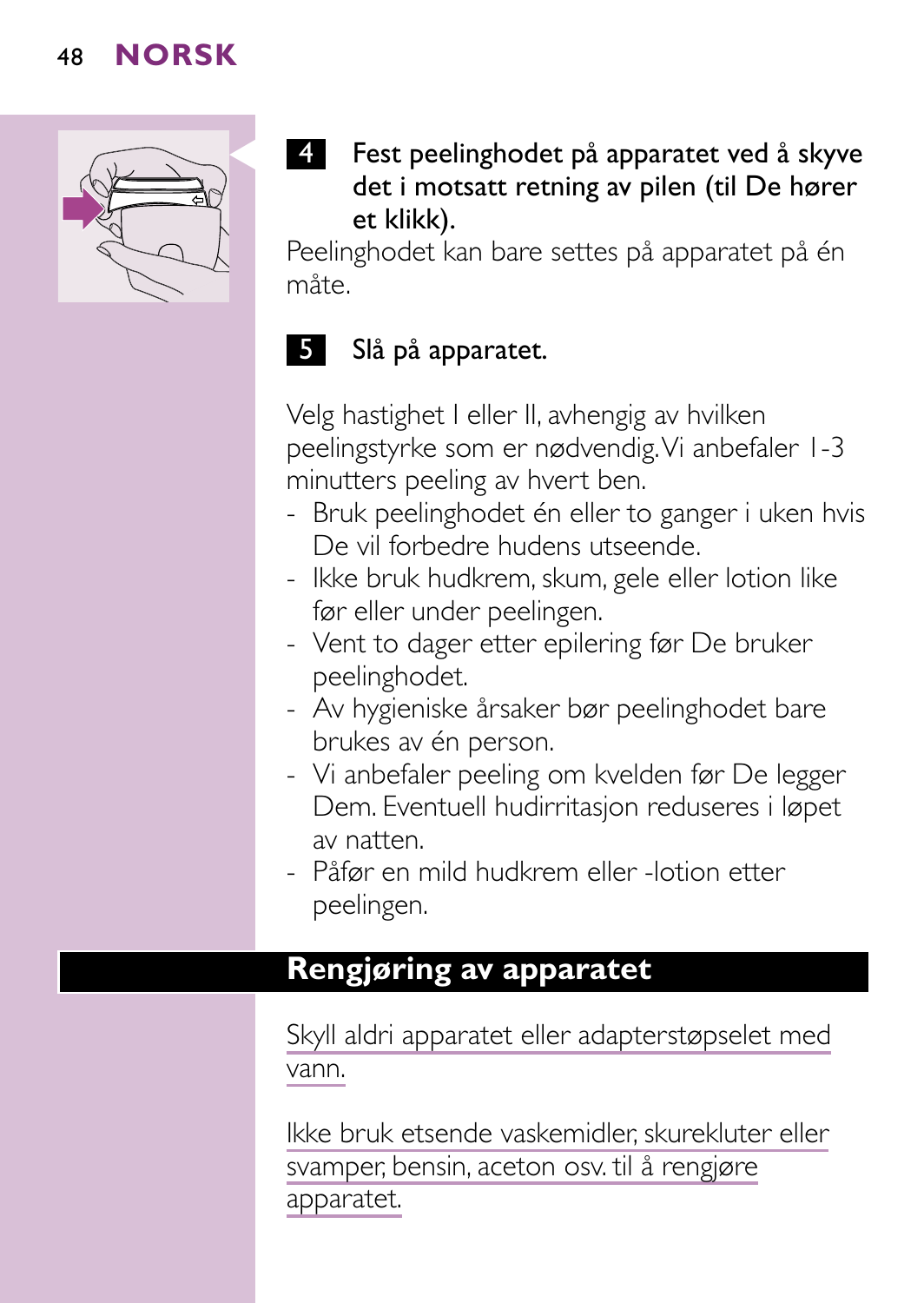

4 Fest peelinghodet på apparatet ved å skyve det i motsatt retning av pilen (til De hører et klikk).

Peelinghodet kan bare settes på apparatet på én måte.

# 5 Slå på apparatet.

Velg hastighet I eller II, avhengig av hvilken peelingstyrke som er nødvendig.Vi anbefaler 1-3 minutters peeling av hvert ben.

- Bruk peelinghodet én eller to ganger i uken hvis De vil forbedre hudens utseende.
- Ikke bruk hudkrem, skum, gele eller lotion like før eller under peelingen.
- Vent to dager etter epilering før De bruker peelinghodet.
- Av hygieniske årsaker bør peelinghodet bare brukes av én person.
- Vi anbefaler peeling om kvelden før De legger Dem. Eventuell hudirritasjon reduseres i løpet av natten.
- Påfør en mild hudkrem eller -lotion etter peelingen.

# **Rengjøring av apparatet**

Skyll aldri apparatet eller adapterstøpselet med vann.

Ikke bruk etsende vaskemidler, skurekluter eller svamper, bensin, aceton osv. til å rengjøre apparatet.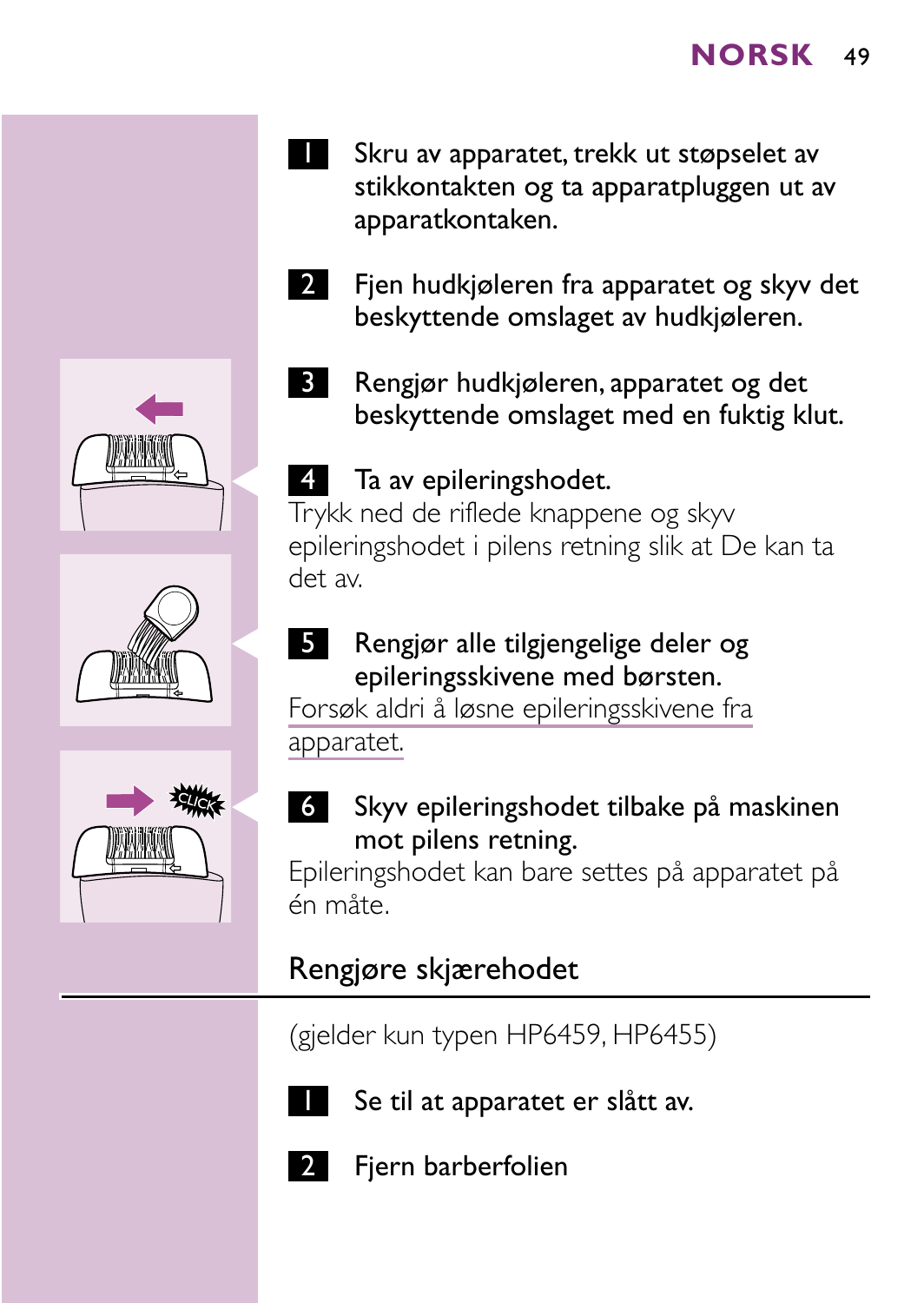- 1 Skru av apparatet, trekk ut støpselet av stikkontakten og ta apparatpluggen ut av apparatkontaken.
- 2 Fjen hudkjøleren fra apparatet og skyv det beskyttende omslaget av hudkjøleren.
	- 3 Rengjør hudkjøleren, apparatet og det beskyttende omslaget med en fuktig klut.

#### 4 Ta av epileringshodet.

Trykk ned de riflede knappene og skyv epileringshodet i pilens retning slik at De kan ta det av.

5 Rengjør alle tilgjengelige deler og epileringsskivene med børsten.

Forsøk aldri å løsne epileringsskivene fra apparatet.

C <sup>6</sup> Skyv epileringshodet tilbake på maskinen mot pilens retning.

Epileringshodet kan bare settes på apparatet på én måte.

# Rengjøre skjærehodet

(gjelder kun typen HP6459, HP6455)



Se til at apparatet er slått av.



Fjern barberfolien





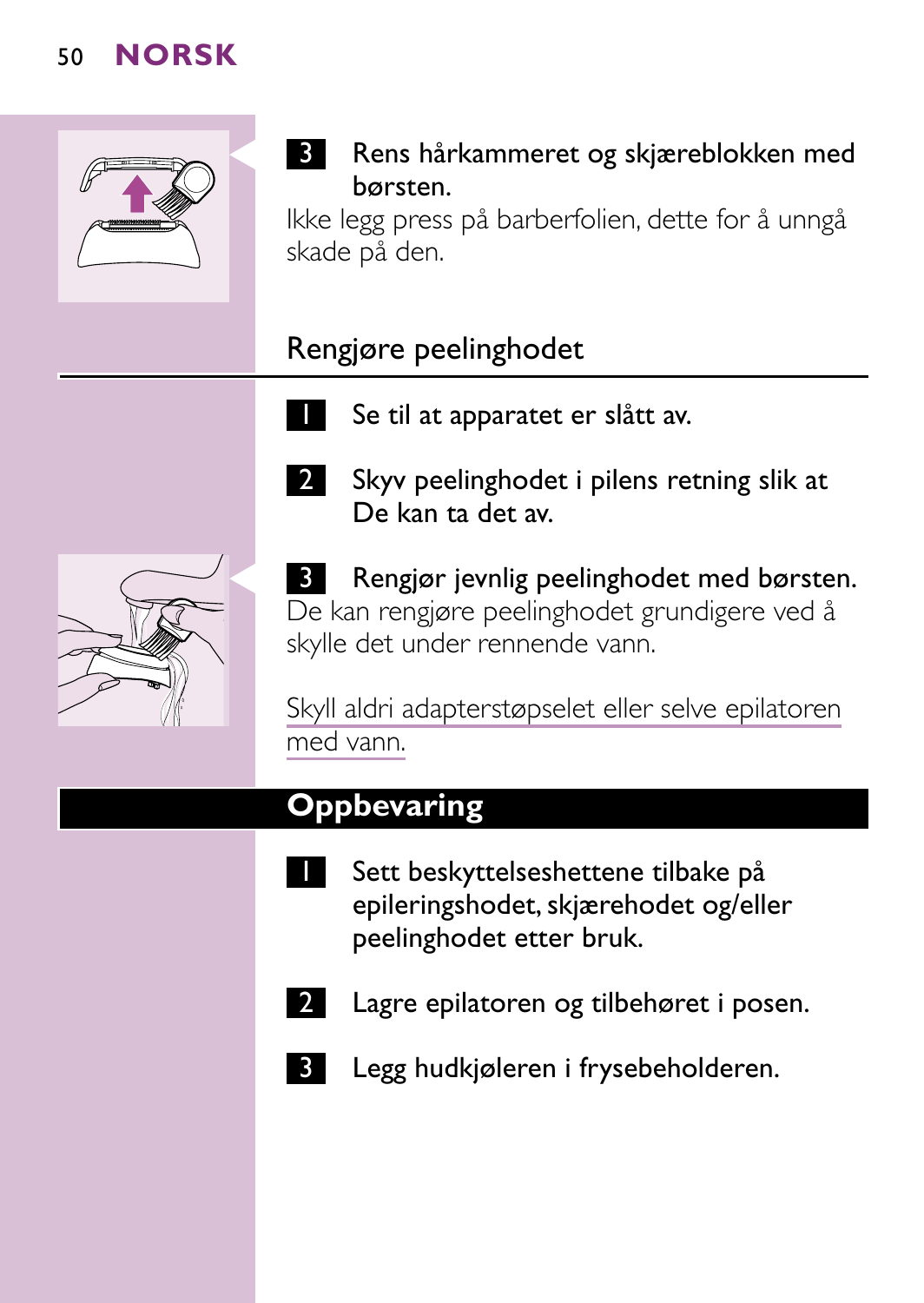

# **3** Rens hårkammeret og skjæreblokken med børsten.

Ikke legg press på barberfolien, dette for å unngå skade på den.

# Rengjøre peelinghodet

Se til at apparatet er slått av.



2 Skyv peelinghodet i pilens retning slik at De kan ta det av.

**B** Rengjør jevnlig peelinghodet med børsten. De kan rengjøre peelinghodet grundigere ved å skylle det under rennende vann.

Skyll aldri adapterstøpselet eller selve epilatoren med vann.

# **Oppbevaring**

- Sett beskyttelseshettene tilbake på epileringshodet, skjærehodet og/eller peelinghodet etter bruk.
- 
- 2 Lagre epilatoren og tilbehøret i posen.
	- Legg hudkjøleren i frysebeholderen.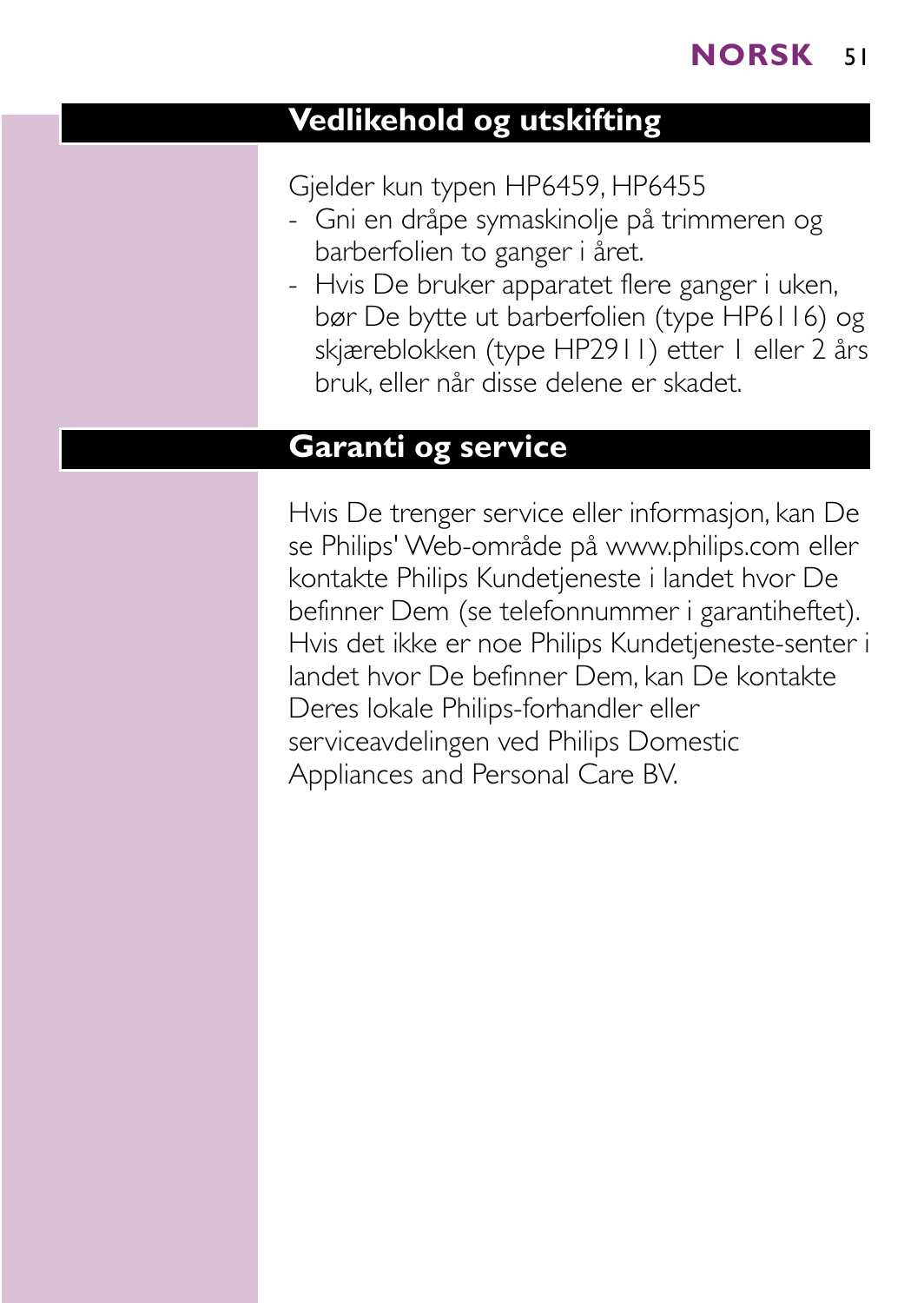# **Vedlikehold og utskifting**

Gjelder kun typen HP6459, HP6455

- Gni en dråpe symaskinolje på trimmeren og barberfolien to ganger i året.
- Hvis De bruker apparatet flere ganger i uken, bør De bytte ut barberfolien (type HP6116) og skjæreblokken (type HP2911) etter 1 eller 2 års bruk, eller når disse delene er skadet.

#### **Garanti og service**

Hvis De trenger service eller informasjon, kan De se Philips' Web-område på www.philips.com eller kontakte Philips Kundetjeneste i landet hvor De befinner Dem (se telefonnummer i garantiheftet). Hvis det ikke er noe Philips Kundetjeneste-senter i landet hvor De befinner Dem, kan De kontakte Deres lokale Philips-forhandler eller serviceavdelingen ved Philips Domestic Appliances and Personal Care BV.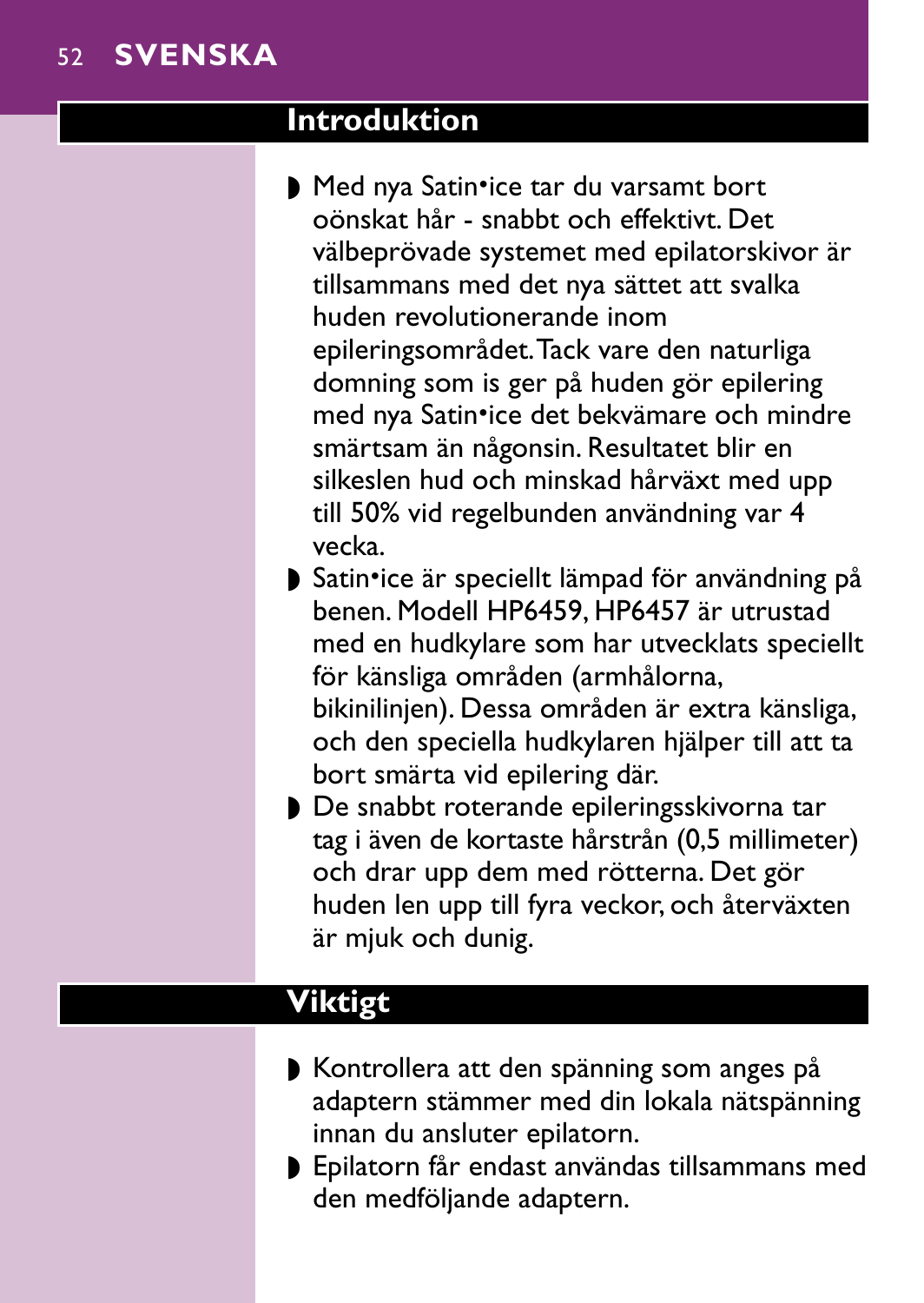#### **Introduktion**

- Med nya Satin•ice tar du varsamt bort oönskat hår - snabbt och effektivt. Det välbeprövade systemet med epilatorskivor är tillsammans med det nya sättet att svalka huden revolutionerande inom epileringsområdet.Tack vare den naturliga domning som is ger på huden gör epilering med nya Satin•ice det bekvämare och mindre smärtsam än någonsin. Resultatet blir en silkeslen hud och minskad hårväxt med upp till 50% vid regelbunden användning var 4 vecka.
- ▶ Satin•ice är speciellt lämpad för användning på benen. Modell HP6459, HP6457 är utrustad med en hudkylare som har utvecklats speciellt för känsliga områden (armhålorna, bikinilinjen). Dessa områden är extra känsliga, och den speciella hudkylaren hjälper till att ta bort smärta vid epilering där.
- ◗ De snabbt roterande epileringsskivorna tar tag i även de kortaste hårstrån (0,5 millimeter) och drar upp dem med rötterna. Det gör huden len upp till fyra veckor, och återväxten är mjuk och dunig.

# **Viktigt**

- ◗ Kontrollera att den spänning som anges på adaptern stämmer med din lokala nätspänning innan du ansluter epilatorn.
- ◗ Epilatorn får endast användas tillsammans med den medföljande adaptern.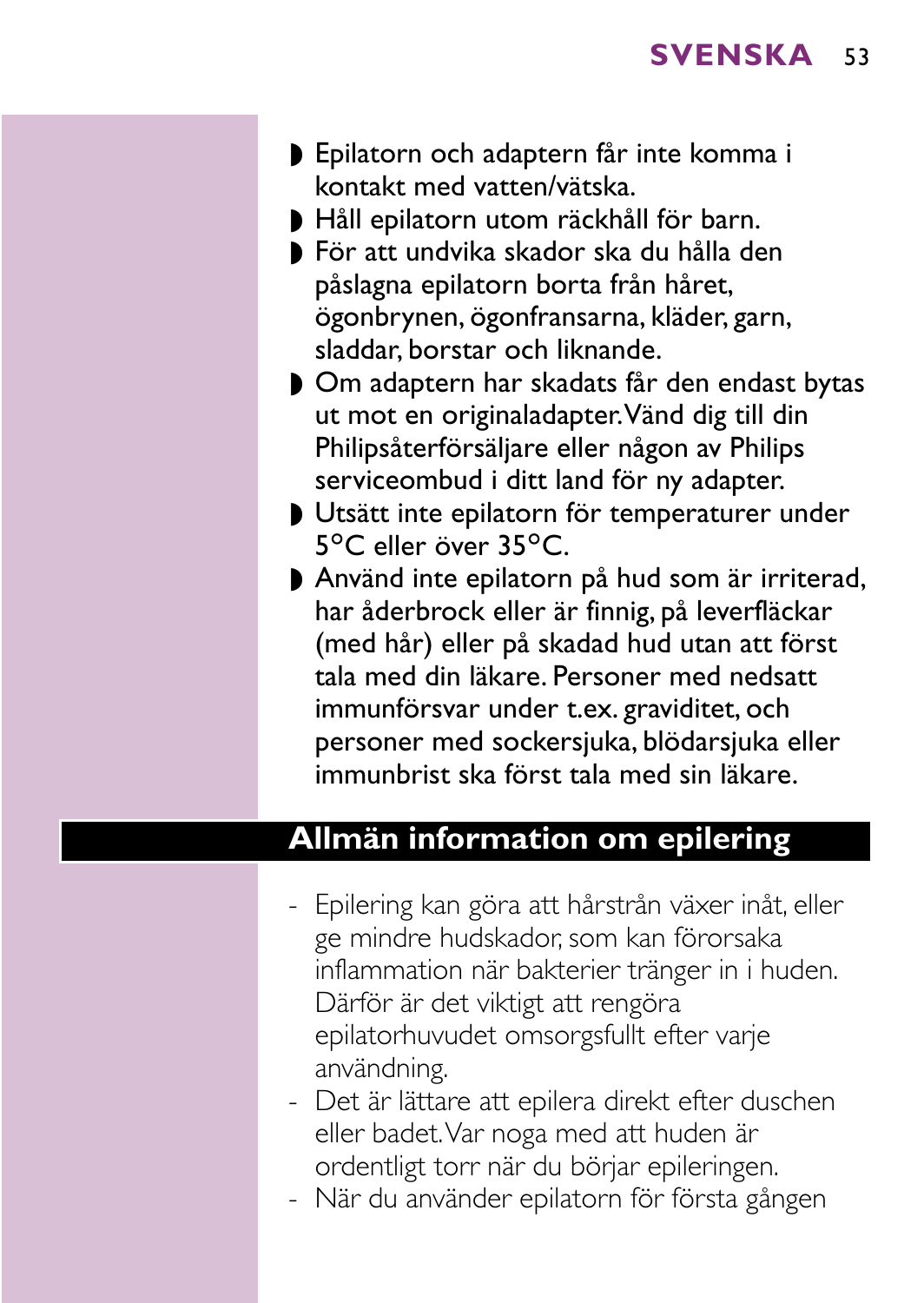- ◗ Epilatorn och adaptern får inte komma i kontakt med vatten/vätska.
- ◗ Håll epilatorn utom räckhåll för barn.
- ◗ För att undvika skador ska du hålla den påslagna epilatorn borta från håret, ögonbrynen, ögonfransarna, kläder, garn, sladdar, borstar och liknande.
- ◗ Om adaptern har skadats får den endast bytas ut mot en originaladapter.Vänd dig till din Philipsåterförsäljare eller någon av Philips serviceombud i ditt land för ny adapter.
- ◗ Utsätt inte epilatorn för temperaturer under 5°C eller över 35°C.
- ◗ Använd inte epilatorn på hud som är irriterad, har åderbrock eller är finnig, på leverfläckar (med hår) eller på skadad hud utan att först tala med din läkare. Personer med nedsatt immunförsvar under t.ex. graviditet, och personer med sockersjuka, blödarsjuka eller immunbrist ska först tala med sin läkare.

#### **Allmän information om epilering**

- Epilering kan göra att hårstrån växer inåt, eller ge mindre hudskador, som kan förorsaka inflammation när bakterier tränger in i huden. Därför är det viktigt att rengöra epilatorhuvudet omsorgsfullt efter varje användning.
- Det är lättare att epilera direkt efter duschen eller badet.Var noga med att huden är ordentligt torr när du börjar epileringen.
- När du använder epilatorn för första gången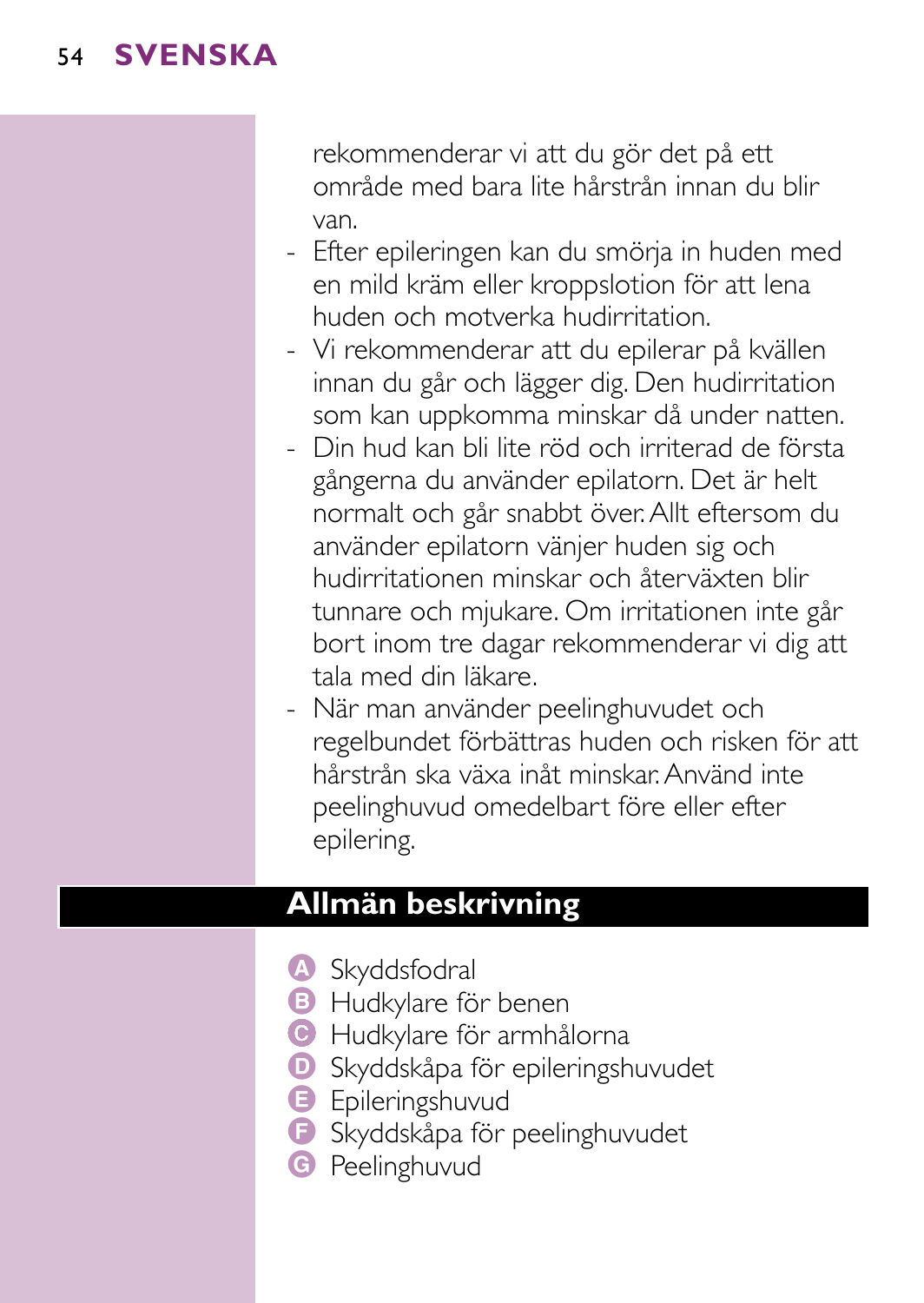rekommenderar vi att du gör det på ett område med bara lite hårstrån innan du blir van.

- Efter epileringen kan du smörja in huden med en mild kräm eller kroppslotion för att lena huden och motverka hudirritation.
- Vi rekommenderar att du epilerar på kvällen innan du går och lägger dig. Den hudirritation som kan uppkomma minskar då under natten.
- Din hud kan bli lite röd och irriterad de första gångerna du använder epilatorn. Det är helt normalt och går snabbt över.Allt eftersom du använder epilatorn vänjer huden sig och hudirritationen minskar och återväxten blir tunnare och mjukare. Om irritationen inte går bort inom tre dagar rekommenderar vi dig att tala med din läkare.
- När man använder peelinghuvudet och regelbundet förbättras huden och risken för att hårstrån ska växa inåt minskar.Använd inte peelinghuvud omedelbart före eller efter epilering.

#### **Allmän beskrivning**

- A Skyddsfodral
- **B** Hudkylare för benen
- C Hudkylare för armhålorna
- **D** Skyddskåpa för epileringshuvudet
- **B** Epileringshuvud
- F Skyddskåpa för peelinghuvudet
- **G** Peelinghuvud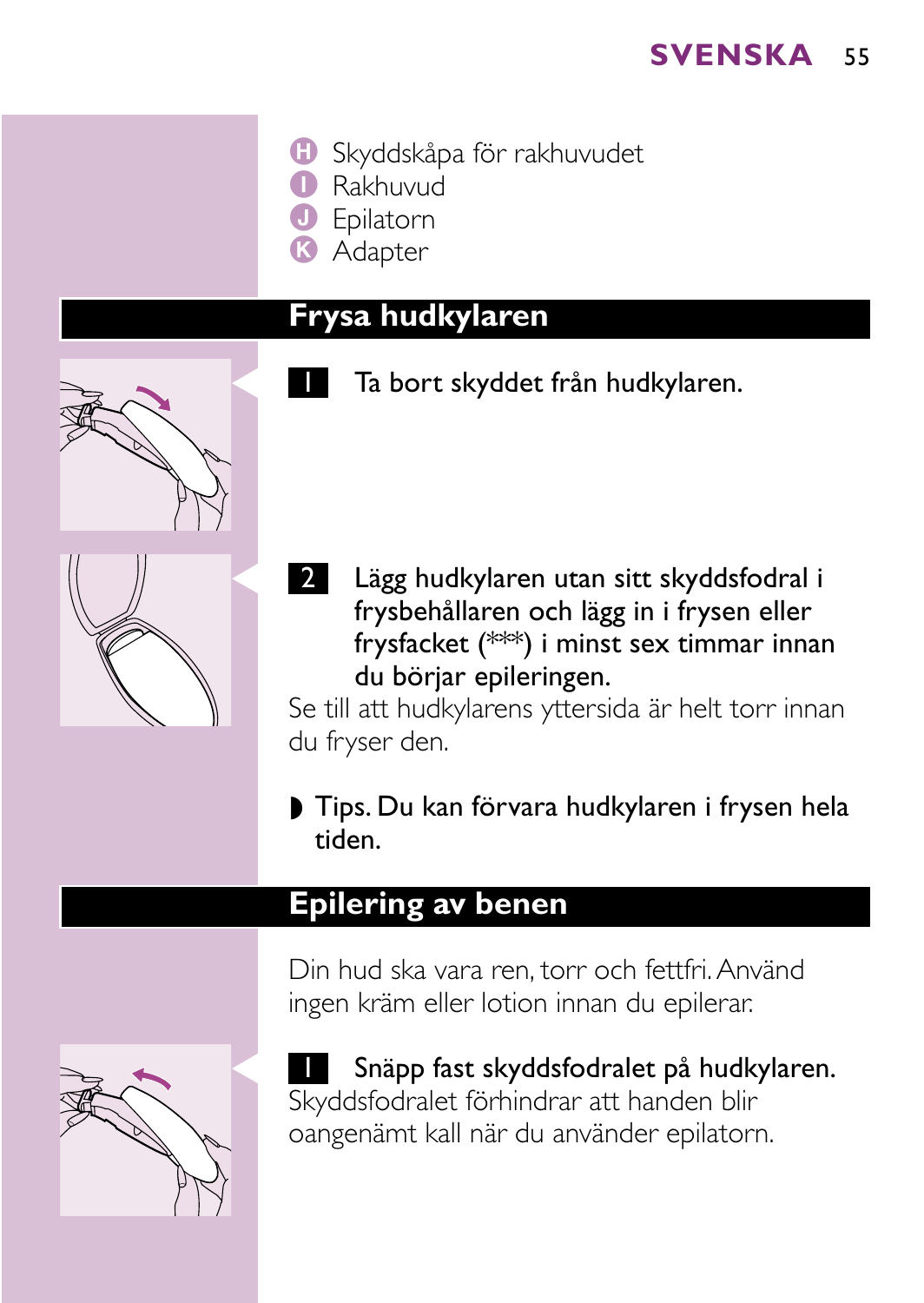- **H** Skyddskåpa för rakhuvudet
	- I Rakhuvud
	- J Epilatorn
- **R** Adapter

## **Frysa hudkylaren**

Ta bort skyddet från hudkylaren.

- 
- 2 Lägg hudkylaren utan sitt skyddsfodral i frysbehållaren och lägg in i frysen eller frysfacket (\*\*\*) i minst sex timmar innan du börjar epileringen.

Se till att hudkylarens yttersida är helt torr innan du fryser den.

◗ Tips. Du kan förvara hudkylaren i frysen hela tiden.

#### **Epilering av benen**

Din hud ska vara ren, torr och fettfri.Använd ingen kräm eller lotion innan du epilerar.



**I** Snäpp fast skyddsfodralet på hudkylaren. Skyddsfodralet förhindrar att handen blir oangenämt kall när du använder epilatorn.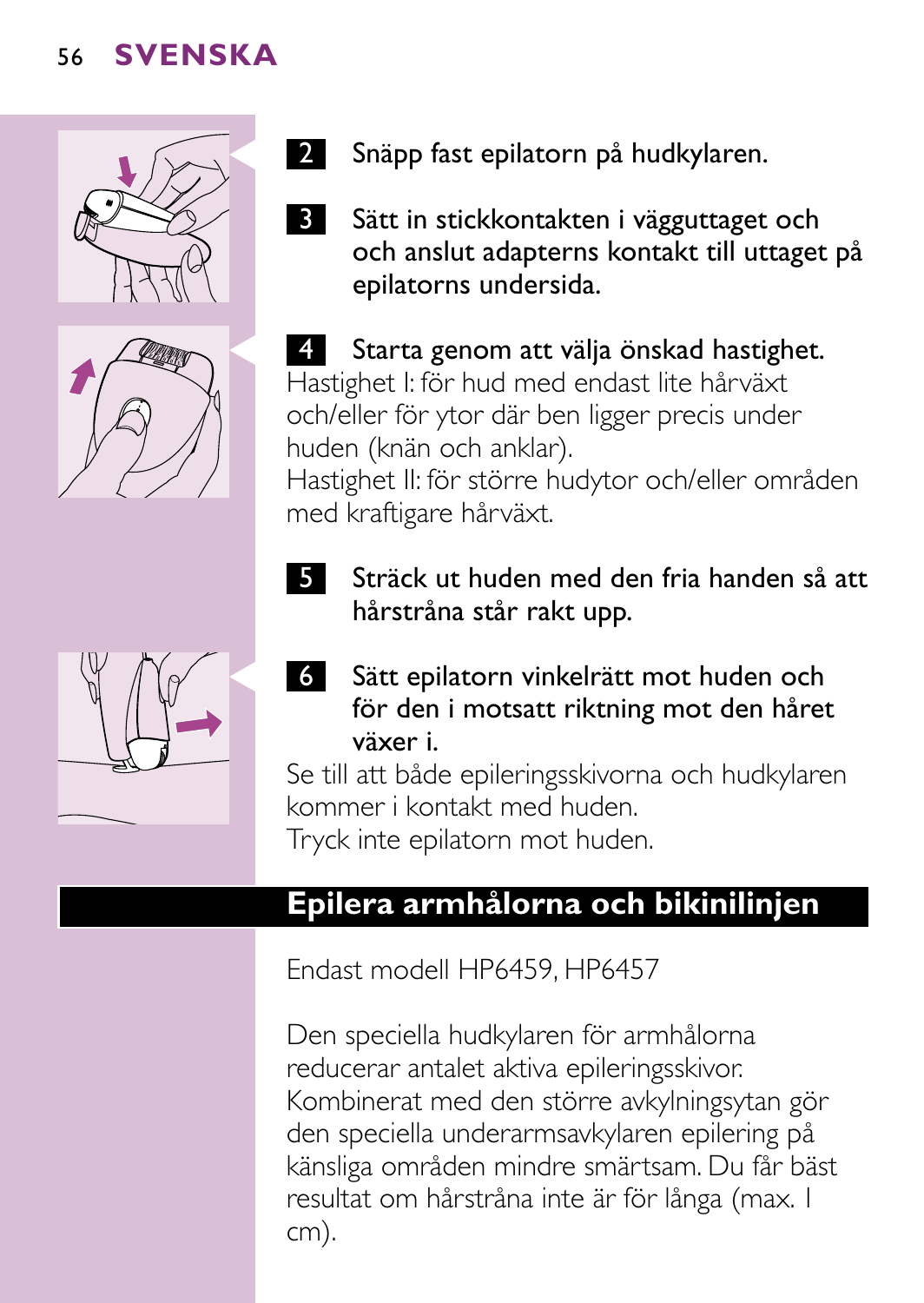





- 2 Snäpp fast epilatorn på hudkylaren.
- **3** Sätt in stickkontakten i vägguttaget och och anslut adapterns kontakt till uttaget på epilatorns undersida.

4 Starta genom att välja önskad hastighet. Hastighet I: för hud med endast lite hårväxt och/eller för ytor där ben ligger precis under huden (knän och anklar).

Hastighet II: för större hudytor och/eller områden med kraftigare hårväxt.

- **5** Sträck ut huden med den fria handen så att hårstråna står rakt upp.
- C <sup>6</sup> Sätt epilatorn vinkelrätt mot huden och för den i motsatt riktning mot den håret växer i.

Se till att både epileringsskivorna och hudkylaren kommer i kontakt med huden. Tryck inte epilatorn mot huden.

**Epilera armhålorna och bikinilinjen**

Endast modell HP6459, HP6457

Den speciella hudkylaren för armhålorna reducerar antalet aktiva epileringsskivor. Kombinerat med den större avkylningsytan gör den speciella underarmsavkylaren epilering på känsliga områden mindre smärtsam. Du får bäst resultat om hårstråna inte är för långa (max. 1 cm).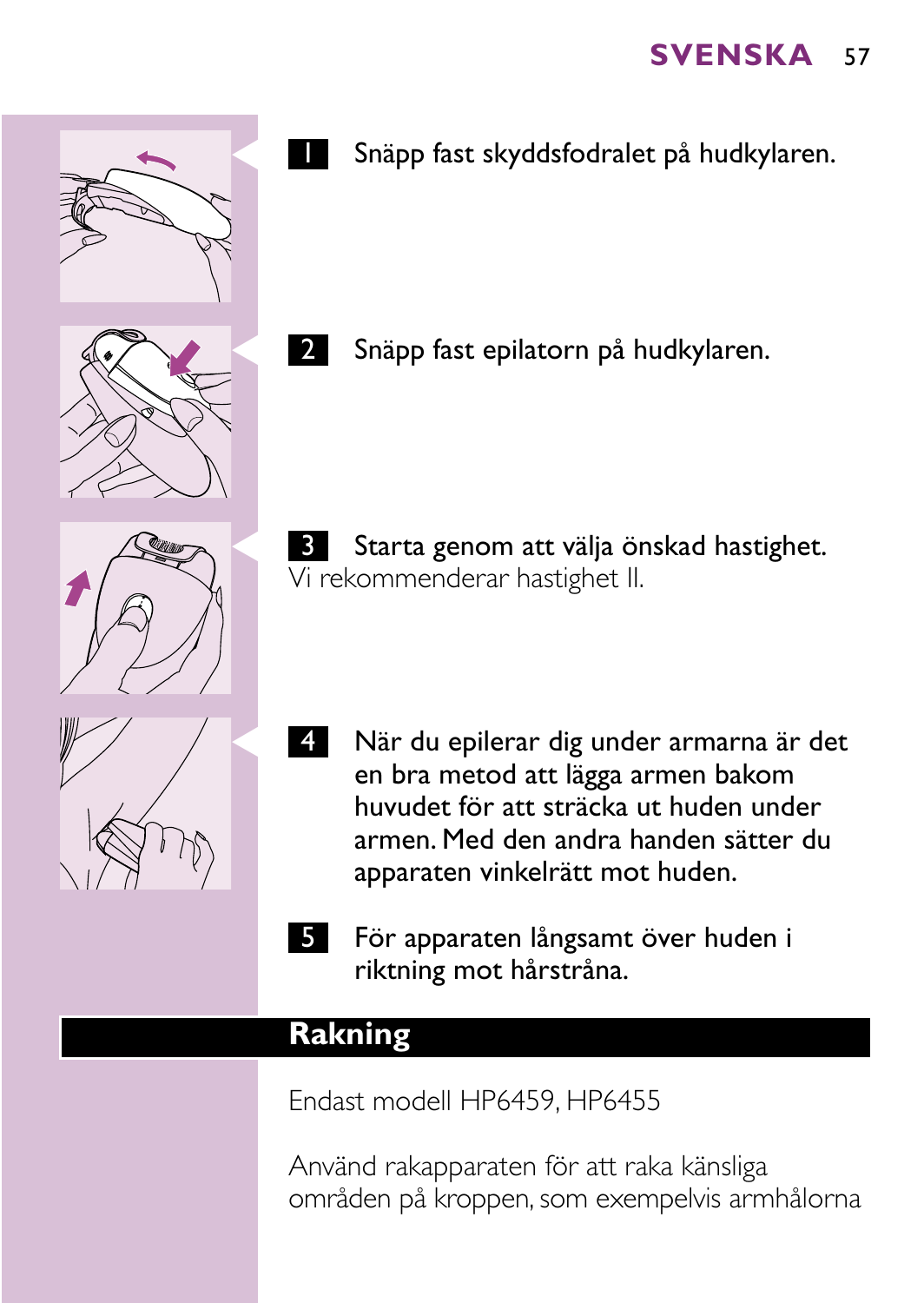- 
- Snäpp fast skyddsfodralet på hudkylaren.

Snäpp fast epilatorn på hudkylaren.

- **3** Starta genom att välja önskad hastighet. Vi rekommenderar hastighet II.
- 4 När du epilerar dig under armarna är det en bra metod att lägga armen bakom huvudet för att sträcka ut huden under armen. Med den andra handen sätter du apparaten vinkelrätt mot huden.
- 5 För apparaten långsamt över huden i riktning mot hårstråna.

#### **Rakning**

Endast modell HP6459, HP6455

Använd rakapparaten för att raka känsliga områden på kroppen, som exempelvis armhålorna



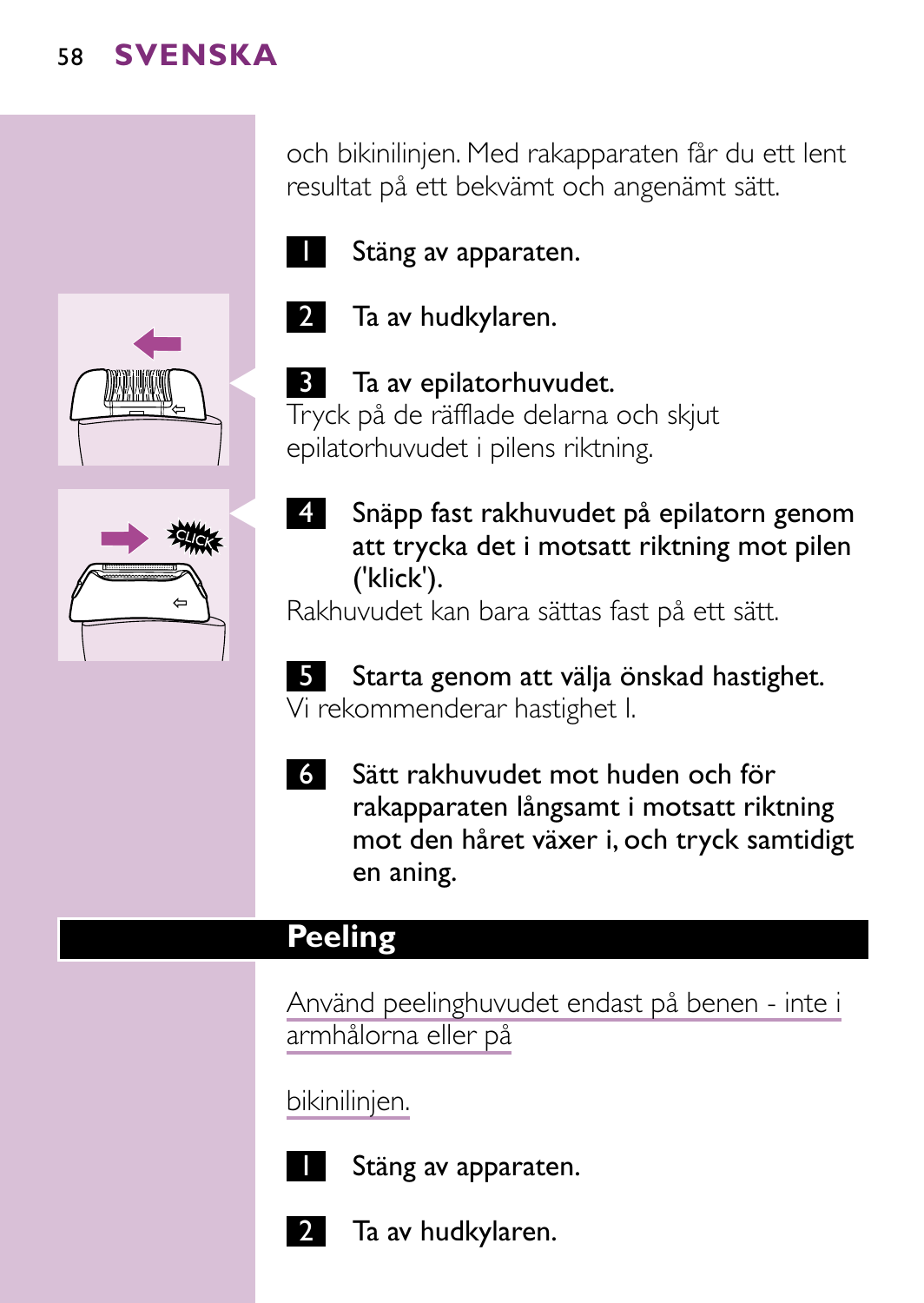och bikinilinjen. Med rakapparaten får du ett lent resultat på ett bekvämt och angenämt sätt.



2 Ta av hudkylaren.

**3** Ta av epilatorhuvudet. Tryck på de räfflade delarna och skjut

('klick').

Stäng av apparaten.





epilatorhuvudet i pilens riktning. 4 Snäpp fast rakhuvudet på epilatorn genom att trycka det i motsatt riktning mot pilen

Rakhuvudet kan bara sättas fast på ett sätt.



6 Sätt rakhuvudet mot huden och för rakapparaten långsamt i motsatt riktning mot den håret växer i, och tryck samtidigt en aning.

# **Peeling**

Använd peelinghuvudet endast på benen - inte i armhålorna eller på

bikinilinjen.



Stäng av apparaten.



Ta av hudkylaren.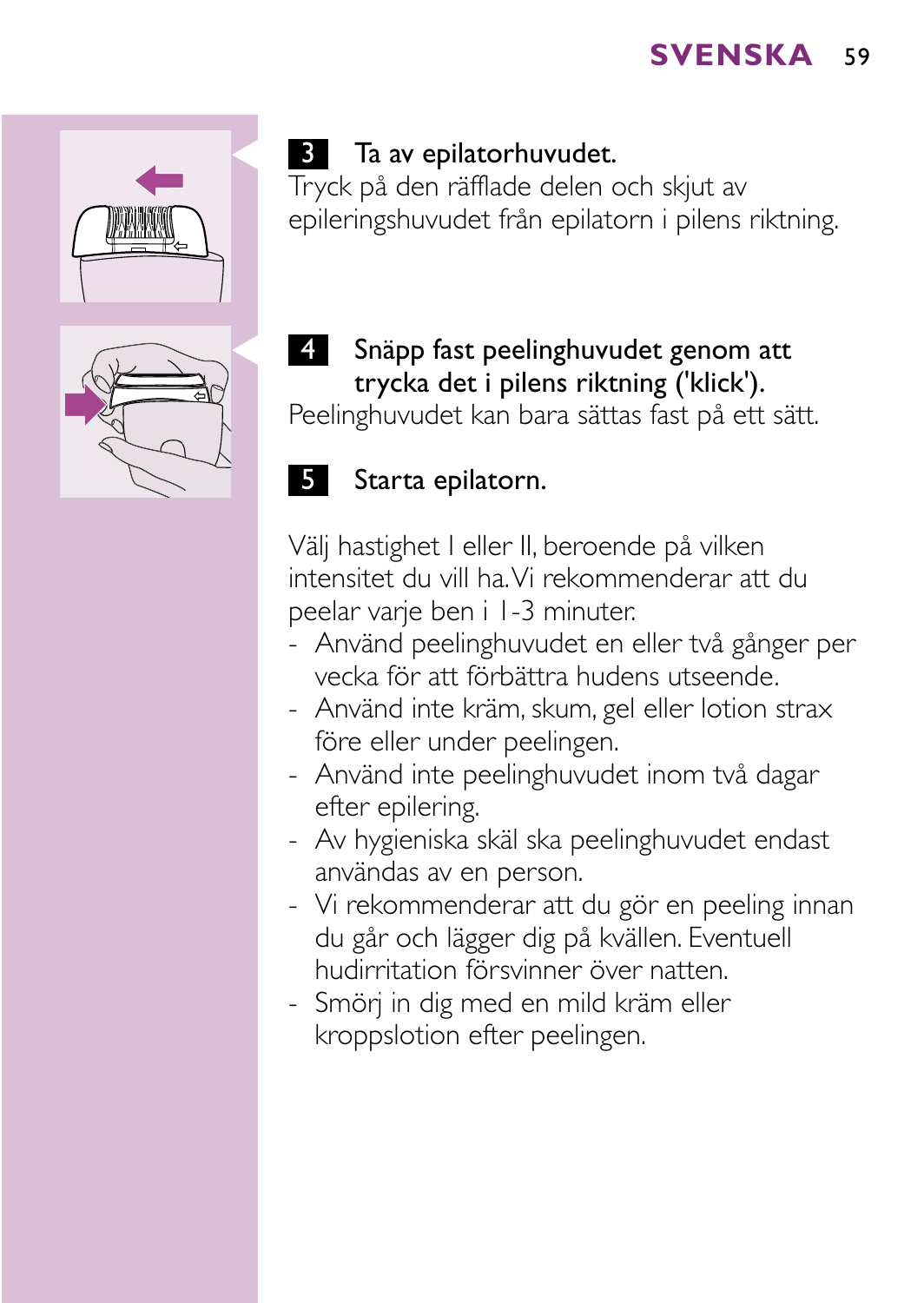

# **3** Ta av epilatorhuvudet.

Tryck på den räfflade delen och skjut av epileringshuvudet från epilatorn i pilens riktning.

4 Snäpp fast peelinghuvudet genom att trycka det i pilens riktning ('klick').

Peelinghuvudet kan bara sättas fast på ett sätt.

## 5 Starta epilatorn.

Välj hastighet I eller II, beroende på vilken intensitet du vill ha.Vi rekommenderar att du peelar varje ben i 1-3 minuter.

- Använd peelinghuvudet en eller två gånger per vecka för att förbättra hudens utseende.
- Använd inte kräm, skum, gel eller lotion strax före eller under peelingen.
- Använd inte peelinghuvudet inom två dagar efter epilering.
- Av hygieniska skäl ska peelinghuvudet endast användas av en person.
- Vi rekommenderar att du gör en peeling innan du går och lägger dig på kvällen. Eventuell hudirritation försvinner över natten.
- Smörj in dig med en mild kräm eller kroppslotion efter peelingen.

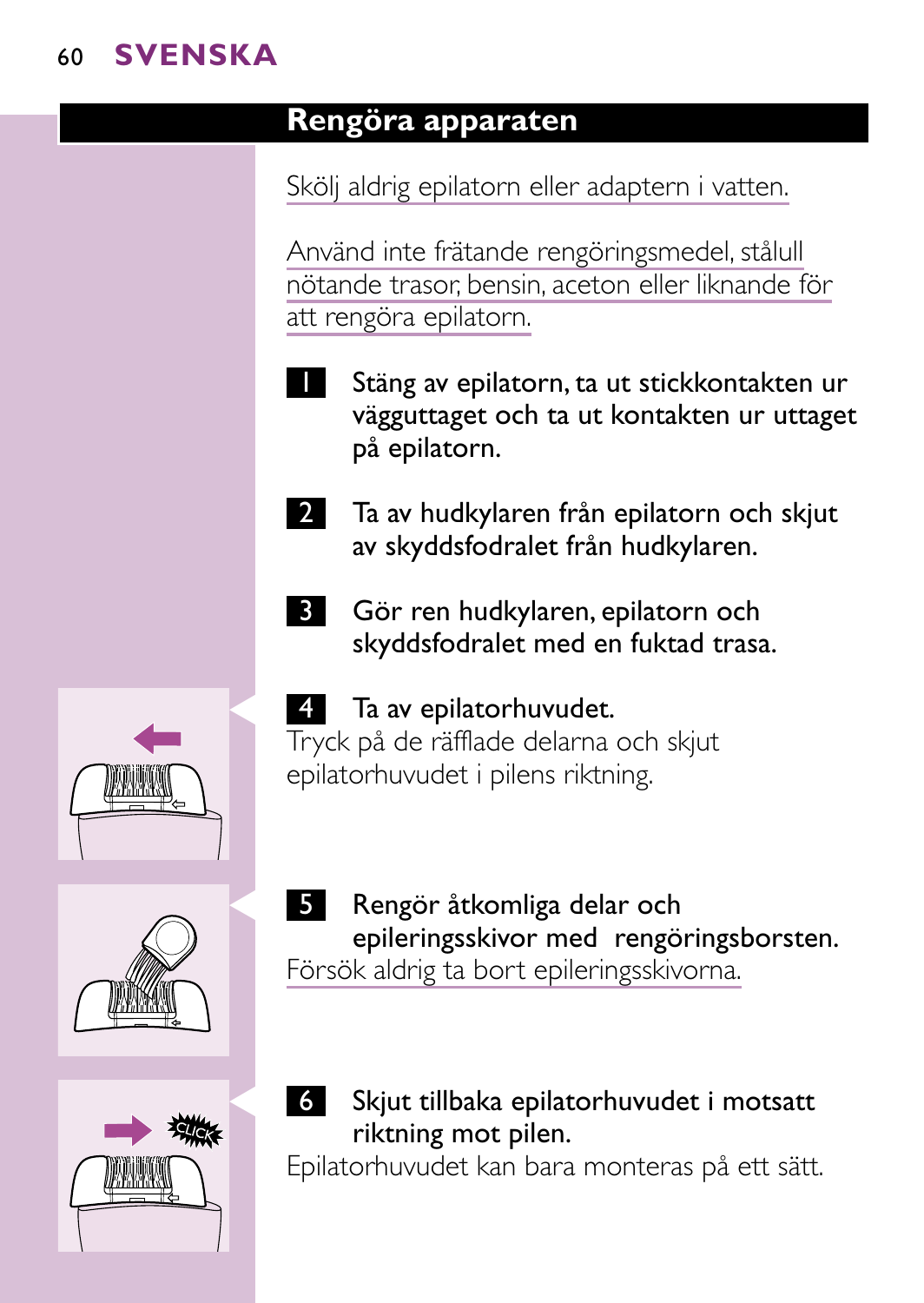## **Rengöra apparaten**

Skölj aldrig epilatorn eller adaptern i vatten.

Använd inte frätande rengöringsmedel, stålull nötande trasor, bensin, aceton eller liknande för att rengöra epilatorn.

- Stäng av epilatorn, ta ut stickkontakten ur vägguttaget och ta ut kontakten ur uttaget på epilatorn.
- 2 Ta av hudkylaren från epilatorn och skjut av skyddsfodralet från hudkylaren.
- 3 Gör ren hudkylaren, epilatorn och skyddsfodralet med en fuktad trasa.



Tryck på de räfflade delarna och skjut epilatorhuvudet i pilens riktning.

5 Rengör åtkomliga delar och epileringsskivor med rengöringsborsten. Försök aldrig ta bort epileringsskivorna.



C <sup>6</sup> Skjut tillbaka epilatorhuvudet i motsatt riktning mot pilen.

Epilatorhuvudet kan bara monteras på ett sätt.





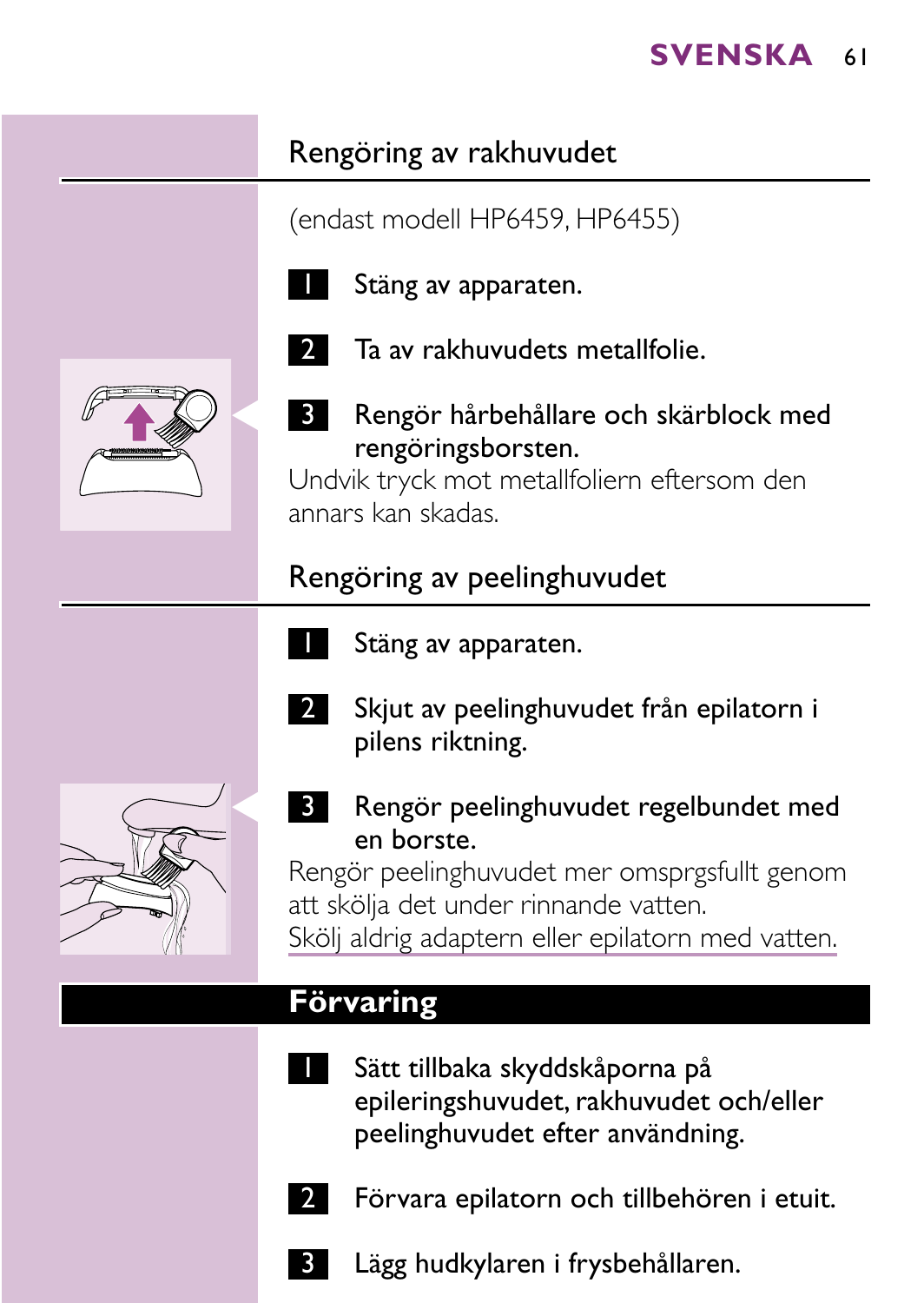# Rengöring av rakhuvudet

(endast modell HP6459, HP6455)



Stäng av apparaten.



- Ta av rakhuvudets metallfolie.
- Rengör hårbehållare och skärblock med rengöringsborsten.

Undvik tryck mot metallfoliern eftersom den annars kan skadas.

# Rengöring av peelinghuvudet

Stäng av apparaten.



- 2 Skjut av peelinghuvudet från epilatorn i pilens riktning.
- **3** Rengör peelinghuvudet regelbundet med en borste.

Rengör peelinghuvudet mer omsprgsfullt genom att skölja det under rinnande vatten. Skölj aldrig adaptern eller epilatorn med vatten.

# **Förvaring**

- Sätt tillbaka skyddskåporna på epileringshuvudet, rakhuvudet och/eller peelinghuvudet efter användning.
	- 2 Förvara epilatorn och tillbehören i etuit.
- Lägg hudkylaren i frysbehållaren.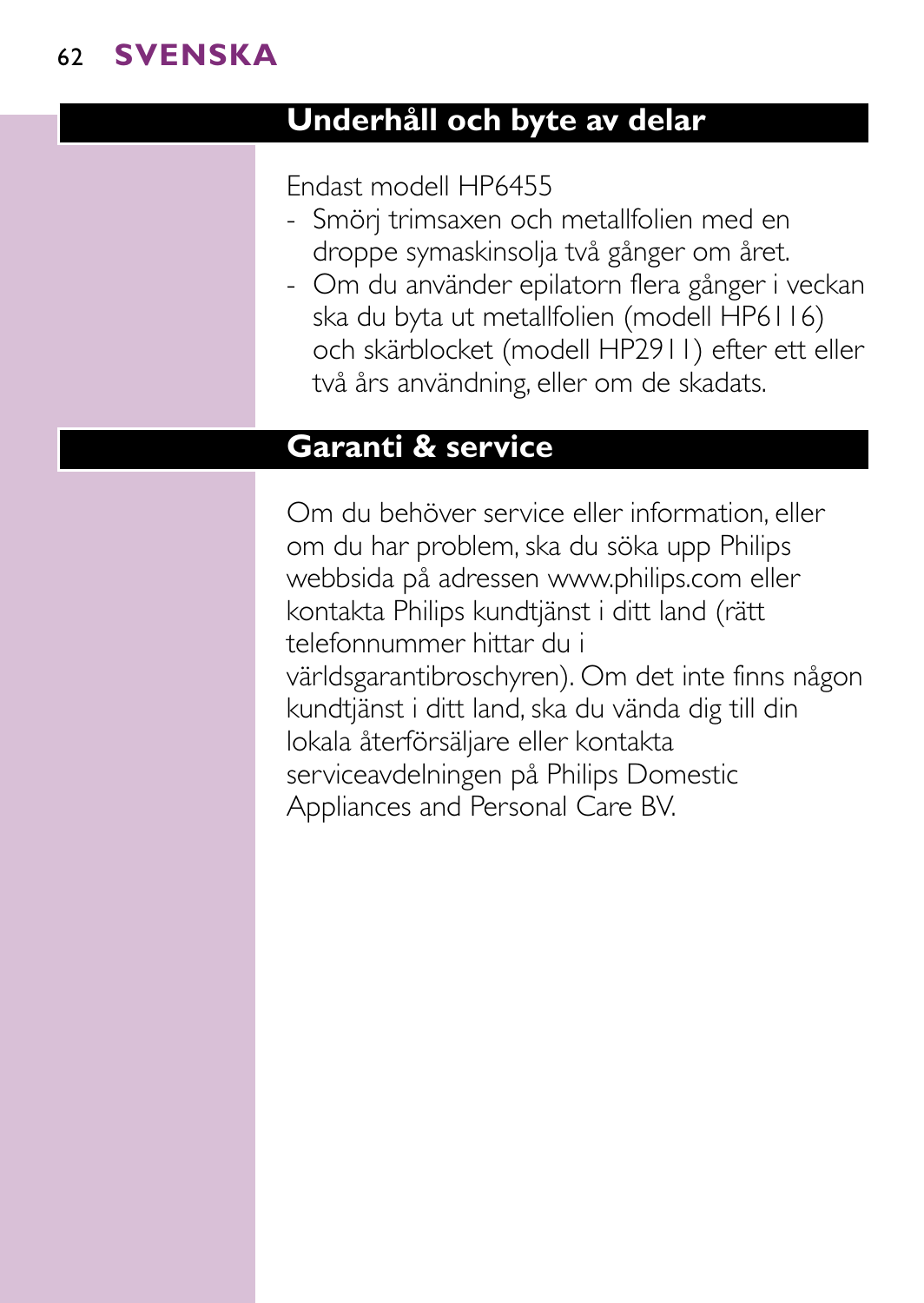## **Underhåll och byte av delar**

#### Endast modell HP6455

- Smörj trimsaxen och metallfolien med en droppe symaskinsolja två gånger om året.
- Om du använder epilatorn flera gånger i veckan ska du byta ut metallfolien (modell HP6116) och skärblocket (modell HP2911) efter ett eller två års användning, eller om de skadats.

# **Garanti & service**

Om du behöver service eller information, eller om du har problem, ska du söka upp Philips webbsida på adressen www.philips.com eller kontakta Philips kundtjänst i ditt land (rätt telefonnummer hittar du i världsgarantibroschyren). Om det inte finns någon kundtjänst i ditt land, ska du vända dig till din lokala återförsäljare eller kontakta serviceavdelningen på Philips Domestic Appliances and Personal Care BV.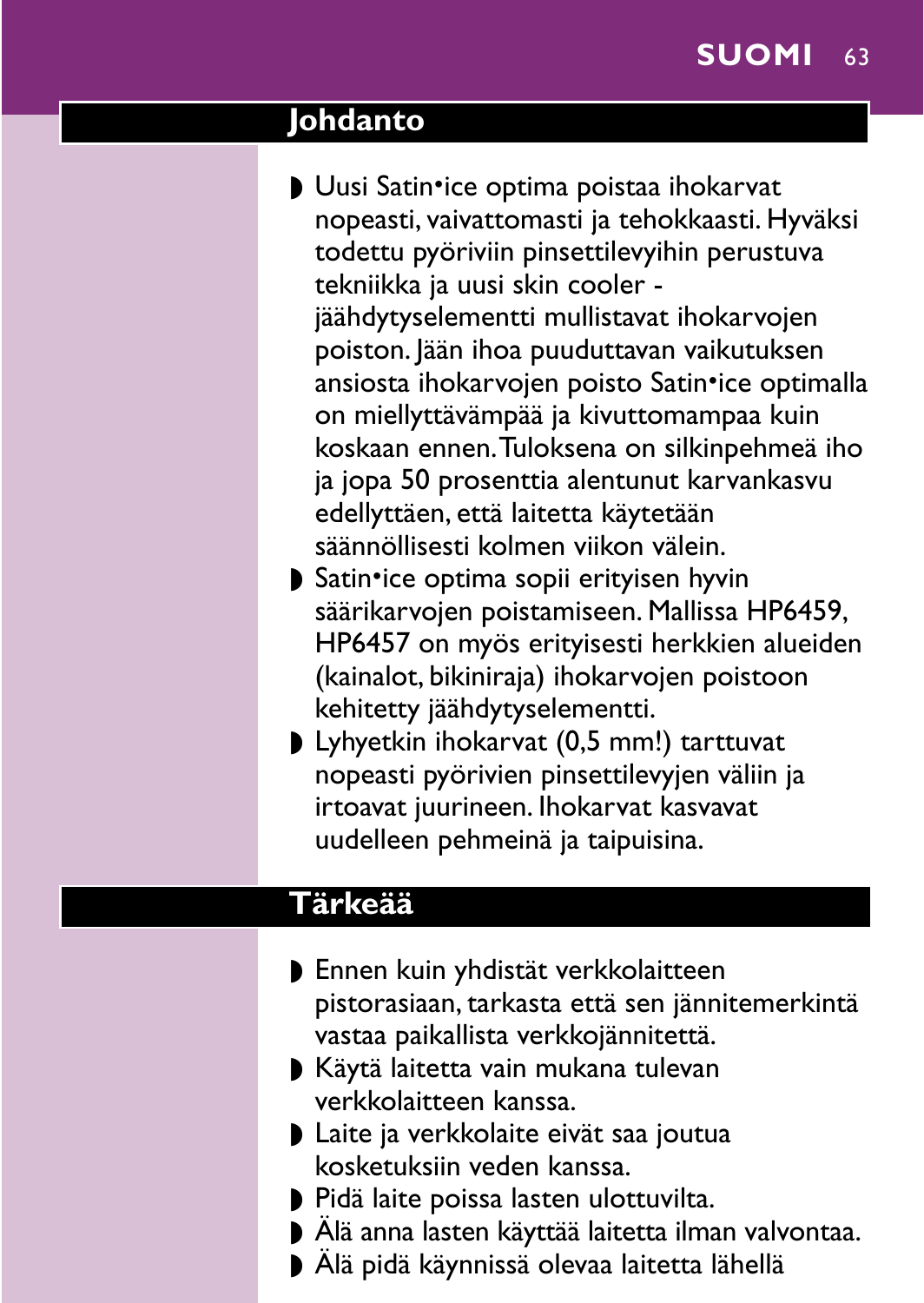## **Johdanto**

- ▶ Uusi Satin•ice optima poistaa ihokarvat nopeasti, vaivattomasti ja tehokkaasti. Hyväksi todettu pyöriviin pinsettilevyihin perustuva tekniikka ja uusi skin cooler jäähdytyselementti mullistavat ihokarvojen poiston. Jään ihoa puuduttavan vaikutuksen ansiosta ihokarvojen poisto Satin•ice optimalla on miellyttävämpää ja kivuttomampaa kuin koskaan ennen.Tuloksena on silkinpehmeä iho ja jopa 50 prosenttia alentunut karvankasvu edellyttäen, että laitetta käytetään säännöllisesti kolmen viikon välein.
- ▶ Satin•ice optima sopii erityisen hyvin säärikarvojen poistamiseen. Mallissa HP6459, HP6457 on myös erityisesti herkkien alueiden (kainalot, bikiniraja) ihokarvojen poistoon kehitetty jäähdytyselementti.
- ◗ Lyhyetkin ihokarvat (0,5 mm!) tarttuvat nopeasti pyörivien pinsettilevyjen väliin ja irtoavat juurineen. Ihokarvat kasvavat uudelleen pehmeinä ja taipuisina.

#### **Tärkeää**

- ◗ Ennen kuin yhdistät verkkolaitteen pistorasiaan, tarkasta että sen jännitemerkintä vastaa paikallista verkkojännitettä.
- ◗ Käytä laitetta vain mukana tulevan verkkolaitteen kanssa.
- ◗ Laite ja verkkolaite eivät saa joutua kosketuksiin veden kanssa.
- ◗ Pidä laite poissa lasten ulottuvilta.
- ◗ Älä anna lasten käyttää laitetta ilman valvontaa.
- ◗ Älä pidä käynnissä olevaa laitetta lähellä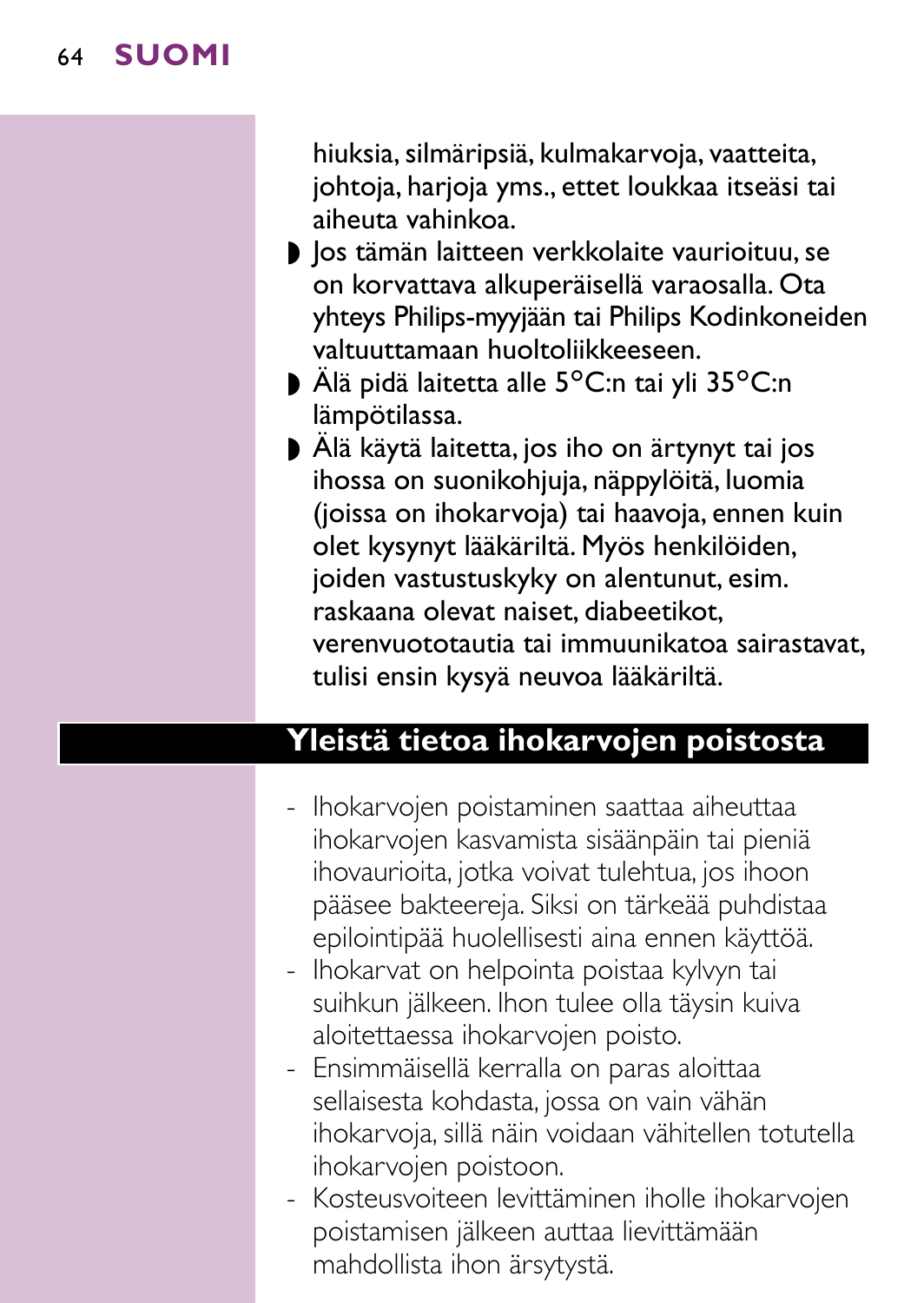hiuksia, silmäripsiä, kulmakarvoja, vaatteita, johtoja, harjoja yms., ettet loukkaa itseäsi tai aiheuta vahinkoa.

- ◗ Jos tämän laitteen verkkolaite vaurioituu, se on korvattava alkuperäisellä varaosalla. Ota yhteys Philips-myyjään tai Philips Kodinkoneiden valtuuttamaan huoltoliikkeeseen.
- Älä pidä laitetta alle 5°C:n tai yli 35°C:n lämpötilassa.
- ◗ Älä käytä laitetta, jos iho on ärtynyt tai jos ihossa on suonikohjuja, näppylöitä, luomia (joissa on ihokarvoja) tai haavoja, ennen kuin olet kysynyt lääkäriltä. Myös henkilöiden, joiden vastustuskyky on alentunut, esim. raskaana olevat naiset, diabeetikot, verenvuototautia tai immuunikatoa sairastavat, tulisi ensin kysyä neuvoa lääkäriltä.

#### **Yleistä tietoa ihokarvojen poistosta**

- Ihokarvojen poistaminen saattaa aiheuttaa ihokarvojen kasvamista sisäänpäin tai pieniä ihovaurioita, jotka voivat tulehtua, jos ihoon pääsee bakteereja. Siksi on tärkeää puhdistaa epilointipää huolellisesti aina ennen käyttöä.
- Ihokarvat on helpointa poistaa kylvyn tai suihkun jälkeen. Ihon tulee olla täysin kuiva aloitettaessa ihokarvojen poisto.
- Ensimmäisellä kerralla on paras aloittaa sellaisesta kohdasta, jossa on vain vähän ihokarvoja, sillä näin voidaan vähitellen totutella ihokarvojen poistoon.
- Kosteusvoiteen levittäminen iholle ihokarvojen poistamisen jälkeen auttaa lievittämään mahdollista ihon ärsytystä.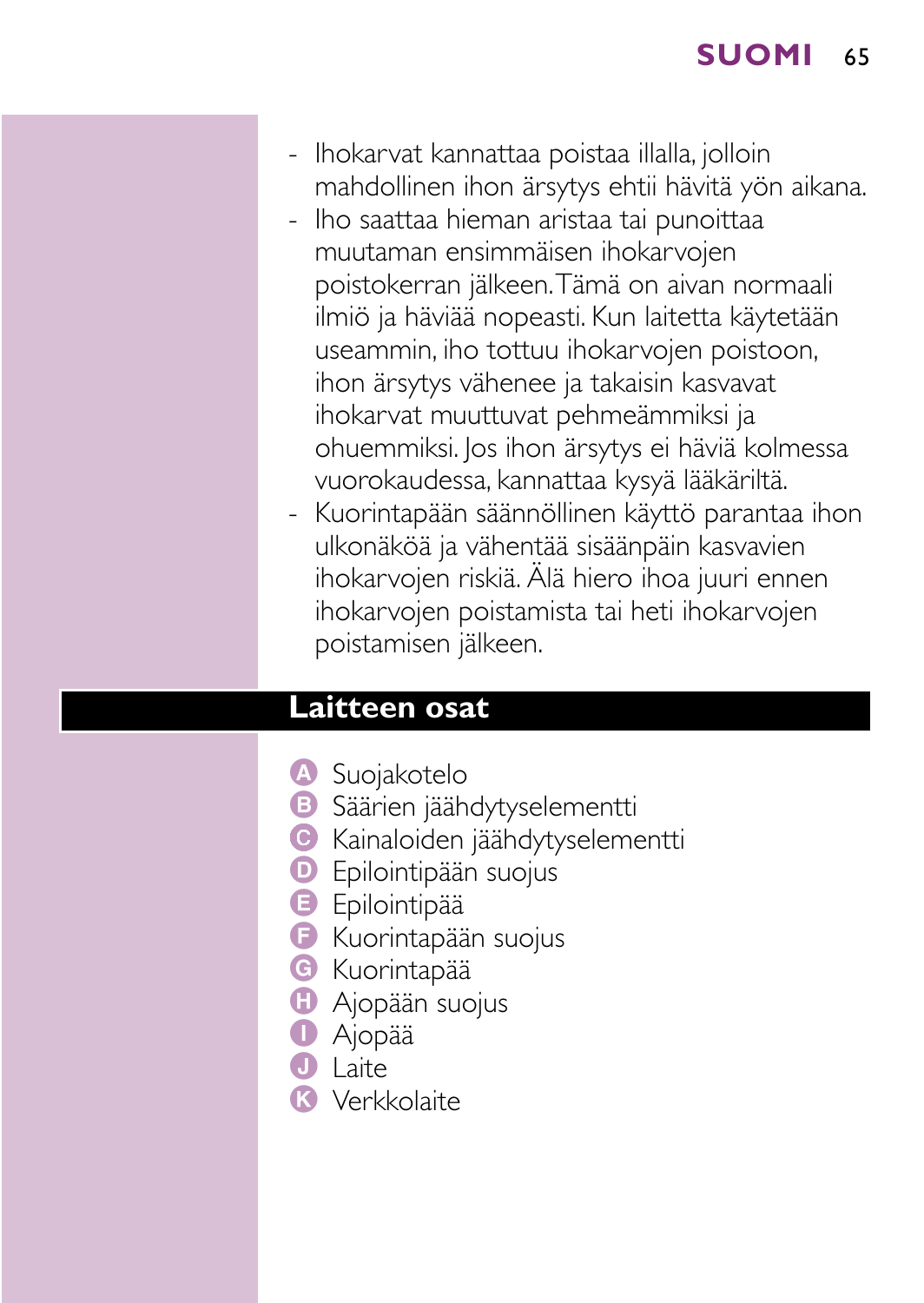- Ihokarvat kannattaa poistaa illalla, jolloin mahdollinen ihon ärsytys ehtii hävitä yön aikana.
- Iho saattaa hieman aristaa tai punoittaa muutaman ensimmäisen ihokarvojen poistokerran jälkeen.Tämä on aivan normaali ilmiö ja häviää nopeasti. Kun laitetta käytetään useammin, iho tottuu ihokarvojen poistoon, ihon ärsytys vähenee ja takaisin kasvavat ihokarvat muuttuvat pehmeämmiksi ja ohuemmiksi. Jos ihon ärsytys ei häviä kolmessa vuorokaudessa, kannattaa kysyä lääkäriltä.
- Kuorintapään säännöllinen käyttö parantaa ihon ulkonäköä ja vähentää sisäänpäin kasvavien ihokarvojen riskiä. Älä hiero ihoa juuri ennen ihokarvojen poistamista tai heti ihokarvojen poistamisen jälkeen.

#### **Laitteen osat**

- A Suojakotelo
- **B** Säärien jäähdytyselementti
- C Kainaloiden jäähdytyselementti
- **D** Epilointipään suojus
- **B** Epilointipää
- F Kuorintapään suojus
- **G** Kuorintapää
- **H** Ajopään suojus
- **D** Ajopää
- $\bigcap$  Laite
- K Verkkolaite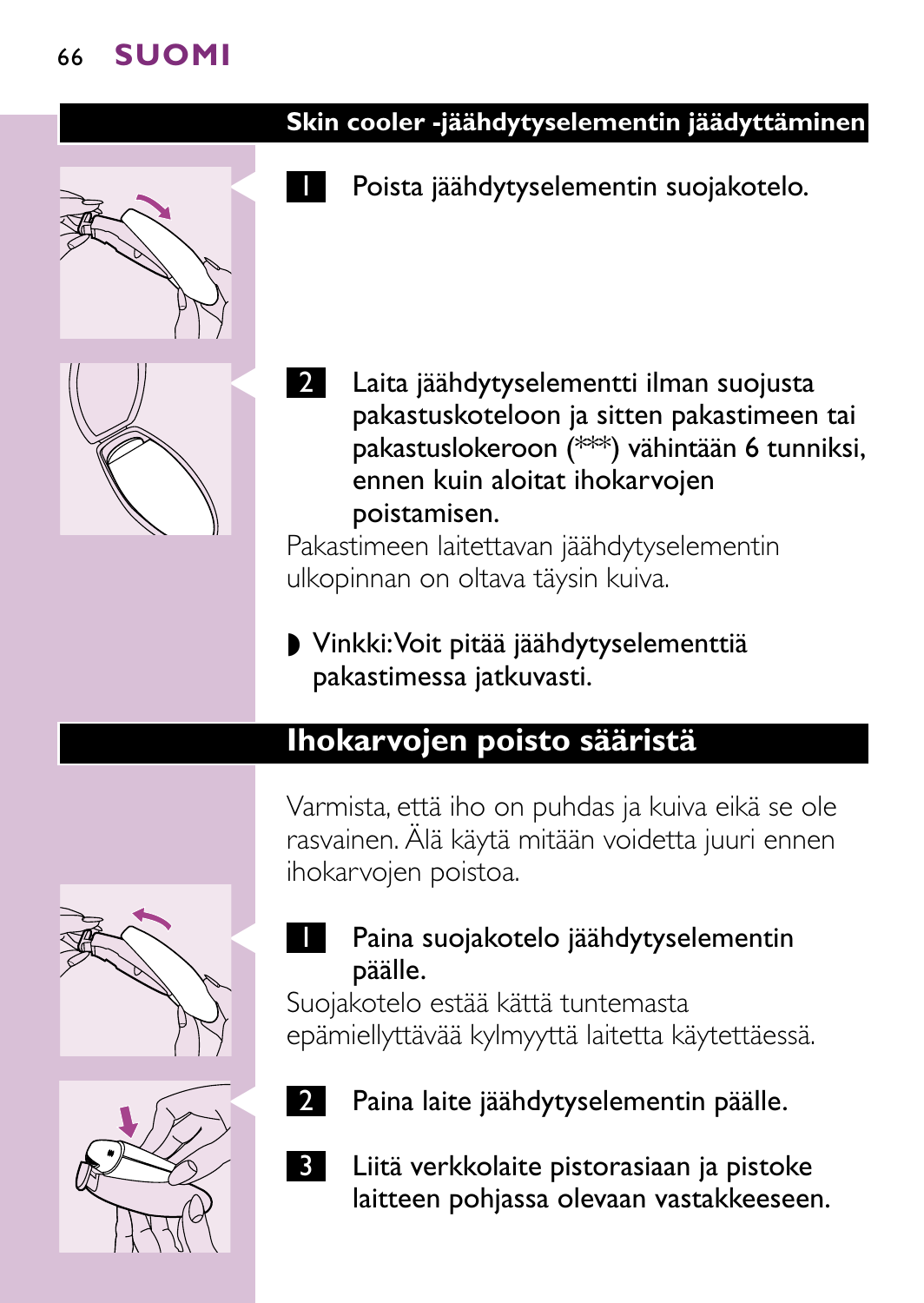

#### **Skin cooler -jäähdytyselementin jäädyttäminen**

Poista jäähdytyselementin suojakotelo.

Laita jäähdytyselementti ilman suojusta pakastuskoteloon ja sitten pakastimeen tai pakastuslokeroon (\*\*\*) vähintään 6 tunniksi, ennen kuin aloitat ihokarvojen poistamisen.

Pakastimeen laitettavan jäähdytyselementin ulkopinnan on oltava täysin kuiva.

#### ◗ Vinkki:Voit pitää jäähdytyselementtiä pakastimessa jatkuvasti.

#### **Ihokarvojen poisto sääristä**

Varmista, että iho on puhdas ja kuiva eikä se ole rasvainen. Älä käytä mitään voidetta juuri ennen ihokarvojen poistoa.

Paina suojakotelo jäähdytyselementin





päälle.

Paina laite jäähdytyselementin päälle.



3 Liitä verkkolaite pistorasiaan ja pistoke laitteen pohjassa olevaan vastakkeeseen.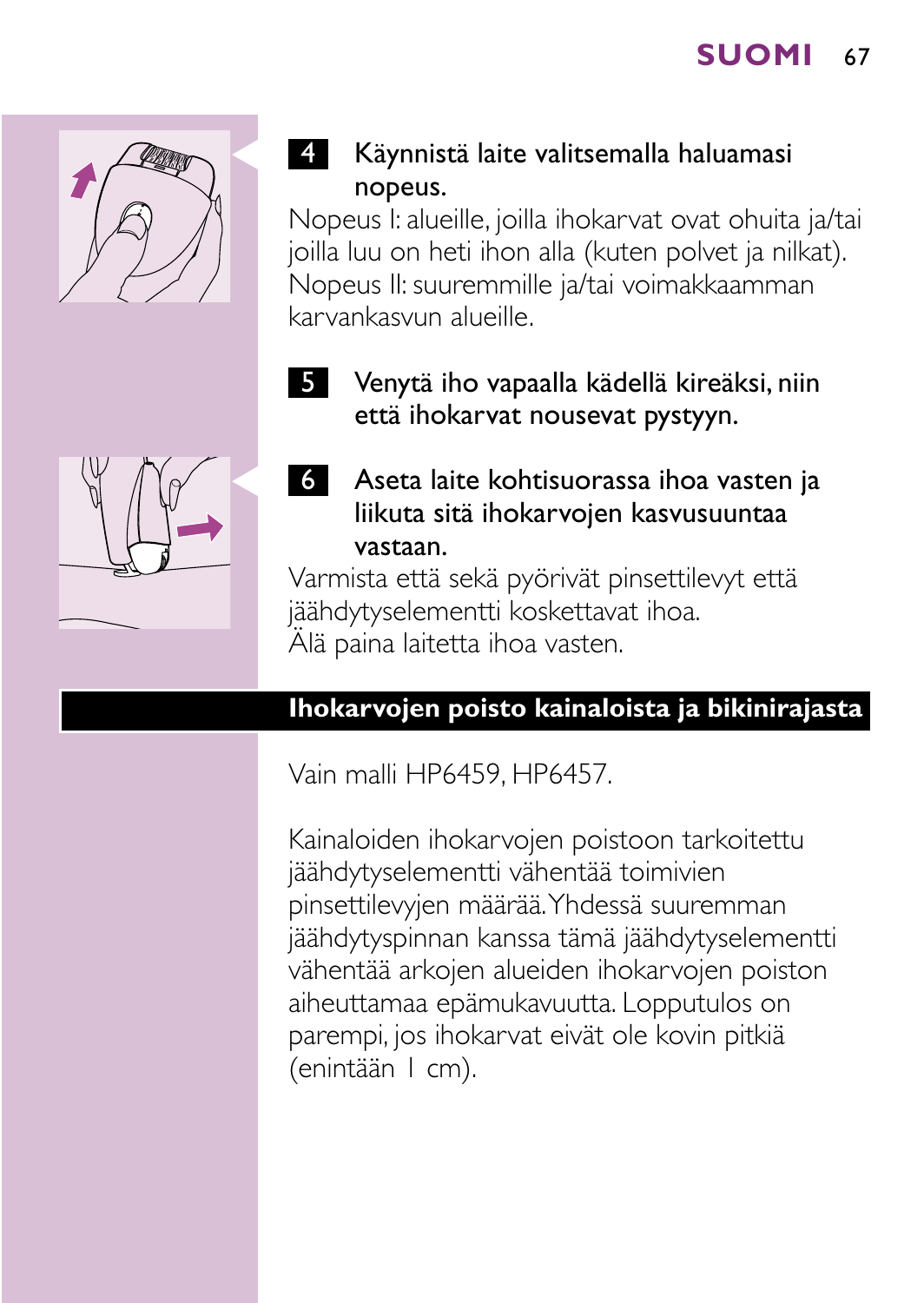

## Käynnistä laite valitsemalla haluamasi nopeus.

Nopeus I: alueille, joilla ihokarvat ovat ohuita ja/tai joilla luu on heti ihon alla (kuten polvet ja nilkat). Nopeus II: suuremmille ja/tai voimakkaamman karvankasvun alueille.

5 Venytä iho vapaalla kädellä kireäksi, niin että ihokarvat nousevat pystyyn.



C <sup>6</sup> Aseta laite kohtisuorassa ihoa vasten ja liikuta sitä ihokarvojen kasvusuuntaa vastaan.

Varmista että sekä pyörivät pinsettilevyt että jäähdytyselementti koskettavat ihoa. Älä paina laitetta ihoa vasten.

#### **Ihokarvojen poisto kainaloista ja bikinirajasta**

Vain malli HP6459, HP6457.

Kainaloiden ihokarvojen poistoon tarkoitettu jäähdytyselementti vähentää toimivien pinsettilevyjen määrää.Yhdessä suuremman jäähdytyspinnan kanssa tämä jäähdytyselementti vähentää arkojen alueiden ihokarvojen poiston aiheuttamaa epämukavuutta. Lopputulos on parempi, jos ihokarvat eivät ole kovin pitkiä (enintään 1 cm).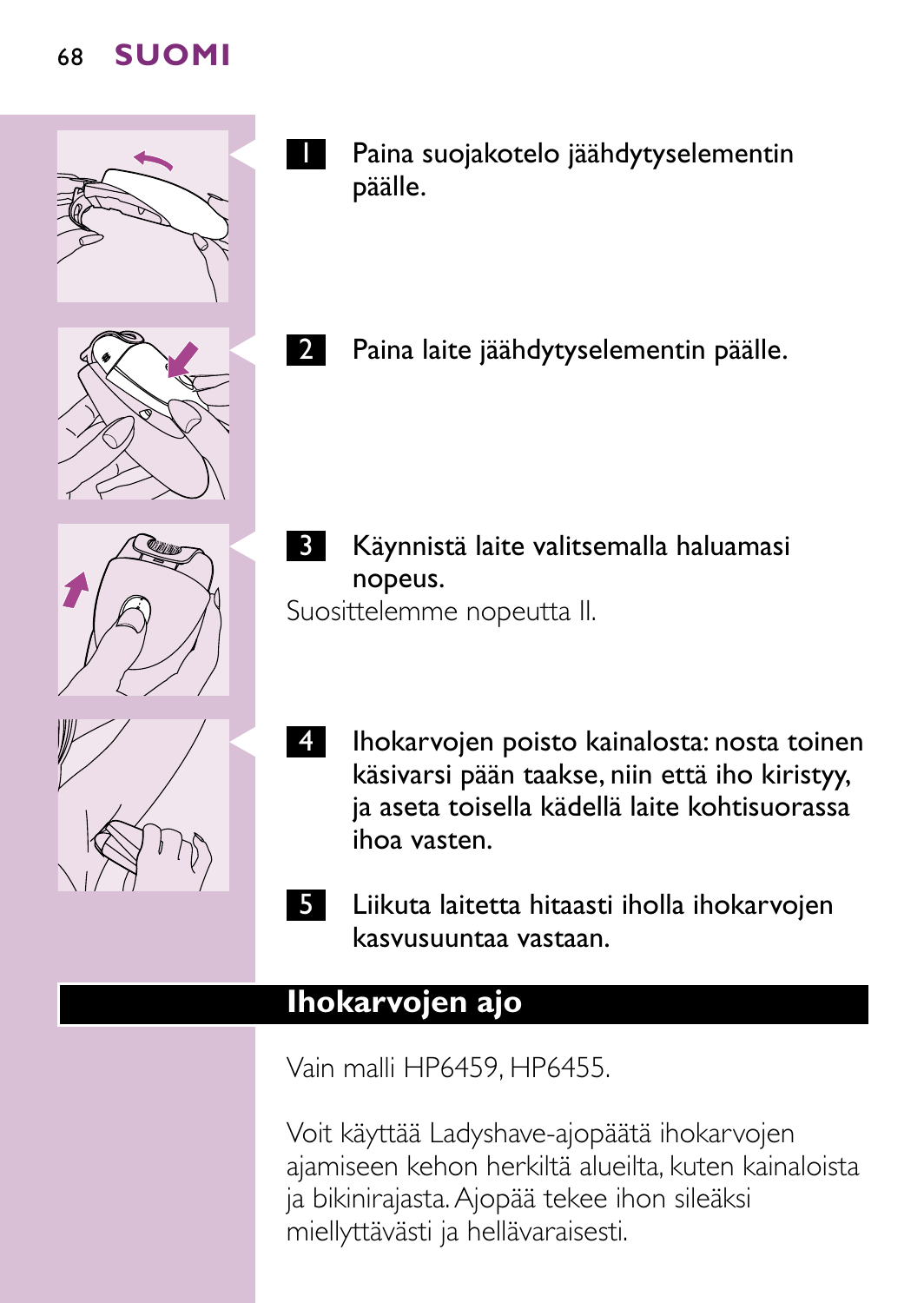

- **I** Paina suojakotelo jäähdytyselementin päälle.
	- Paina laite jäähdytyselementin päälle.



**3 Käynnistä laite valitsemalla haluamasi** nopeus.

Suosittelemme nopeutta II.



- 4 Ihokarvojen poisto kainalosta: nosta toinen käsivarsi pään taakse, niin että iho kiristyy, ja aseta toisella kädellä laite kohtisuorassa ihoa vasten.
- 5 Liikuta laitetta hitaasti iholla ihokarvojen kasvusuuntaa vastaan.

# **Ihokarvojen ajo**

Vain malli HP6459, HP6455.

Voit käyttää Ladyshave-ajopäätä ihokarvojen ajamiseen kehon herkiltä alueilta, kuten kainaloista ja bikinirajasta.Ajopää tekee ihon sileäksi miellyttävästi ja hellävaraisesti.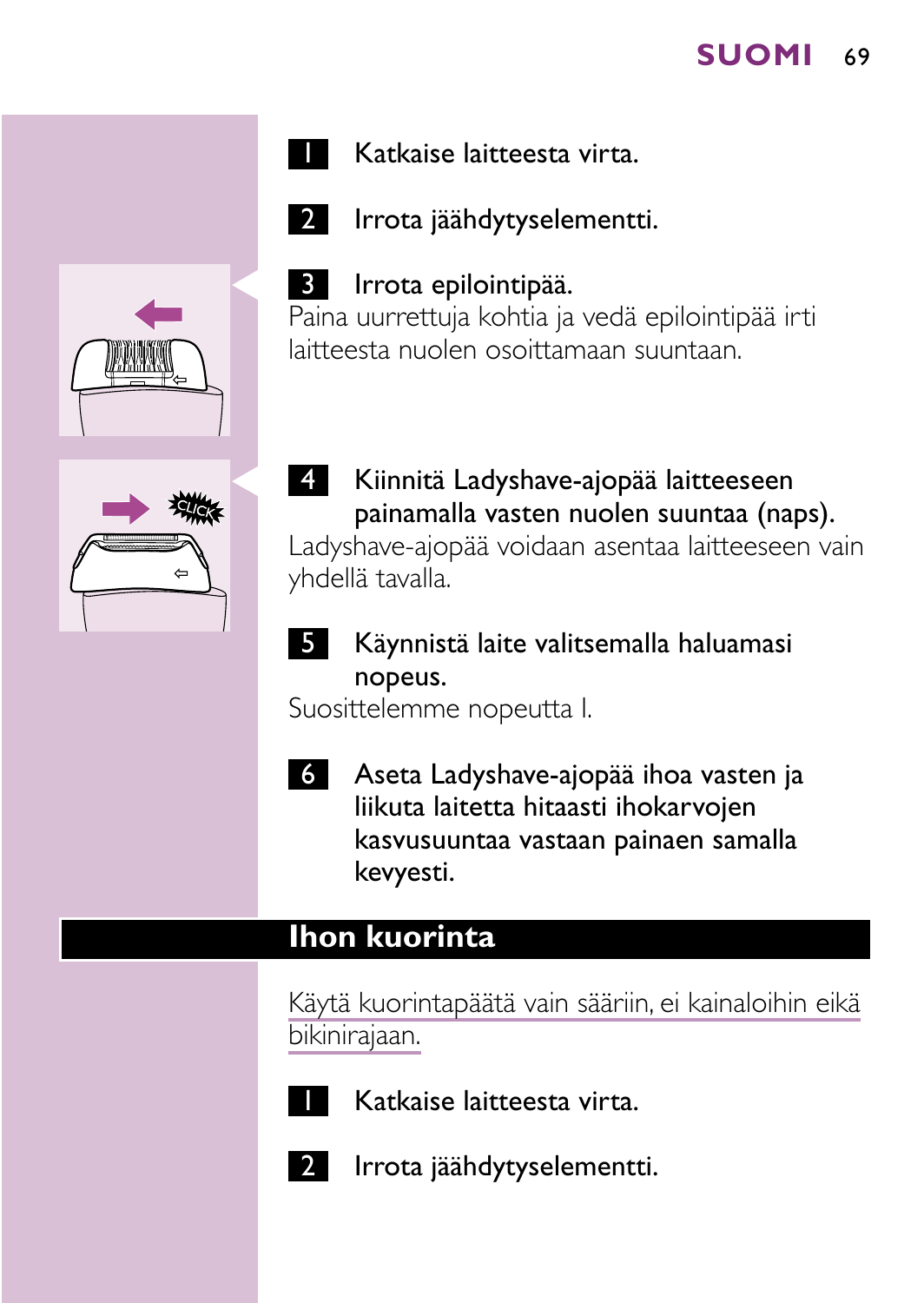





2 Irrota jäähdytyselementti.

#### Irrota epilointipää.

Paina uurrettuja kohtia ja vedä epilointipää irti laitteesta nuolen osoittamaan suuntaan.



4 Kiinnitä Ladyshave-ajopää laitteeseen painamalla vasten nuolen suuntaa (naps).

Ladyshave-ajopää voidaan asentaa laitteeseen vain yhdellä tavalla.

5 Käynnistä laite valitsemalla haluamasi nopeus.

Suosittelemme nopeutta I.

6 Aseta Ladyshave-ajopää ihoa vasten ja liikuta laitetta hitaasti ihokarvojen kasvusuuntaa vastaan painaen samalla kevyesti.

# **Ihon kuorinta**

Käytä kuorintapäätä vain sääriin, ei kainaloihin eikä bikinirajaan.



Katkaise laitteesta virta.



Irrota jäähdytyselementti.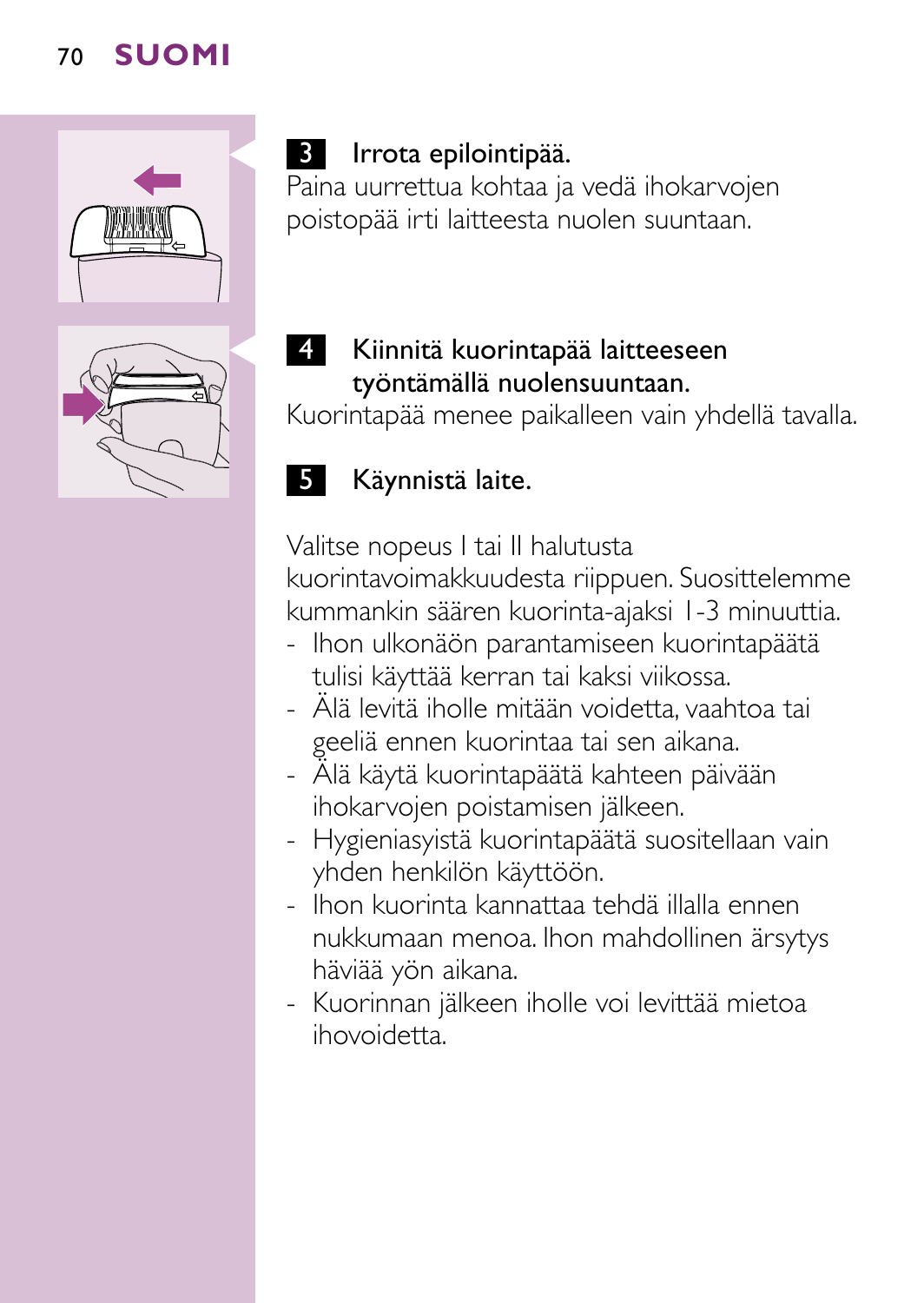

# 3 Irrota epilointipää.

Paina uurrettua kohtaa ja vedä ihokarvojen poistopää irti laitteesta nuolen suuntaan.

# Kiinnitä kuorintapää laitteeseen työntämällä nuolensuuntaan.

Kuorintapää menee paikalleen vain yhdellä tavalla.

# 5 Käynnistä laite.

Valitse nopeus I tai II halutusta kuorintavoimakkuudesta riippuen. Suosittelemme kummankin säären kuorinta-ajaksi 1-3 minuuttia.

- Ihon ulkonäön parantamiseen kuorintapäätä tulisi käyttää kerran tai kaksi viikossa.
- Älä levitä iholle mitään voidetta, vaahtoa tai geeliä ennen kuorintaa tai sen aikana.
- Älä käytä kuorintapäätä kahteen päivään ihokarvojen poistamisen jälkeen.
- Hygieniasyistä kuorintapäätä suositellaan vain yhden henkilön käyttöön.
- Ihon kuorinta kannattaa tehdä illalla ennen nukkumaan menoa. Ihon mahdollinen ärsytys häviää yön aikana.
- Kuorinnan jälkeen iholle voi levittää mietoa ihovoidetta.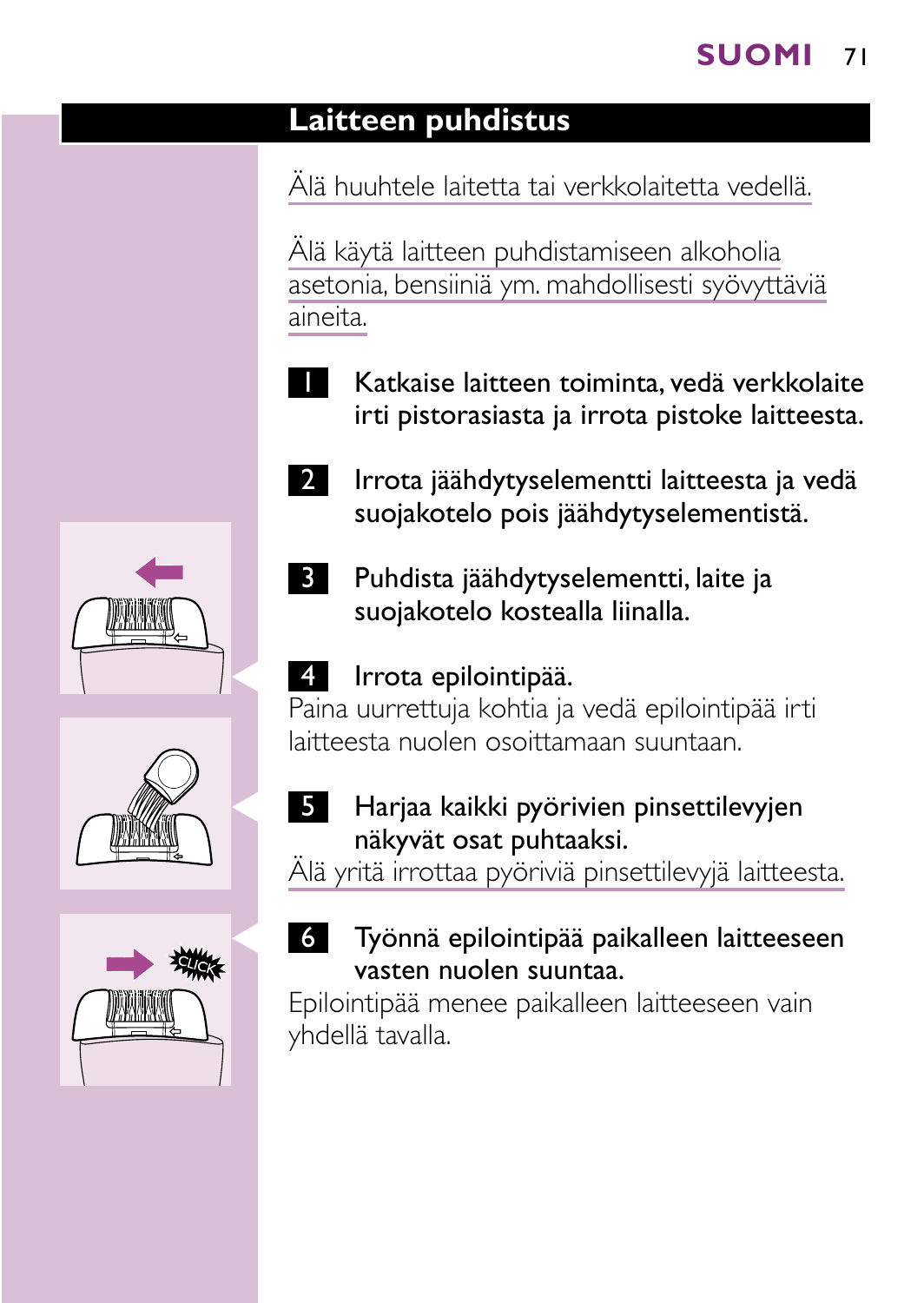# **Laitteen puhdistus**

Älä huuhtele laitetta tai verkkolaitetta vedellä.

Älä käytä laitteen puhdistamiseen alkoholia asetonia, bensiiniä ym. mahdollisesti syövyttäviä aineita.

- Katkaise laitteen toiminta, vedä verkkolaite irti pistorasiasta ja irrota pistoke laitteesta.
- 2 Irrota jäähdytyselementti laitteesta ja vedä suojakotelo pois jäähdytyselementistä.
- 3 Puhdista jäähdytyselementti, laite ja suojakotelo kostealla liinalla.

# 4 Irrota epilointipää.

Paina uurrettuja kohtia ja vedä epilointipää irti laitteesta nuolen osoittamaan suuntaan.

5 Harjaa kaikki pyörivien pinsettilevyjen näkyvät osat puhtaaksi.

Älä yritä irrottaa pyöriviä pinsettilevyjä laitteesta.

Työnnä epilointipää paikalleen laitteeseen vasten nuolen suuntaa.

Epilointipää menee paikalleen laitteeseen vain yhdellä tavalla.





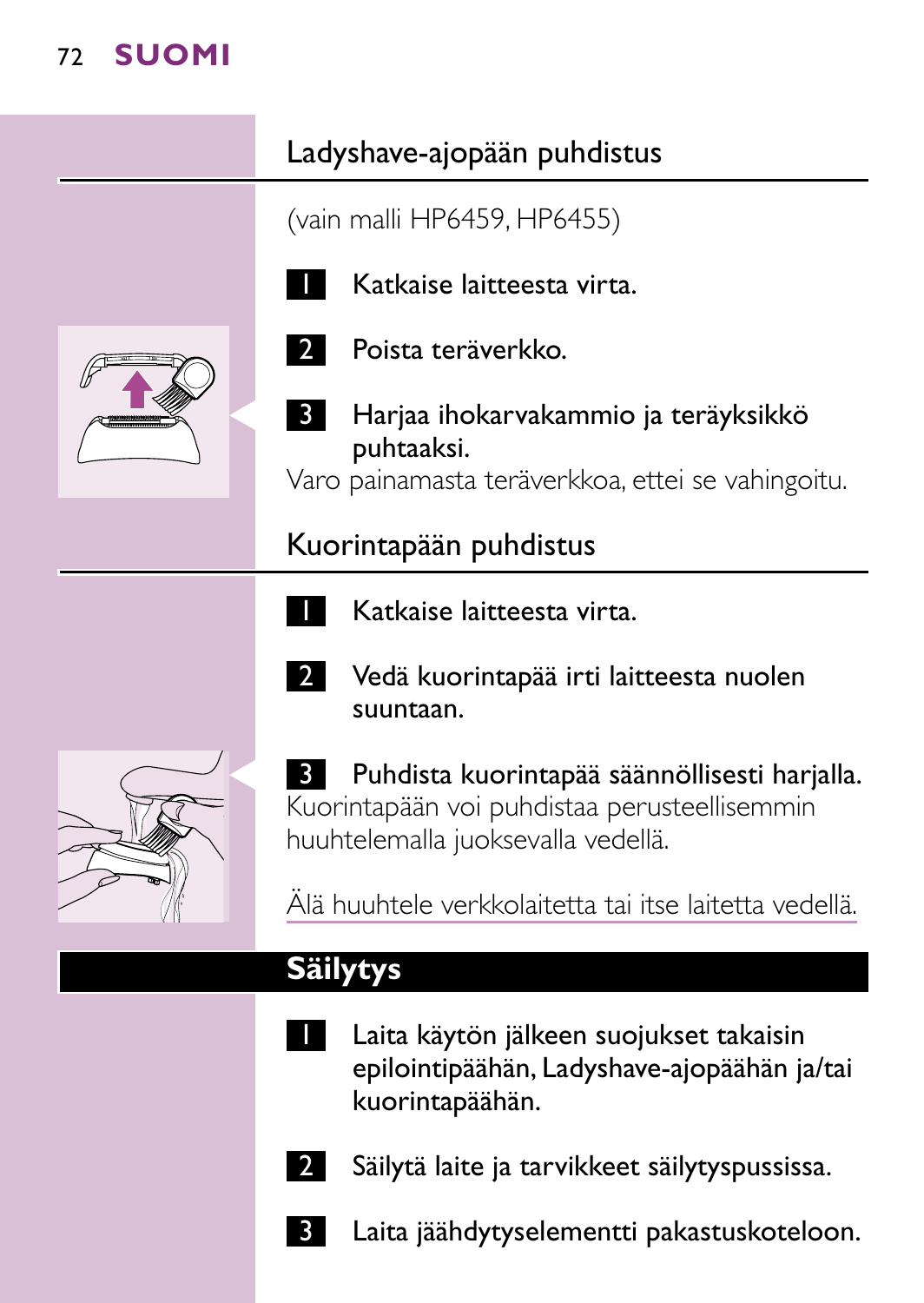# Ladyshave-ajopään puhdistus

(vain malli HP6459, HP6455)



Katkaise laitteesta virta.



2 Poista teräverkko.



Harjaa ihokarvakammio ja teräyksikkö puhtaaksi.

Varo painamasta teräverkkoa, ettei se vahingoitu.

Kuorintapään puhdistus

- 1 Katkaise laitteesta virta.
- 

2 Vedä kuorintapää irti laitteesta nuolen suuntaan.

**3 Puhdista kuorintapää säännöllisesti harjalla.** Kuorintapään voi puhdistaa perusteellisemmin huuhtelemalla juoksevalla vedellä.

Älä huuhtele verkkolaitetta tai itse laitetta vedellä.

# **Säilytys**

- Laita käytön jälkeen suojukset takaisin epilointipäähän, Ladyshave-ajopäähän ja/tai kuorintapäähän.
	- Säilytä laite ja tarvikkeet säilytyspussissa.
- Laita jäähdytyselementti pakastuskoteloon.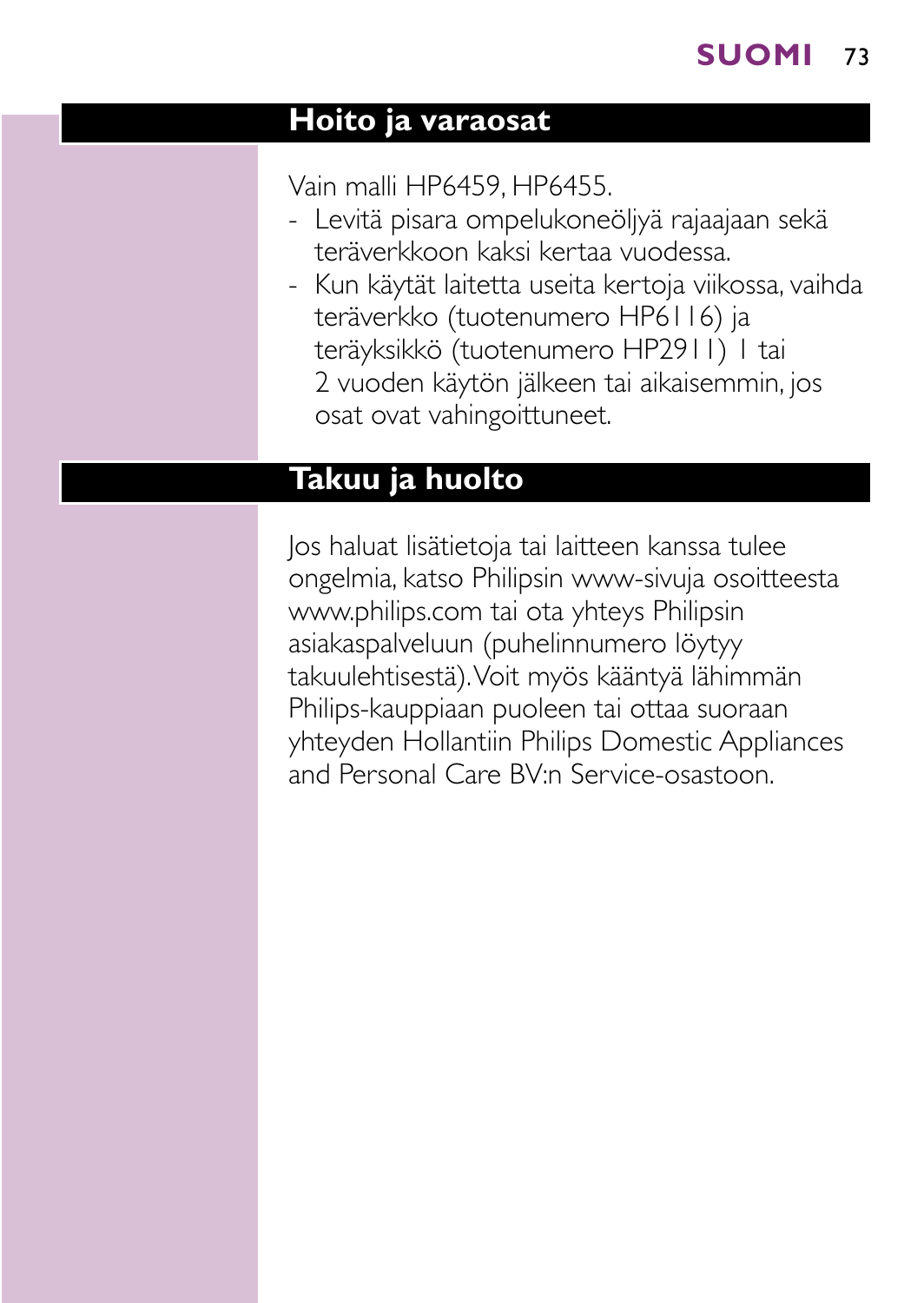#### **Hoito ja varaosat**

Vain malli HP6459, HP6455.

- Levitä pisara ompelukoneöljyä rajaajaan sekä teräverkkoon kaksi kertaa vuodessa.
- Kun käytät laitetta useita kertoja viikossa, vaihda teräverkko (tuotenumero HP6116) ja teräyksikkö (tuotenumero HP2911) 1 tai 2 vuoden käytön jälkeen tai aikaisemmin, jos osat ovat vahingoittuneet.

# **Takuu ja huolto**

Jos haluat lisätietoja tai laitteen kanssa tulee ongelmia, katso Philipsin www-sivuja osoitteesta www.philips.com tai ota yhteys Philipsin asiakaspalveluun (puhelinnumero löytyy takuulehtisestä).Voit myös kääntyä lähimmän Philips-kauppiaan puoleen tai ottaa suoraan yhteyden Hollantiin Philips Domestic Appliances and Personal Care BV:n Service-osastoon.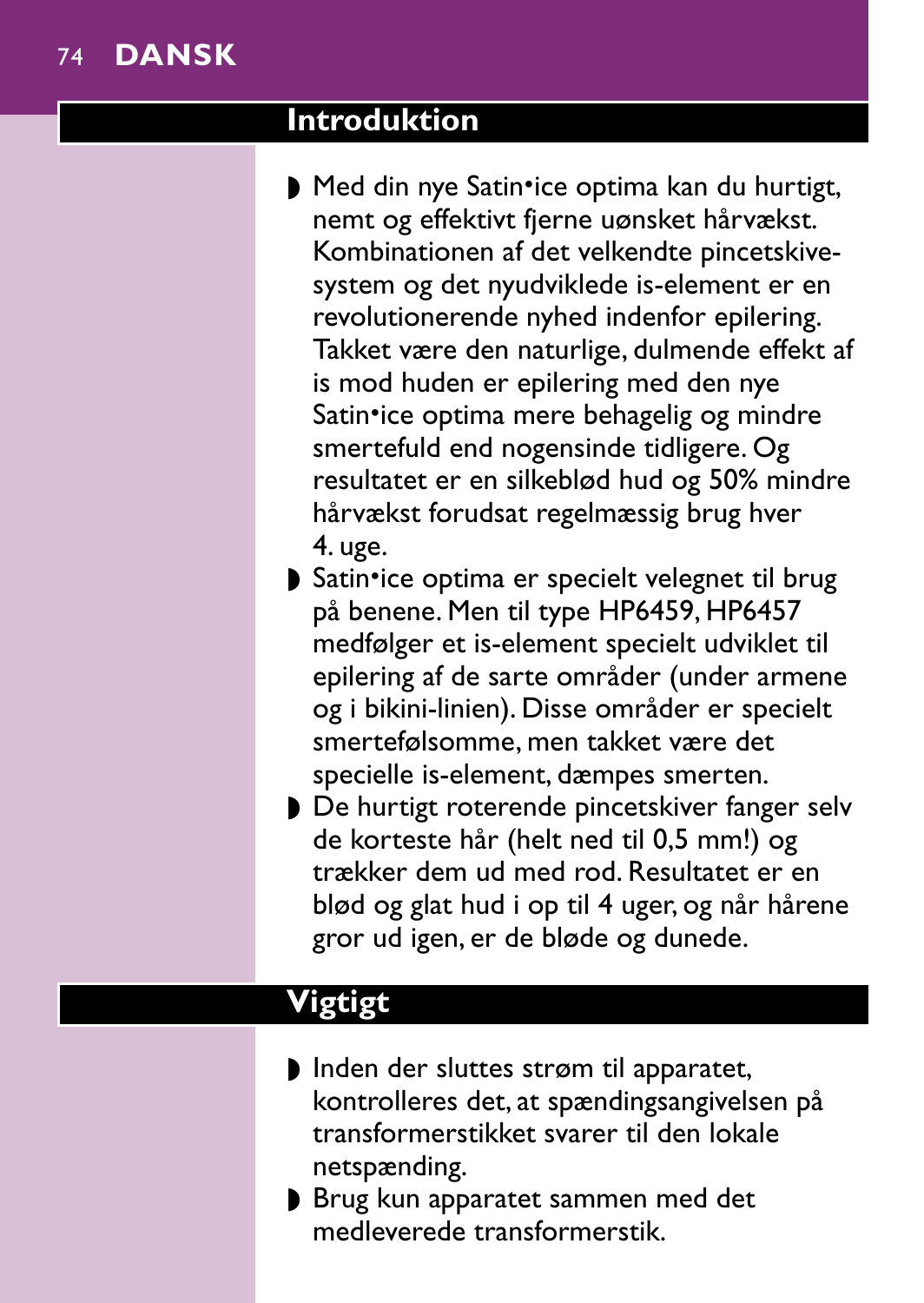## 74 **DANSK**

#### **Introduktion**

- Med din nye Satin•ice optima kan du hurtigt, nemt og effektivt fjerne uønsket hårvækst. Kombinationen af det velkendte pincetskivesystem og det nyudviklede is-element er en revolutionerende nyhed indenfor epilering. Takket være den naturlige, dulmende effekt af is mod huden er epilering med den nye Satin•ice optima mere behagelig og mindre smertefuld end nogensinde tidligere. Og resultatet er en silkeblød hud og 50% mindre hårvækst forudsat regelmæssig brug hver 4. uge.
- ▶ Satin•ice optima er specielt velegnet til brug på benene. Men til type HP6459, HP6457 medfølger et is-element specielt udviklet til epilering af de sarte områder (under armene og i bikini-linien). Disse områder er specielt smertefølsomme, men takket være det specielle is-element, dæmpes smerten.
- ◗ De hurtigt roterende pincetskiver fanger selv de korteste hår (helt ned til 0,5 mm!) og trækker dem ud med rod. Resultatet er en blød og glat hud i op til 4 uger, og når hårene gror ud igen, er de bløde og dunede.

#### **Vigtigt**

- ◗ Inden der sluttes strøm til apparatet, kontrolleres det, at spændingsangivelsen på transformerstikket svarer til den lokale netspænding.
- ◗ Brug kun apparatet sammen med det medleverede transformerstik.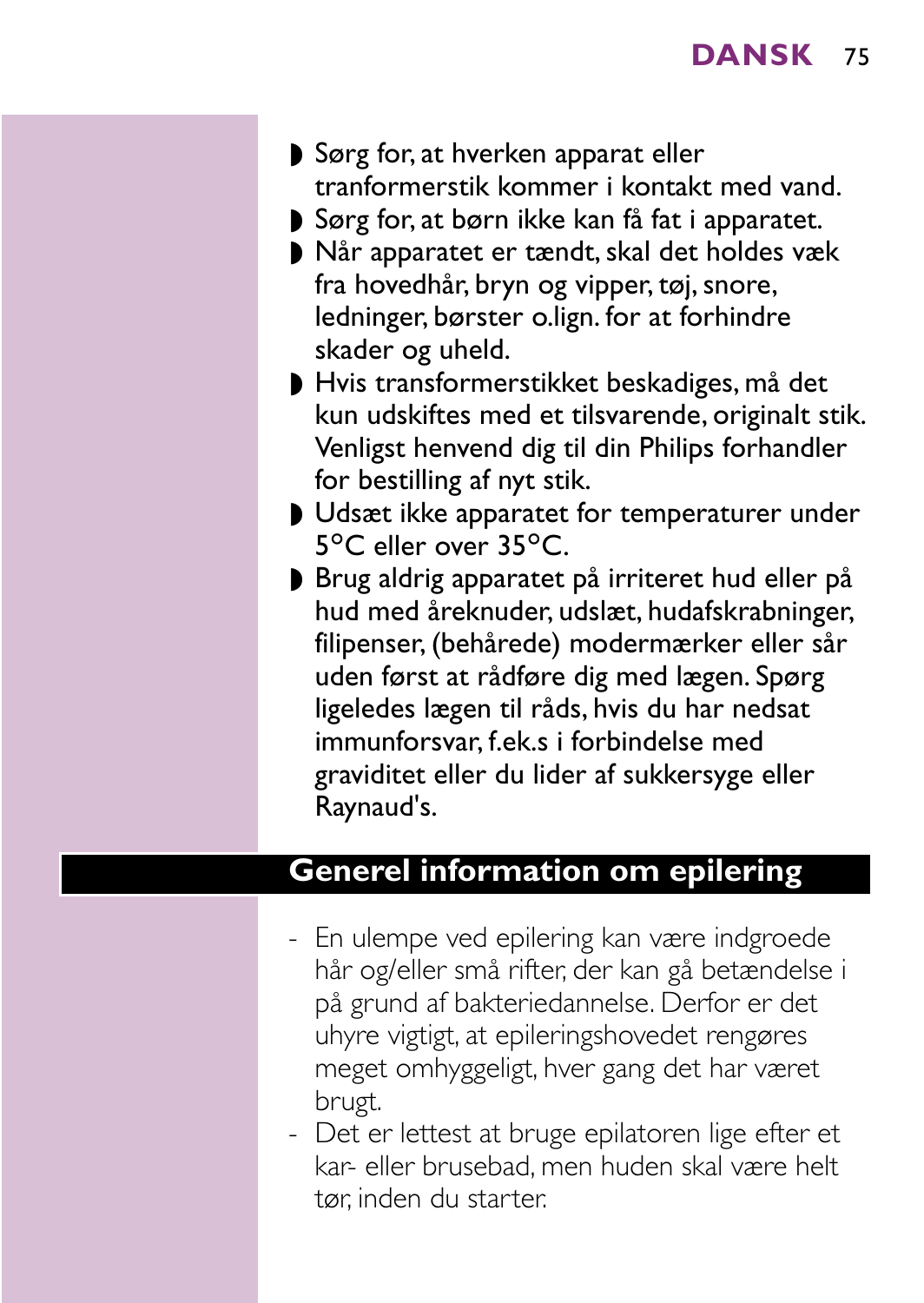- ◗ Sørg for, at hverken apparat eller tranformerstik kommer i kontakt med vand.
- ◗ Sørg for, at børn ikke kan få fat i apparatet.
- ◗ Når apparatet er tændt, skal det holdes væk fra hovedhår, bryn og vipper, tøj, snore, ledninger, børster o.lign. for at forhindre skader og uheld.
- ◗ Hvis transformerstikket beskadiges, må det kun udskiftes med et tilsvarende, originalt stik. Venligst henvend dig til din Philips forhandler for bestilling af nyt stik.
- ◗ Udsæt ikke apparatet for temperaturer under 5°C eller over 35°C.
- ◗ Brug aldrig apparatet på irriteret hud eller på hud med åreknuder, udslæt, hudafskrabninger, filipenser, (behårede) modermærker eller sår uden først at rådføre dig med lægen. Spørg ligeledes lægen til råds, hvis du har nedsat immunforsvar, f.ek.s i forbindelse med graviditet eller du lider af sukkersyge eller Raynaud's.

#### **Generel information om epilering**

- En ulempe ved epilering kan være indgroede hår og/eller små rifter, der kan gå betændelse i på grund af bakteriedannelse. Derfor er det uhyre vigtigt, at epileringshovedet rengøres meget omhyggeligt, hver gang det har været brugt.
- Det er lettest at bruge epilatoren lige efter et kar- eller brusebad, men huden skal være helt tør, inden du starter.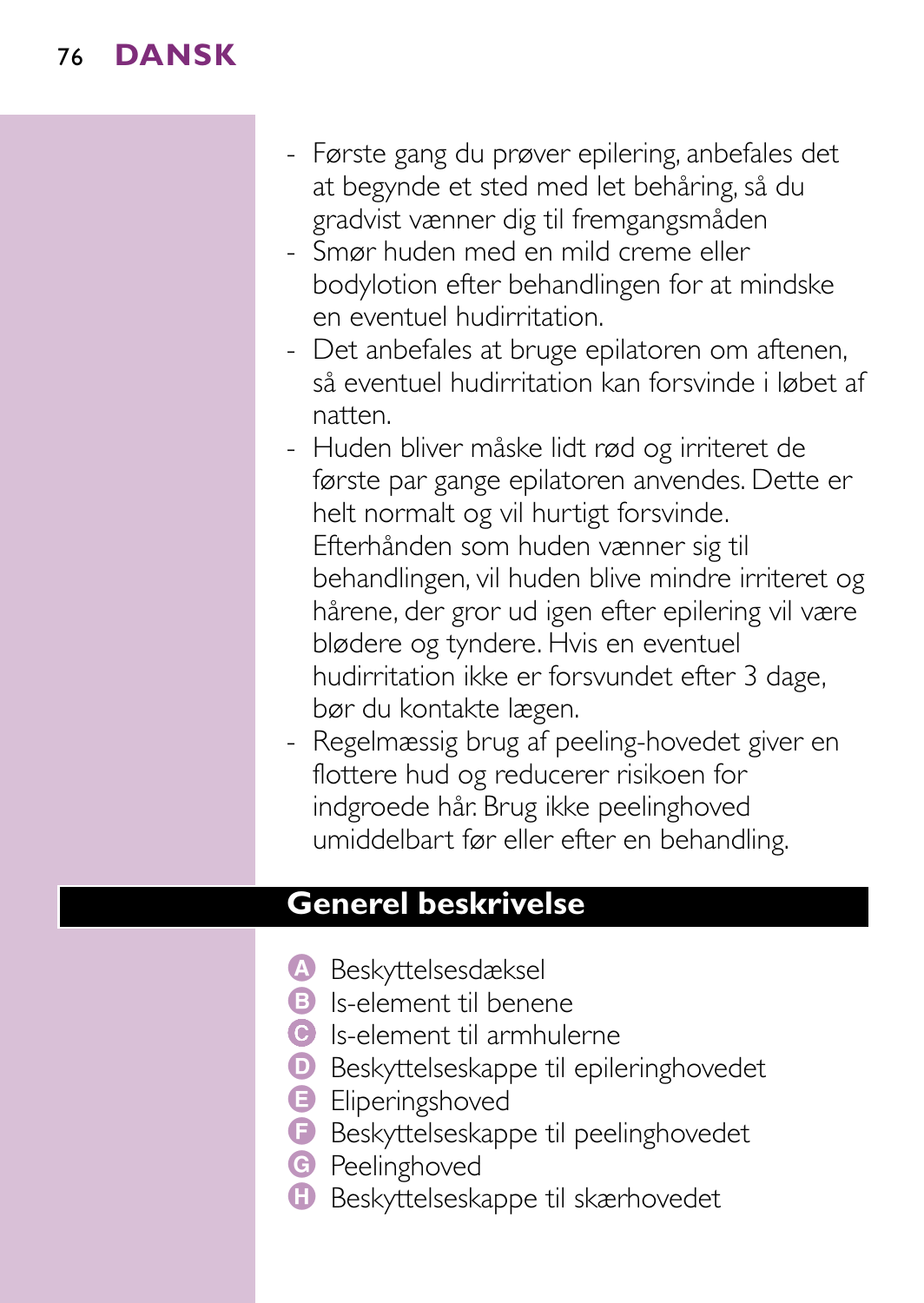## 76 **DANSK**

- Første gang du prøver epilering, anbefales det at begynde et sted med let behåring, så du gradvist vænner dig til fremgangsmåden
- Smør huden med en mild creme eller bodylotion efter behandlingen for at mindske en eventuel hudirritation.
- Det anbefales at bruge epilatoren om aftenen, så eventuel hudirritation kan forsvinde i løbet af natten.
- Huden bliver måske lidt rød og irriteret de første par gange epilatoren anvendes. Dette er helt normalt og vil hurtigt forsvinde. Efterhånden som huden vænner sig til behandlingen, vil huden blive mindre irriteret og hårene, der gror ud igen efter epilering vil være blødere og tyndere. Hvis en eventuel hudirritation ikke er forsvundet efter 3 dage, bør du kontakte lægen.
- Regelmæssig brug af peeling-hovedet giver en flottere hud og reducerer risikoen for indgroede hår. Brug ikke peelinghoved umiddelbart før eller efter en behandling.

## **Generel beskrivelse**

- A Beskyttelsesdæksel
- B Is-element til benene
- C Is-element til armhulerne
- D Beskyttelseskappe til epileringhovedet
- **B** Eliperingshoved
- F Beskyttelseskappe til peelinghovedet
- **G** Peelinghoved
- **H** Beskyttelseskappe til skærhovedet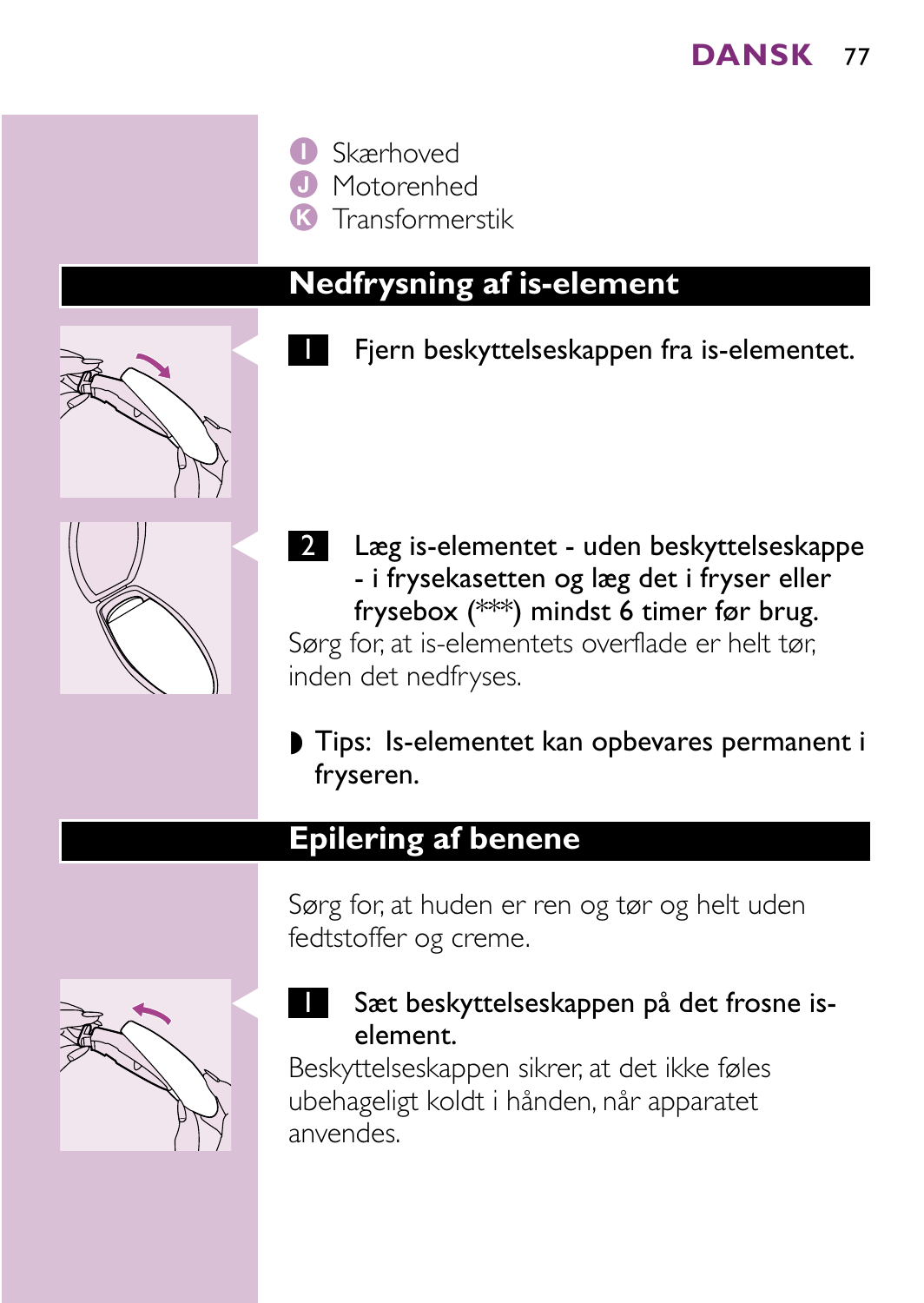

**J** Motorenhed

K Transformerstik

### **Nedfrysning af is-element**





2 Læg is-elementet - uden beskyttelseskappe - i frysekasetten og læg det i fryser eller frysebox (\*\*\*) mindst 6 timer før brug. Sørg for, at is-elementets overflade er helt tør, inden det nedfryses.

◗ Tips: Is-elementet kan opbevares permanent i fryseren.

### **Epilering af benene**

Sørg for, at huden er ren og tør og helt uden fedtstoffer og creme.



### Sæt beskyttelseskappen på det frosne iselement.

Beskyttelseskappen sikrer, at det ikke føles ubehageligt koldt i hånden, når apparatet anvendes.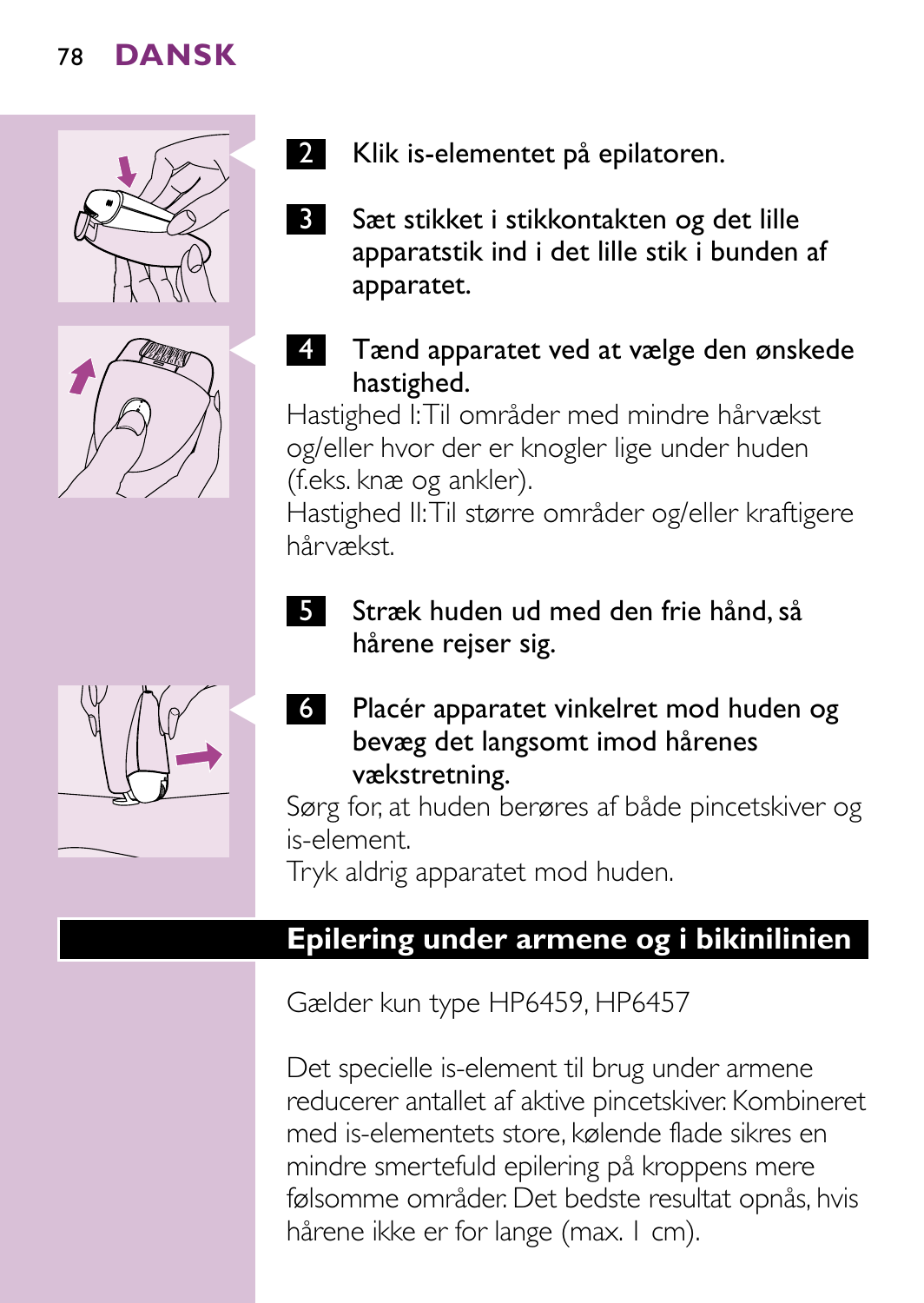



- 2 Klik is-elementet på epilatoren.
- **3** Sæt stikket i stikkontakten og det lille apparatstik ind i det lille stik i bunden af apparatet.

#### Tænd apparatet ved at vælge den ønskede hastighed.

Hastighed I:Til områder med mindre hårvækst og/eller hvor der er knogler lige under huden (f.eks. knæ og ankler).

Hastighed II:Til større områder og/eller kraftigere hårvækst.

5 Stræk huden ud med den frie hånd, så hårene rejser sig.



C <sup>6</sup> Placér apparatet vinkelret mod huden og bevæg det langsomt imod hårenes vækstretning.

Sørg for, at huden berøres af både pincetskiver og is-element.

Tryk aldrig apparatet mod huden.

### **Epilering under armene og i bikinilinien**

Gælder kun type HP6459, HP6457

Det specielle is-element til brug under armene reducerer antallet af aktive pincetskiver. Kombineret med is-elementets store, kølende flade sikres en mindre smertefuld epilering på kroppens mere følsomme områder. Det bedste resultat opnås, hvis hårene ikke er for lange (max. I cm).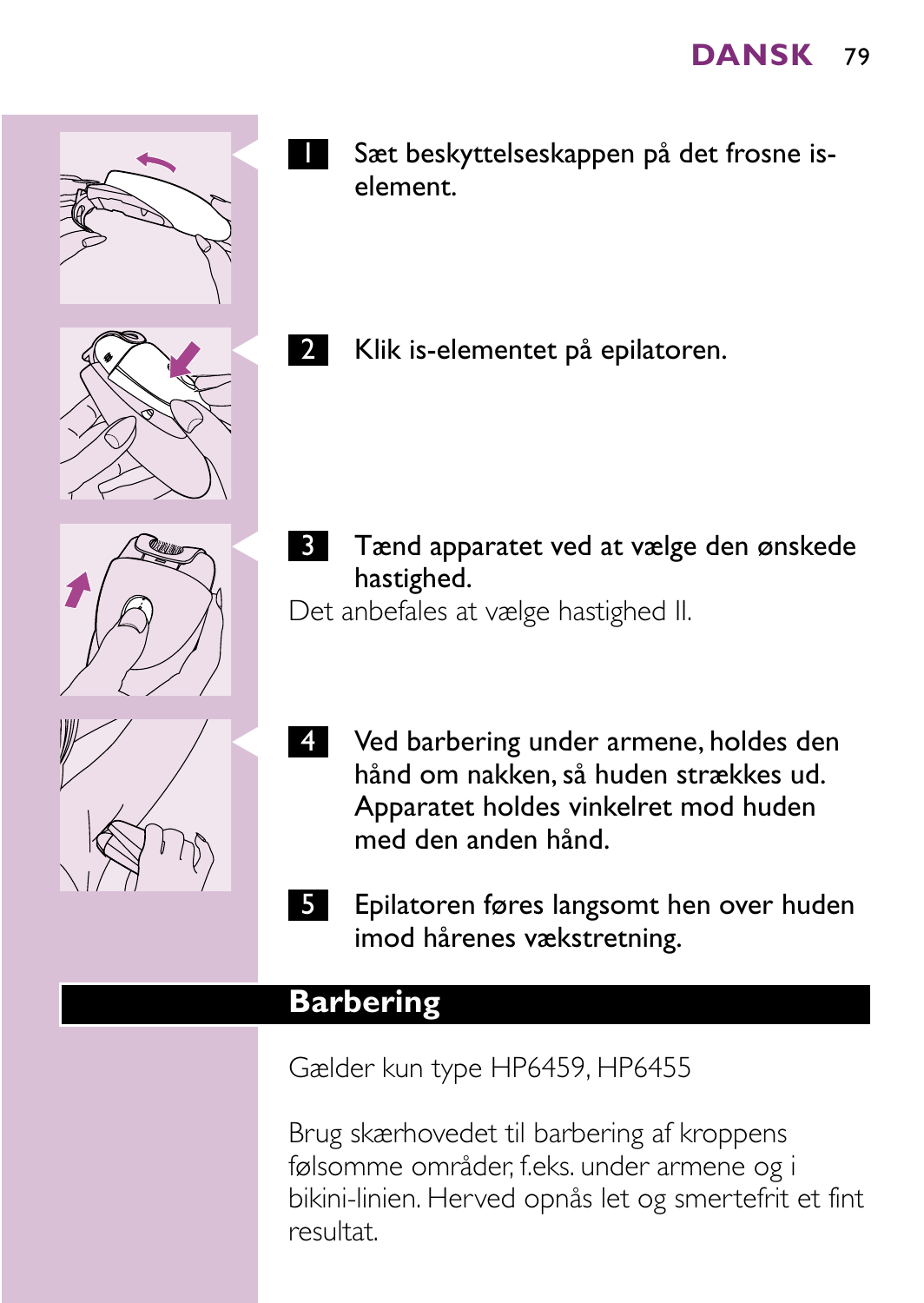



- Sæt beskyttelseskappen på det frosne iselement.
- 2 Klik is-elementet på epilatoren.



**3** Tænd apparatet ved at vælge den ønskede hastighed.

Det anbefales at vælge hastighed II.



- 4 Ved barbering under armene, holdes den hånd om nakken, så huden strækkes ud. Apparatet holdes vinkelret mod huden med den anden hånd.
- 5 Epilatoren føres langsomt hen over huden imod hårenes vækstretning.

### **Barbering**

Gælder kun type HP6459, HP6455

Brug skærhovedet til barbering af kroppens følsomme områder, f.eks. under armene og i bikini-linien. Herved opnås let og smertefrit et fint resultat.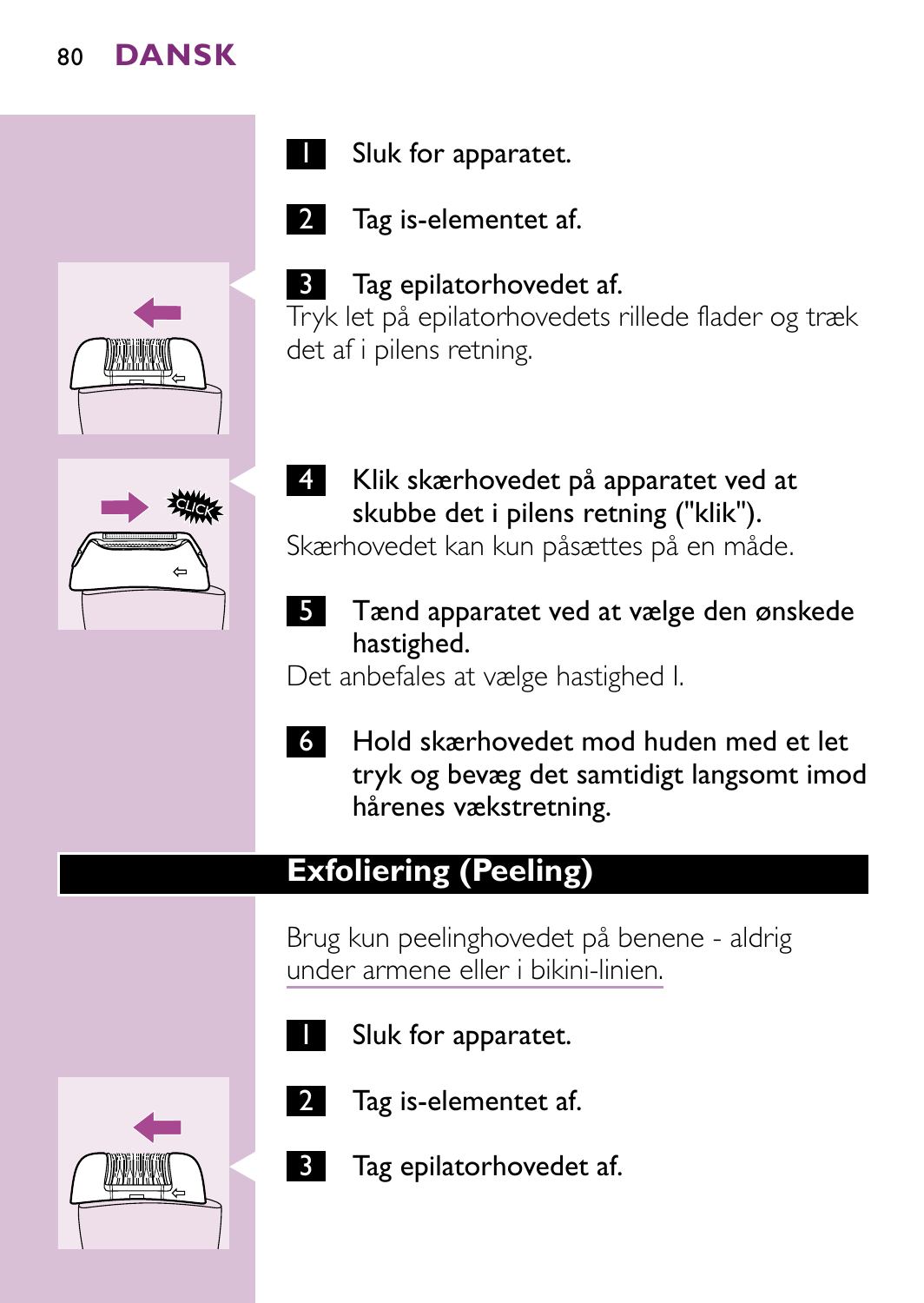



Sluk for apparatet.

Tag is-elementet af.

**3** Tag epilatorhovedet af.



4 Klik skærhovedet på apparatet ved at skubbe det i pilens retning ("klik").

Skærhovedet kan kun påsættes på en måde.

5 Tænd apparatet ved at vælge den ønskede hastighed.

Det anbefales at vælge hastighed I.

- 
- 6 Hold skærhovedet mod huden med et let tryk og bevæg det samtidigt langsomt imod hårenes vækstretning.

# **Exfoliering (Peeling)**

Brug kun peelinghovedet på benene - aldrig under armene eller i bikini-linien.



- - Sluk for apparatet.
- - Tag is-elementet af.
	- Tag epilatorhovedet af.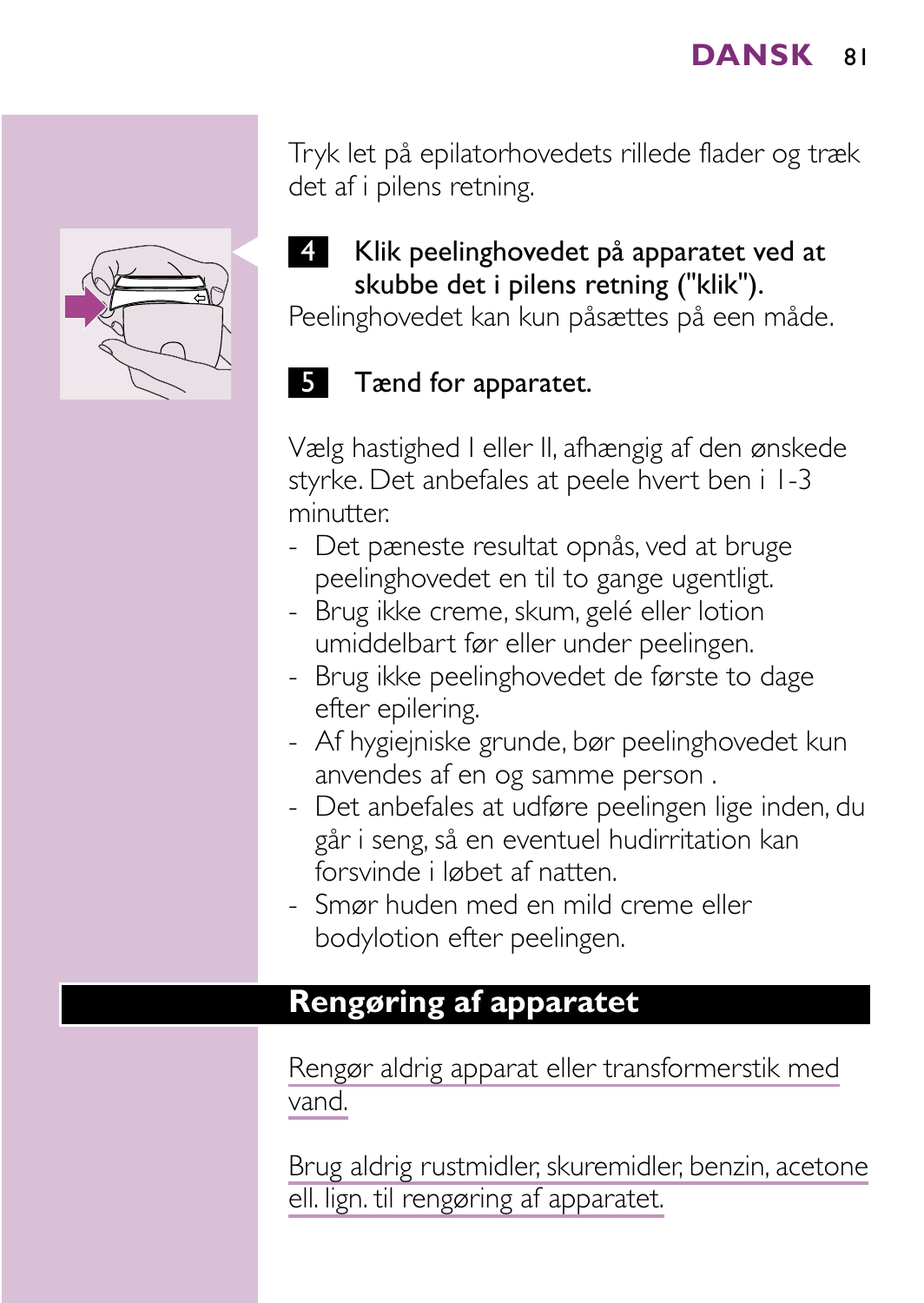Tryk let på epilatorhovedets rillede flader og træk det af i pilens retning.

#### 4 Klik peelinghovedet på apparatet ved at skubbe det i pilens retning ("klik").

Peelinghovedet kan kun påsættes på een måde.

### **5** Tænd for apparatet.

Vælg hastighed I eller II, afhængig af den ønskede styrke. Det anbefales at peele hvert ben i 1-3 minutter.

- Det pæneste resultat opnås, ved at bruge peelinghovedet en til to gange ugentligt.
- Brug ikke creme, skum, gelé eller lotion umiddelbart før eller under peelingen.
- Brug ikke peelinghovedet de første to dage efter epilering.
- Af hygiejniske grunde, bør peelinghovedet kun anvendes af en og samme person .
- Det anbefales at udføre peelingen lige inden, du går i seng, så en eventuel hudirritation kan forsvinde i løbet af natten.
- Smør huden med en mild creme eller bodylotion efter peelingen.

### **Rengøring af apparatet**

Rengør aldrig apparat eller transformerstik med vand.

Brug aldrig rustmidler, skuremidler, benzin, acetone ell. lign. til rengøring af apparatet.

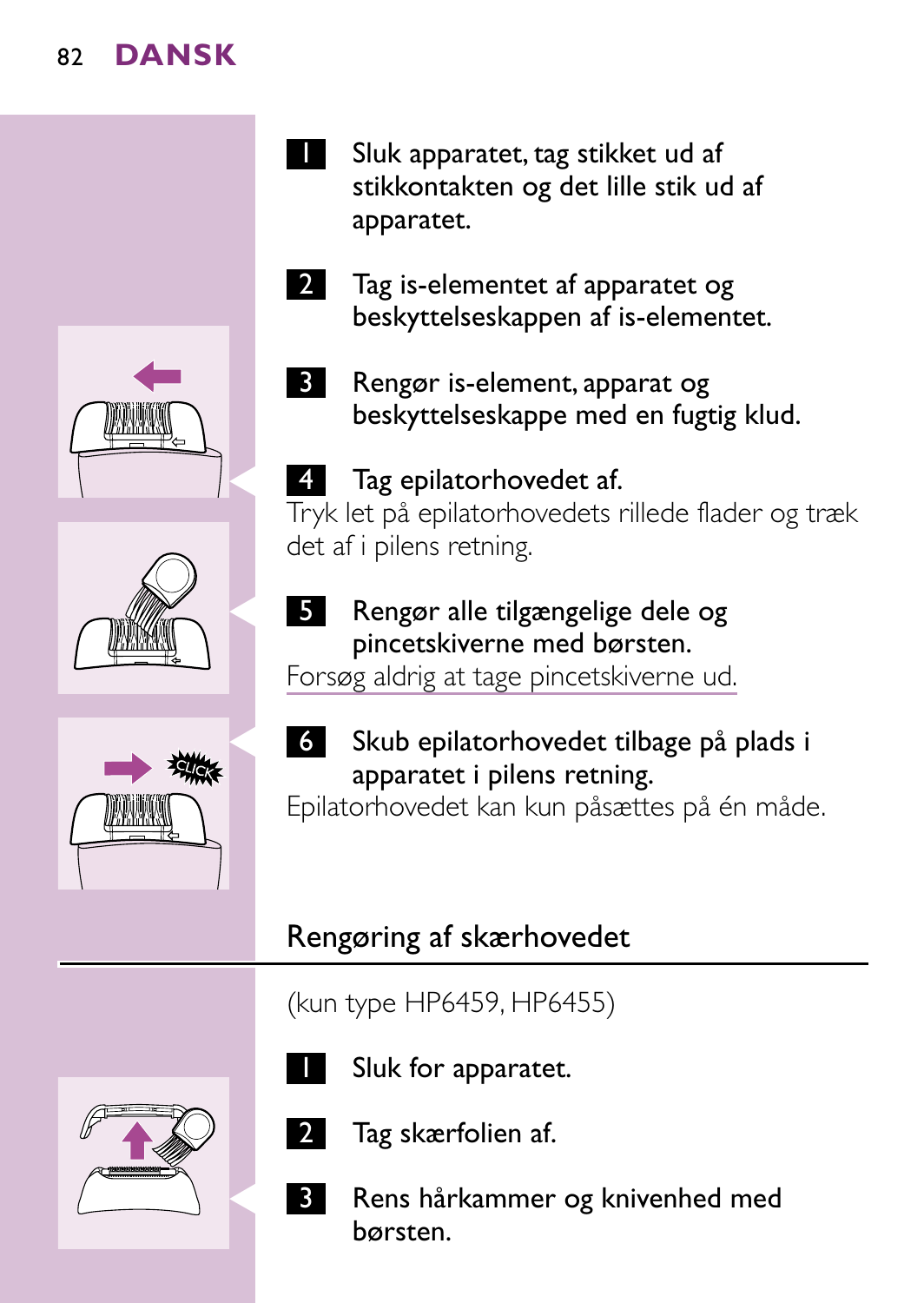





- Sluk apparatet, tag stikket ud af stikkontakten og det lille stik ud af apparatet.
- 2 Tag is-elementet af apparatet og beskyttelseskappen af is-elementet.
	- 3 Rengør is-element, apparat og beskyttelseskappe med en fugtig klud.

Tag epilatorhovedet af. Tryk let på epilatorhovedets rillede flader og træk det af i pilens retning.



### 5 Rengør alle tilgængelige dele og pincetskiverne med børsten.

Forsøg aldrig at tage pincetskiverne ud.



Epilatorhovedet kan kun påsættes på én måde.

# Rengøring af skærhovedet

(kun type HP6459, HP6455)





Sluk for apparatet.



- 2 Tag skærfolien af.
- **B** Rens hårkammer og knivenhed med børsten.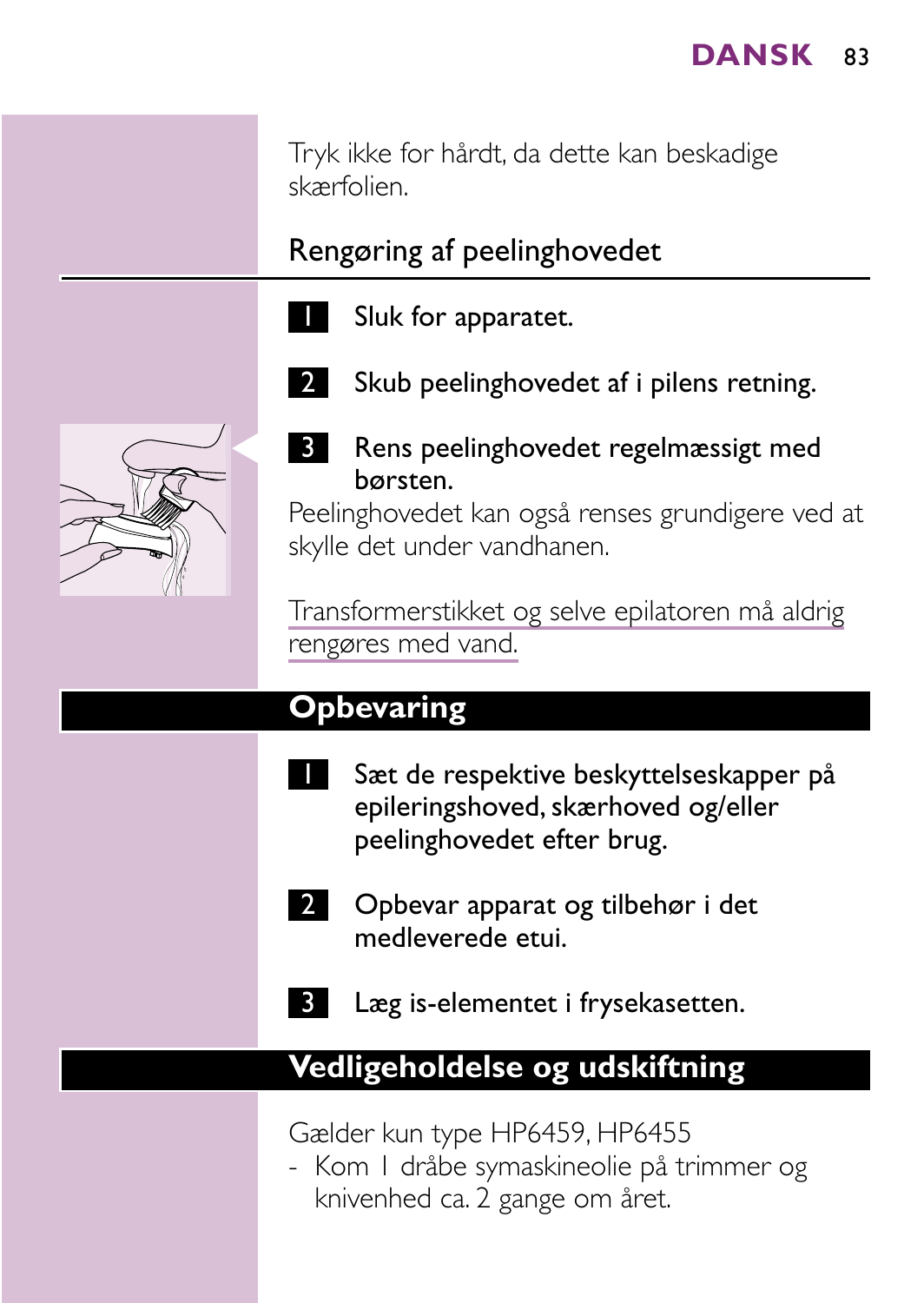Tryk ikke for hårdt, da dette kan beskadige skærfolien.

Rengøring af peelinghovedet

- Sluk for apparatet.
	- Skub peelinghovedet af i pilens retning.



**3** Rens peelinghovedet regelmæssigt med børsten.

Peelinghovedet kan også renses grundigere ved at skylle det under vandhanen.

Transformerstikket og selve epilatoren må aldrig rengøres med vand.

### **Opbevaring**

- Sæt de respektive beskyttelseskapper på epileringshoved, skærhoved og/eller peelinghovedet efter brug.
	- 2 Opbevar apparat og tilbehør i det medleverede etui.
- Læg is-elementet i frysekasetten.

#### **Vedligeholdelse og udskiftning**

Gælder kun type HP6459, HP6455

- Kom 1 dråbe symaskineolie på trimmer og knivenhed ca. 2 gange om året.